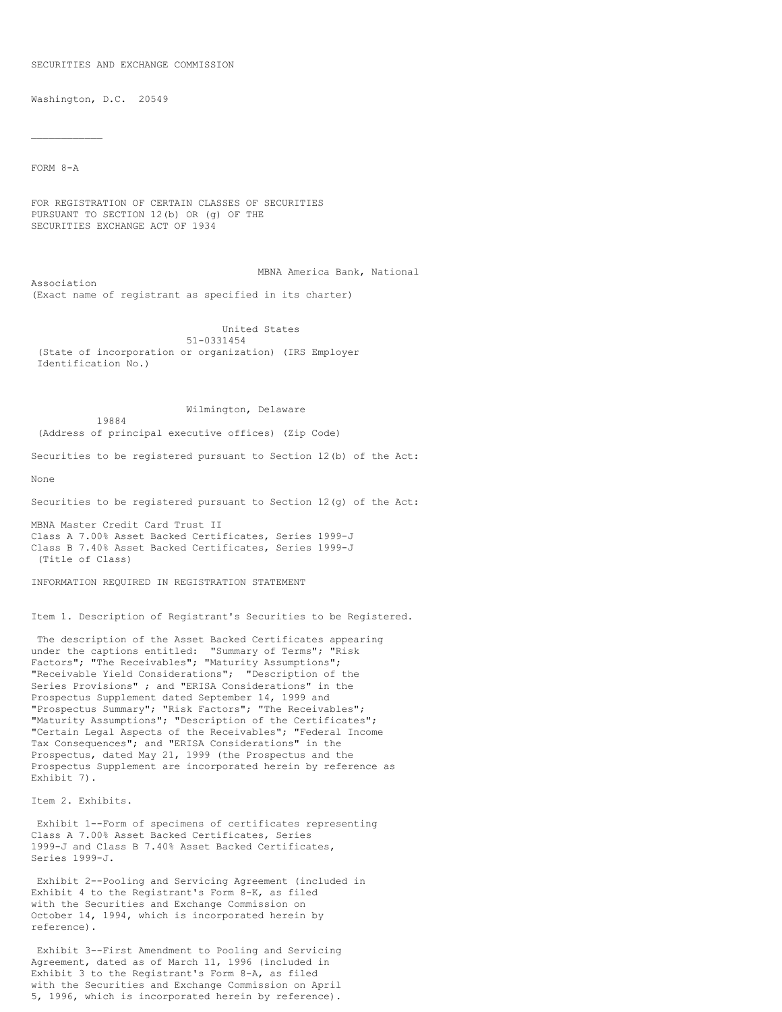#### SECURITIES AND EXCHANGE COMMISSION

Washington, D.C. 20549

19884

FORM 8-A

 $\mathcal{L}_\text{max}$ 

FOR REGISTRATION OF CERTAIN CLASSES OF SECURITIES PURSUANT TO SECTION 12(b) OR (g) OF THE SECURITIES EXCHANGE ACT OF 1934

MBNA America Bank, National Association (Exact name of registrant as specified in its charter)

United States 51-0331454 (State of incorporation or organization) (IRS Employer Identification No.)

# Wilmington, Delaware

(Address of principal executive offices) (Zip Code)

Securities to be registered pursuant to Section 12(b) of the Act:

None

Securities to be registered pursuant to Section 12(g) of the Act:

MBNA Master Credit Card Trust II Class A 7.00% Asset Backed Certificates, Series 1999-J Class B 7.40% Asset Backed Certificates, Series 1999-J (Title of Class)

INFORMATION REQUIRED IN REGISTRATION STATEMENT

Item 1. Description of Registrant's Securities to be Registered.

The description of the Asset Backed Certificates appearing under the captions entitled: "Summary of Terms"; "Risk Factors"; "The Receivables"; "Maturity Assumptions"; "Receivable Yield Considerations"; "Description of the Series Provisions" ; and "ERISA Considerations" in the Prospectus Supplement dated September 14, 1999 and "Prospectus Summary"; "Risk Factors"; "The Receivables"; "Maturity Assumptions"; "Description of the Certificates"; "Certain Legal Aspects of the Receivables"; "Federal Income Tax Consequences"; and "ERISA Considerations" in the Prospectus, dated May 21, 1999 (the Prospectus and the Prospectus Supplement are incorporated herein by reference as Exhibit 7).

Item 2. Exhibits.

Exhibit 1--Form of specimens of certificates representing Class A 7.00% Asset Backed Certificates, Series 1999-J and Class B 7.40% Asset Backed Certificates, Series 1999-J.

Exhibit 2--Pooling and Servicing Agreement (included in Exhibit 4 to the Registrant's Form 8-K, as filed with the Securities and Exchange Commission on October 14, 1994, which is incorporated herein by reference).

Exhibit 3--First Amendment to Pooling and Servicing Agreement, dated as of March 11, 1996 (included in Exhibit 3 to the Registrant's Form 8-A, as filed with the Securities and Exchange Commission on April 5, 1996, which is incorporated herein by reference).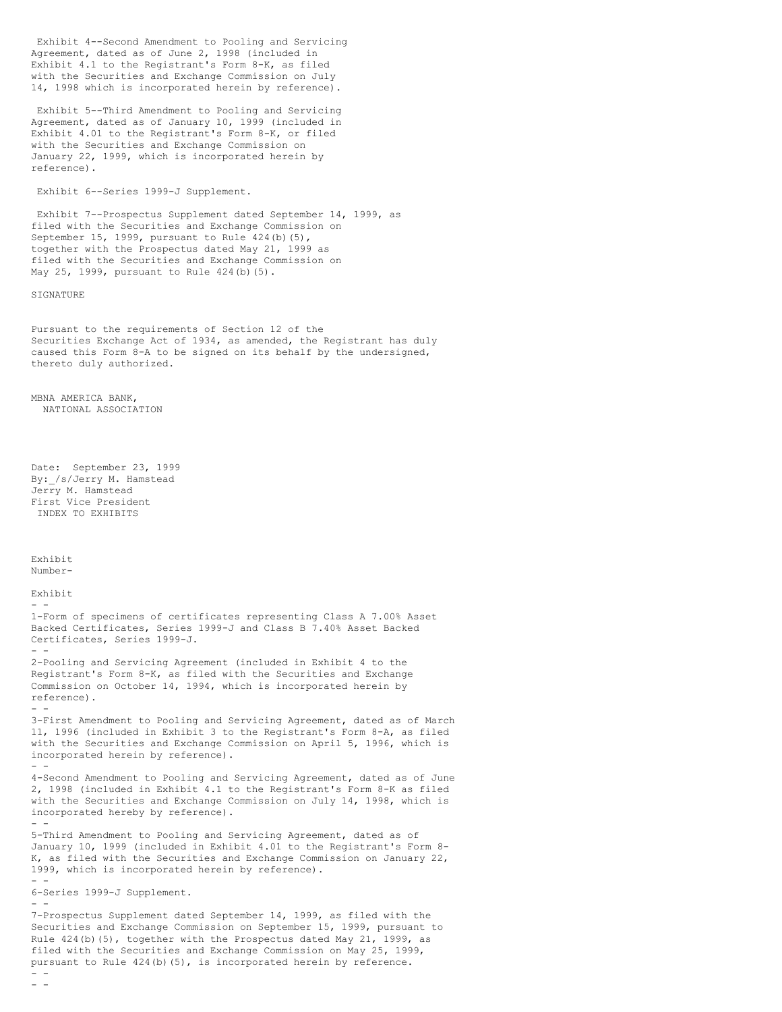Exhibit 4--Second Amendment to Pooling and Servicing Agreement, dated as of June 2, 1998 (included in Exhibit 4.1 to the Registrant's Form 8-K, as filed with the Securities and Exchange Commission on July 14, 1998 which is incorporated herein by reference).

Exhibit 5--Third Amendment to Pooling and Servicing Agreement, dated as of January 10, 1999 (included in Exhibit 4.01 to the Registrant's Form 8-K, or filed with the Securities and Exchange Commission on January 22, 1999, which is incorporated herein by reference).

Exhibit 6--Series 1999-J Supplement.

Exhibit 7--Prospectus Supplement dated September 14, 1999, as filed with the Securities and Exchange Commission on September 15, 1999, pursuant to Rule 424(b)(5), together with the Prospectus dated May 21, 1999 as filed with the Securities and Exchange Commission on May 25, 1999, pursuant to Rule 424(b)(5).

### SIGNATURE

Pursuant to the requirements of Section 12 of the Securities Exchange Act of 1934, as amended, the Registrant has duly caused this Form 8-A to be signed on its behalf by the undersigned, thereto duly authorized.

MBNA AMERICA BANK, NATIONAL ASSOCIATION

Date: September 23, 1999 By: /s/Jerry M. Hamstead Jerry M. Hamstead First Vice President INDEX TO EXHIBITS

Exhibit Number-

Exhibit  $-$ 1-Form of specimens of certificates representing Class A 7.00% Asset Backed Certificates, Series 1999-J and Class B 7.40% Asset Backed Certificates, Series 1999-J. - - 2-Pooling and Servicing Agreement (included in Exhibit 4 to the Registrant's Form 8-K, as filed with the Securities and Exchange Commission on October 14, 1994, which is incorporated herein by reference). - - 3-First Amendment to Pooling and Servicing Agreement, dated as of March 11, 1996 (included in Exhibit 3 to the Registrant's Form 8-A, as filed with the Securities and Exchange Commission on April 5, 1996, which is incorporated herein by reference). - - 4-Second Amendment to Pooling and Servicing Agreement, dated as of June 2, 1998 (included in Exhibit 4.1 to the Registrant's Form 8-K as filed with the Securities and Exchange Commission on July 14, 1998, which is incorporated hereby by reference).

- - 5-Third Amendment to Pooling and Servicing Agreement, dated as of January 10, 1999 (included in Exhibit 4.01 to the Registrant's Form 8- K, as filed with the Securities and Exchange Commission on January 22, 1999, which is incorporated herein by reference). - - 6-Series 1999-J Supplement. - - 7-Prospectus Supplement dated September 14, 1999, as filed with the

Securities and Exchange Commission on September 15, 1999, pursuant to Rule 424(b)(5), together with the Prospectus dated May 21, 1999, as filed with the Securities and Exchange Commission on May 25, 1999, pursuant to Rule  $424(b)(5)$ , is incorporated herein by reference. - -

 $-$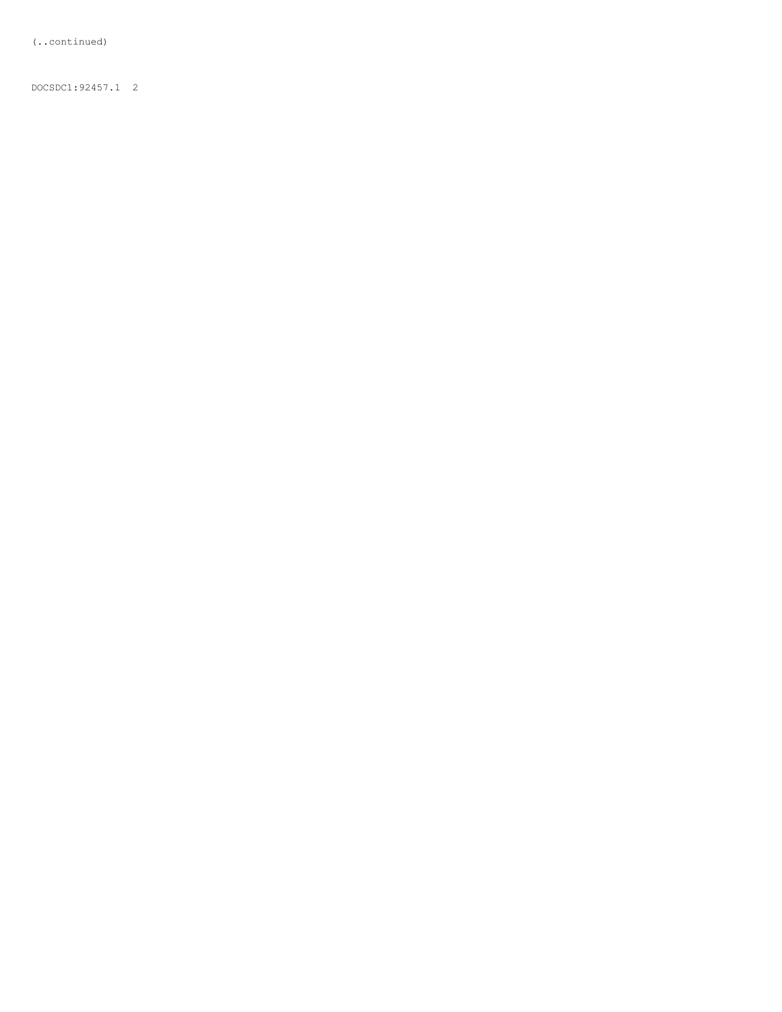(..continued)

DOCSDC1:92457.1 2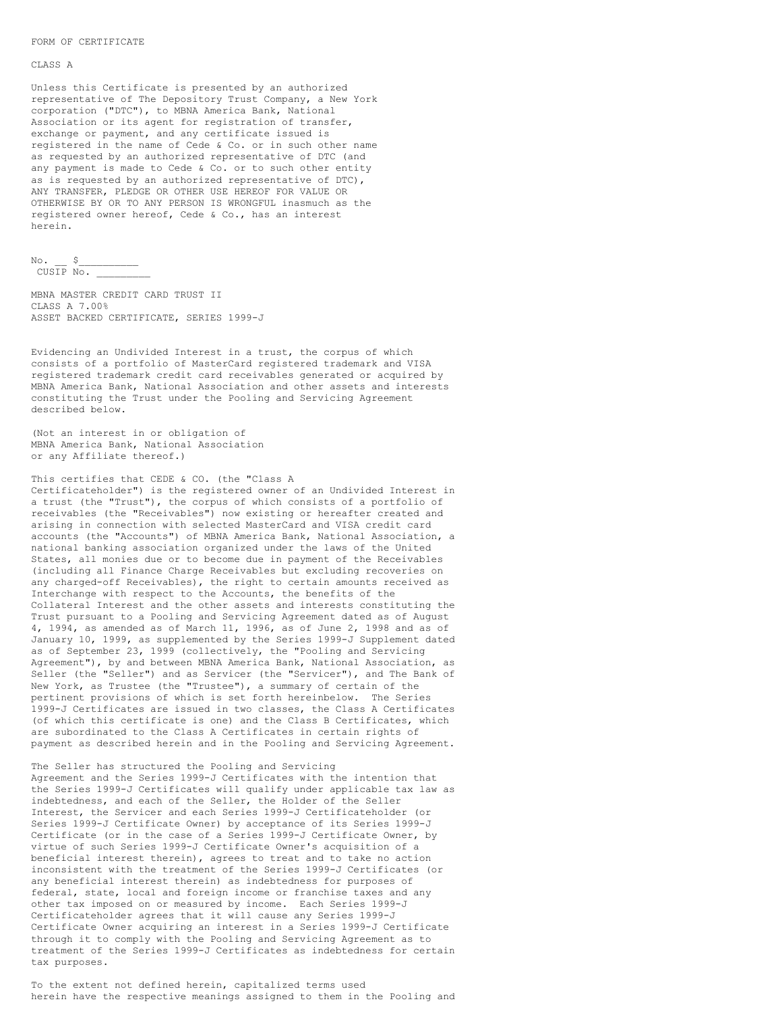#### FORM OF CERTIFICATE

### CLASS A

Unless this Certificate is presented by an authorized representative of The Depository Trust Company, a New York corporation ("DTC"), to MBNA America Bank, National Association or its agent for registration of transfer, exchange or payment, and any certificate issued is registered in the name of Cede & Co. or in such other name as requested by an authorized representative of DTC (and any payment is made to Cede & Co. or to such other entity as is requested by an authorized representative of DTC), ANY TRANSFER, PLEDGE OR OTHER USE HEREOF FOR VALUE OR OTHERWISE BY OR TO ANY PERSON IS WRONGFUL inasmuch as the registered owner hereof, Cede & Co., has an interest herein.

 $No.$   $S$  $CUSIP$  No.  $\overline{\phantom{a}}$ 

MBNA MASTER CREDIT CARD TRUST II CLASS A 7.00% ASSET BACKED CERTIFICATE, SERIES 1999-J

Evidencing an Undivided Interest in a trust, the corpus of which consists of a portfolio of MasterCard registered trademark and VISA registered trademark credit card receivables generated or acquired by MBNA America Bank, National Association and other assets and interests constituting the Trust under the Pooling and Servicing Agreement described below.

(Not an interest in or obligation of MBNA America Bank, National Association or any Affiliate thereof.)

This certifies that CEDE & CO. (the "Class A Certificateholder") is the registered owner of an Undivided Interest in a trust (the "Trust"), the corpus of which consists of a portfolio of receivables (the "Receivables") now existing or hereafter created and arising in connection with selected MasterCard and VISA credit card accounts (the "Accounts") of MBNA America Bank, National Association, a national banking association organized under the laws of the United States, all monies due or to become due in payment of the Receivables (including all Finance Charge Receivables but excluding recoveries on any charged-off Receivables), the right to certain amounts received as Interchange with respect to the Accounts, the benefits of the Collateral Interest and the other assets and interests constituting the Trust pursuant to a Pooling and Servicing Agreement dated as of August 4, 1994, as amended as of March 11, 1996, as of June 2, 1998 and as of January 10, 1999, as supplemented by the Series 1999-J Supplement dated as of September 23, 1999 (collectively, the "Pooling and Servicing Agreement"), by and between MBNA America Bank, National Association, as Seller (the "Seller") and as Servicer (the "Servicer"), and The Bank of New York, as Trustee (the "Trustee"), a summary of certain of the pertinent provisions of which is set forth hereinbelow. The Series 1999-J Certificates are issued in two classes, the Class A Certificates (of which this certificate is one) and the Class B Certificates, which are subordinated to the Class A Certificates in certain rights of payment as described herein and in the Pooling and Servicing Agreement.

The Seller has structured the Pooling and Servicing Agreement and the Series 1999-J Certificates with the intention that the Series 1999-J Certificates will qualify under applicable tax law as indebtedness, and each of the Seller, the Holder of the Seller Interest, the Servicer and each Series 1999-J Certificateholder (or Series 1999-J Certificate Owner) by acceptance of its Series 1999-J Certificate (or in the case of a Series 1999-J Certificate Owner, by virtue of such Series 1999-J Certificate Owner's acquisition of a beneficial interest therein), agrees to treat and to take no action inconsistent with the treatment of the Series 1999-J Certificates (or any beneficial interest therein) as indebtedness for purposes of federal, state, local and foreign income or franchise taxes and any other tax imposed on or measured by income. Each Series 1999-J Certificateholder agrees that it will cause any Series 1999-J Certificate Owner acquiring an interest in a Series 1999-J Certificate through it to comply with the Pooling and Servicing Agreement as to treatment of the Series 1999-J Certificates as indebtedness for certain tax purposes.

To the extent not defined herein, capitalized terms used herein have the respective meanings assigned to them in the Pooling and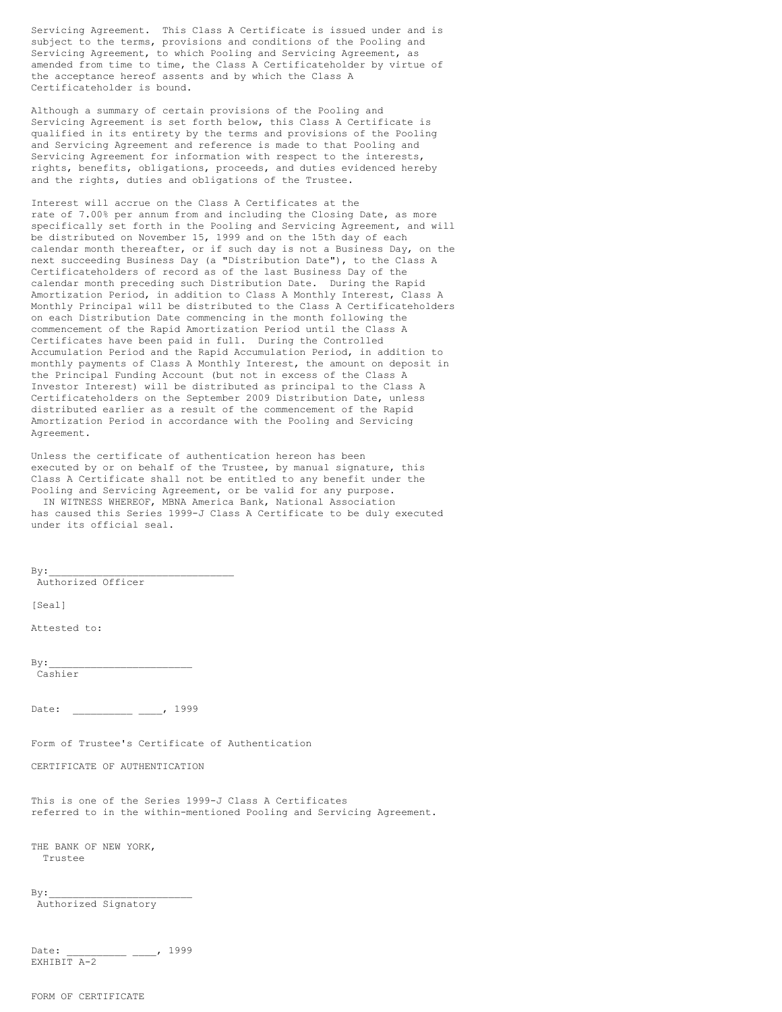Servicing Agreement. This Class A Certificate is issued under and is subject to the terms, provisions and conditions of the Pooling and Servicing Agreement, to which Pooling and Servicing Agreement, as amended from time to time, the Class A Certificateholder by virtue of the acceptance hereof assents and by which the Class A Certificateholder is bound.

Although a summary of certain provisions of the Pooling and Servicing Agreement is set forth below, this Class A Certificate is qualified in its entirety by the terms and provisions of the Pooling and Servicing Agreement and reference is made to that Pooling and Servicing Agreement for information with respect to the interests, rights, benefits, obligations, proceeds, and duties evidenced hereby and the rights, duties and obligations of the Trustee.

Interest will accrue on the Class A Certificates at the rate of 7.00% per annum from and including the Closing Date, as more specifically set forth in the Pooling and Servicing Agreement, and will be distributed on November 15, 1999 and on the 15th day of each calendar month thereafter, or if such day is not a Business Day, on the next succeeding Business Day (a "Distribution Date"), to the Class A Certificateholders of record as of the last Business Day of the calendar month preceding such Distribution Date. During the Rapid Amortization Period, in addition to Class A Monthly Interest, Class A Monthly Principal will be distributed to the Class A Certificateholders on each Distribution Date commencing in the month following the commencement of the Rapid Amortization Period until the Class A Certificates have been paid in full. During the Controlled Accumulation Period and the Rapid Accumulation Period, in addition to monthly payments of Class A Monthly Interest, the amount on deposit in the Principal Funding Account (but not in excess of the Class A Investor Interest) will be distributed as principal to the Class A Certificateholders on the September 2009 Distribution Date, unless distributed earlier as a result of the commencement of the Rapid Amortization Period in accordance with the Pooling and Servicing Agreement.

Unless the certificate of authentication hereon has been executed by or on behalf of the Trustee, by manual signature, this Class A Certificate shall not be entitled to any benefit under the Pooling and Servicing Agreement, or be valid for any purpose. IN WITNESS WHEREOF, MBNA America Bank, National Association has caused this Series 1999-J Class A Certificate to be duly executed under its official seal.

 $By:$ 

Authorized Officer

[Seal]

Attested to:

 $By:$ Cashier

Date: \_\_\_\_\_\_\_\_\_\_ \_\_\_, 1999

Form of Trustee's Certificate of Authentication

CERTIFICATE OF AUTHENTICATION

This is one of the Series 1999-J Class A Certificates referred to in the within-mentioned Pooling and Servicing Agreement.

THE BANK OF NEW YORK, Trustee

 $By:$ 

Authorized Signatory

Date: \_\_\_\_\_\_\_\_\_\_ \_\_\_\_, 1999 EXHIBIT A-2

FORM OF CERTIFICATE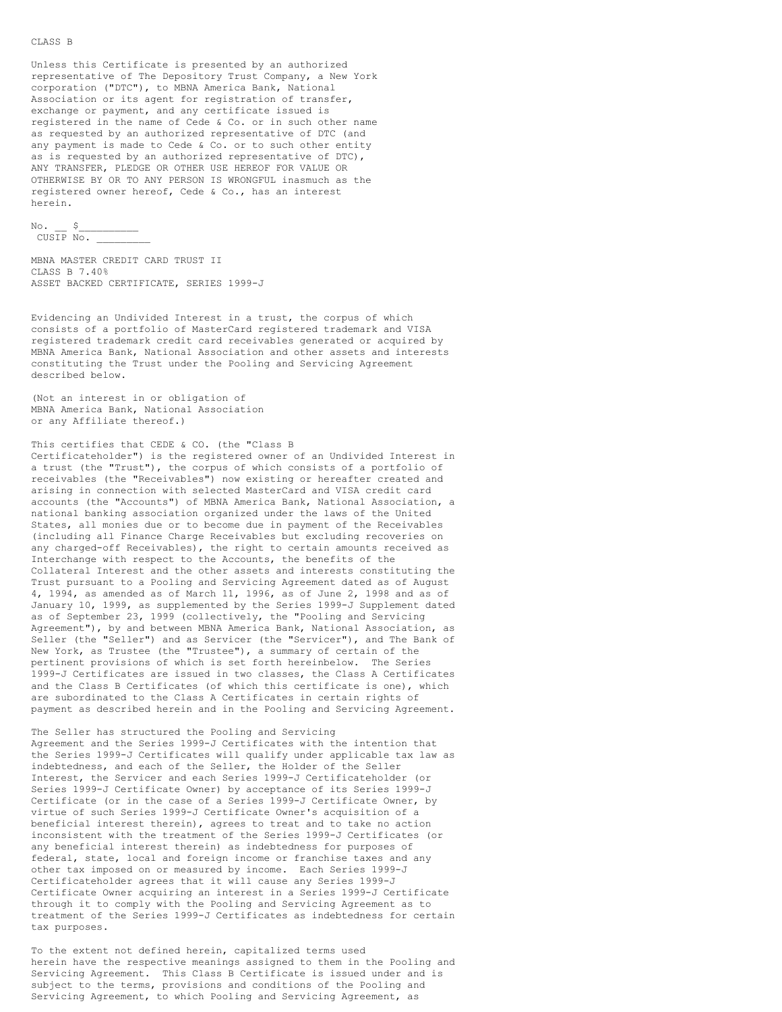#### CLASS B

Unless this Certificate is presented by an authorized representative of The Depository Trust Company, a New York corporation ("DTC"), to MBNA America Bank, National Association or its agent for registration of transfer, exchange or payment, and any certificate issued is registered in the name of Cede & Co. or in such other name as requested by an authorized representative of DTC (and any payment is made to Cede & Co. or to such other entity as is requested by an authorized representative of DTC), ANY TRANSFER, PLEDGE OR OTHER USE HEREOF FOR VALUE OR OTHERWISE BY OR TO ANY PERSON IS WRONGFUL inasmuch as the registered owner hereof, Cede & Co., has an interest herein.

 $\text{No.} \quad \text{S}$ CUSIP No. \_\_\_\_\_\_\_\_\_

```
MBNA MASTER CREDIT CARD TRUST II
CLASS B 7.40%
ASSET BACKED CERTIFICATE, SERIES 1999-J
```
Evidencing an Undivided Interest in a trust, the corpus of which consists of a portfolio of MasterCard registered trademark and VISA registered trademark credit card receivables generated or acquired by MBNA America Bank, National Association and other assets and interests constituting the Trust under the Pooling and Servicing Agreement described below.

(Not an interest in or obligation of MBNA America Bank, National Association or any Affiliate thereof.)

This certifies that CEDE & CO. (the "Class B

Certificateholder") is the registered owner of an Undivided Interest in a trust (the "Trust"), the corpus of which consists of a portfolio of receivables (the "Receivables") now existing or hereafter created and arising in connection with selected MasterCard and VISA credit card accounts (the "Accounts") of MBNA America Bank, National Association, a national banking association organized under the laws of the United States, all monies due or to become due in payment of the Receivables (including all Finance Charge Receivables but excluding recoveries on any charged-off Receivables), the right to certain amounts received as Interchange with respect to the Accounts, the benefits of the Collateral Interest and the other assets and interests constituting the Trust pursuant to a Pooling and Servicing Agreement dated as of August 4, 1994, as amended as of March 11, 1996, as of June 2, 1998 and as of January 10, 1999, as supplemented by the Series 1999-J Supplement dated as of September 23, 1999 (collectively, the "Pooling and Servicing Agreement"), by and between MBNA America Bank, National Association, as Seller (the "Seller") and as Servicer (the "Servicer"), and The Bank of New York, as Trustee (the "Trustee"), a summary of certain of the pertinent provisions of which is set forth hereinbelow. The Series 1999-J Certificates are issued in two classes, the Class A Certificates and the Class B Certificates (of which this certificate is one), which are subordinated to the Class A Certificates in certain rights of payment as described herein and in the Pooling and Servicing Agreement.

The Seller has structured the Pooling and Servicing Agreement and the Series 1999-J Certificates with the intention that the Series 1999-J Certificates will qualify under applicable tax law as indebtedness, and each of the Seller, the Holder of the Seller Interest, the Servicer and each Series 1999-J Certificateholder (or Series 1999-J Certificate Owner) by acceptance of its Series 1999-J Certificate (or in the case of a Series 1999-J Certificate Owner, by virtue of such Series 1999-J Certificate Owner's acquisition of a beneficial interest therein), agrees to treat and to take no action inconsistent with the treatment of the Series 1999-J Certificates (or any beneficial interest therein) as indebtedness for purposes of federal, state, local and foreign income or franchise taxes and any other tax imposed on or measured by income. Each Series 1999-J Certificateholder agrees that it will cause any Series 1999-J Certificate Owner acquiring an interest in a Series 1999-J Certificate through it to comply with the Pooling and Servicing Agreement as to treatment of the Series 1999-J Certificates as indebtedness for certain tax purposes.

To the extent not defined herein, capitalized terms used herein have the respective meanings assigned to them in the Pooling and Servicing Agreement. This Class B Certificate is issued under and is subject to the terms, provisions and conditions of the Pooling and Servicing Agreement, to which Pooling and Servicing Agreement, as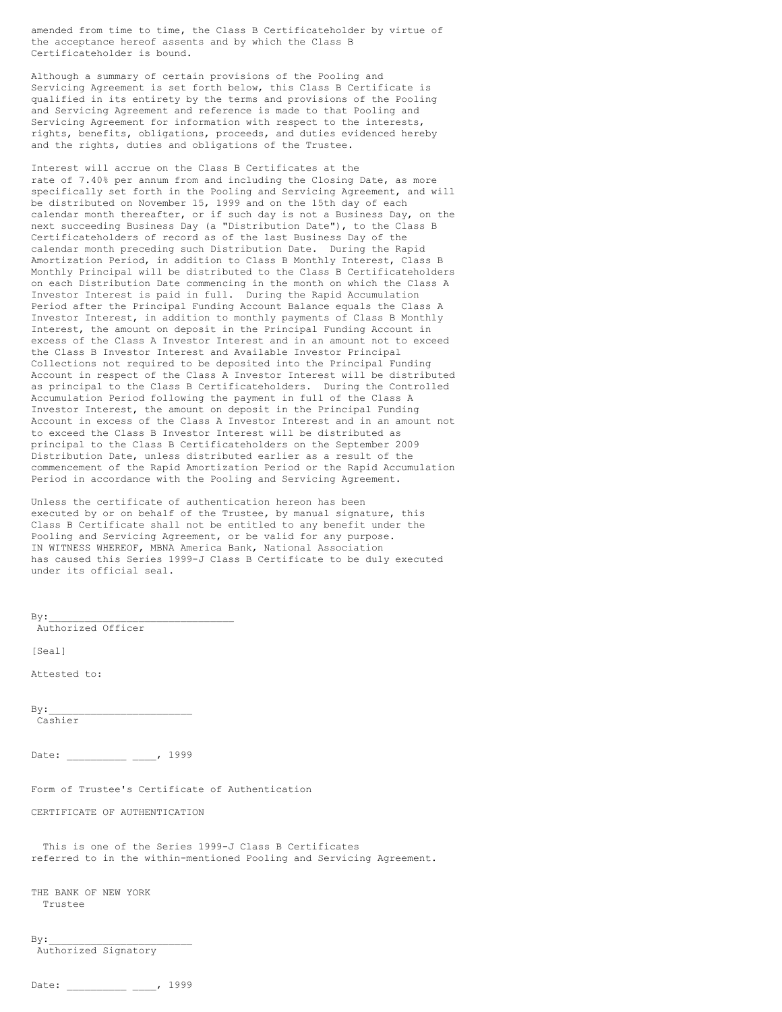amended from time to time, the Class B Certificateholder by virtue of the acceptance hereof assents and by which the Class B Certificateholder is bound.

Although a summary of certain provisions of the Pooling and Servicing Agreement is set forth below, this Class B Certificate is qualified in its entirety by the terms and provisions of the Pooling and Servicing Agreement and reference is made to that Pooling and Servicing Agreement for information with respect to the interests, rights, benefits, obligations, proceeds, and duties evidenced hereby and the rights, duties and obligations of the Trustee.

Interest will accrue on the Class B Certificates at the rate of 7.40% per annum from and including the Closing Date, as more specifically set forth in the Pooling and Servicing Agreement, and will be distributed on November 15, 1999 and on the 15th day of each calendar month thereafter, or if such day is not a Business Day, on the next succeeding Business Day (a "Distribution Date"), to the Class B Certificateholders of record as of the last Business Day of the calendar month preceding such Distribution Date. During the Rapid Amortization Period, in addition to Class B Monthly Interest, Class B Monthly Principal will be distributed to the Class B Certificateholders on each Distribution Date commencing in the month on which the Class A Investor Interest is paid in full. During the Rapid Accumulation Period after the Principal Funding Account Balance equals the Class A Investor Interest, in addition to monthly payments of Class B Monthly Interest, the amount on deposit in the Principal Funding Account in excess of the Class A Investor Interest and in an amount not to exceed the Class B Investor Interest and Available Investor Principal Collections not required to be deposited into the Principal Funding Account in respect of the Class A Investor Interest will be distributed as principal to the Class B Certificateholders. During the Controlled Accumulation Period following the payment in full of the Class A Investor Interest, the amount on deposit in the Principal Funding Account in excess of the Class A Investor Interest and in an amount not to exceed the Class B Investor Interest will be distributed as principal to the Class B Certificateholders on the September 2009 Distribution Date, unless distributed earlier as a result of the commencement of the Rapid Amortization Period or the Rapid Accumulation Period in accordance with the Pooling and Servicing Agreement.

Unless the certificate of authentication hereon has been executed by or on behalf of the Trustee, by manual signature, this Class B Certificate shall not be entitled to any benefit under the Pooling and Servicing Agreement, or be valid for any purpose. IN WITNESS WHEREOF, MBNA America Bank, National Association has caused this Series 1999-J Class B Certificate to be duly executed under its official seal.

Authorized Officer [Seal] Attested to:  $By:$ Cashier Date: \_\_\_\_\_\_\_\_ \_\_\_\_, 1999 Form of Trustee's Certificate of Authentication CERTIFICATE OF AUTHENTICATION This is one of the Series 1999-J Class B Certificates referred to in the within-mentioned Pooling and Servicing Agreement. THE BANK OF NEW YORK Trustee  $By:$ Authorized Signatory

```
Date: , 1999
```
 $By:$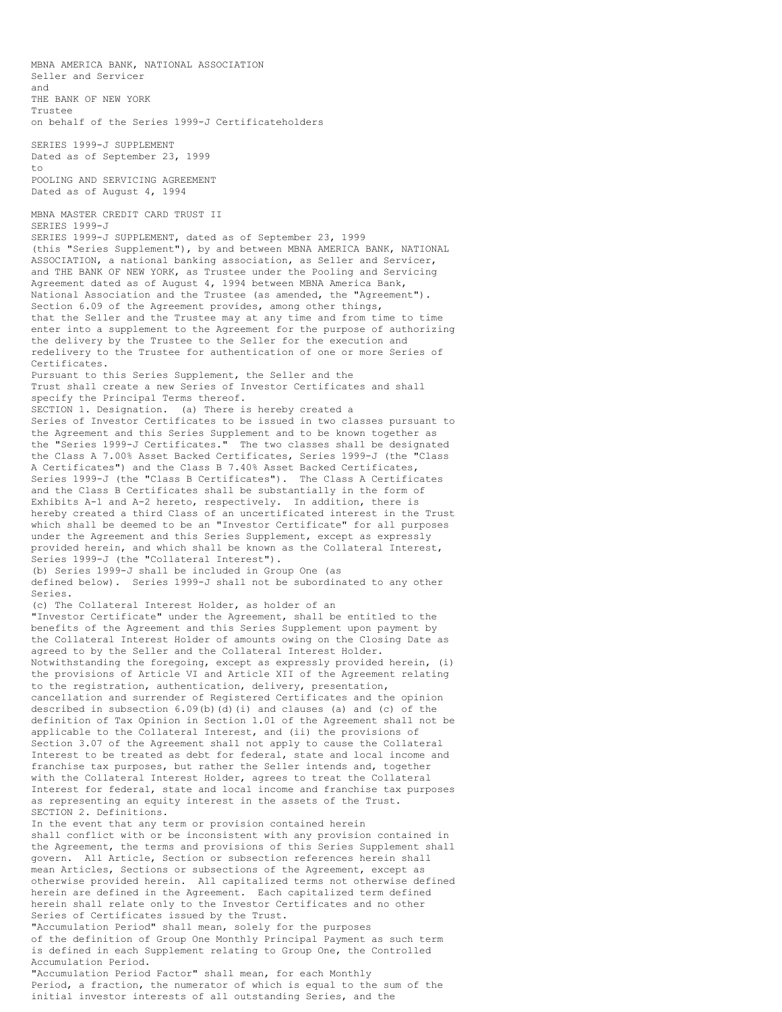MBNA AMERICA BANK, NATIONAL ASSOCIATION Seller and Servicer and THE BANK OF NEW YORK Trustee on behalf of the Series 1999-J Certificateholders SERIES 1999-J SUPPLEMENT Dated as of September 23, 1999 to POOLING AND SERVICING AGREEMENT Dated as of August 4, 1994 MBNA MASTER CREDIT CARD TRUST II SERIES 1999-J SERIES 1999-J SUPPLEMENT, dated as of September 23, 1999 (this "Series Supplement"), by and between MBNA AMERICA BANK, NATIONAL ASSOCIATION, a national banking association, as Seller and Servicer, and THE BANK OF NEW YORK, as Trustee under the Pooling and Servicing Agreement dated as of August 4, 1994 between MBNA America Bank, National Association and the Trustee (as amended, the "Agreement"). Section 6.09 of the Agreement provides, among other things, that the Seller and the Trustee may at any time and from time to time enter into a supplement to the Agreement for the purpose of authorizing the delivery by the Trustee to the Seller for the execution and redelivery to the Trustee for authentication of one or more Series of Certificates. Pursuant to this Series Supplement, the Seller and the Trust shall create a new Series of Investor Certificates and shall specify the Principal Terms thereof. SECTION 1. Designation. (a) There is hereby created a Series of Investor Certificates to be issued in two classes pursuant to the Agreement and this Series Supplement and to be known together as the "Series 1999-J Certificates." The two classes shall be designated the Class A 7.00% Asset Backed Certificates, Series 1999-J (the "Class A Certificates") and the Class B 7.40% Asset Backed Certificates, Series 1999-J (the "Class B Certificates"). The Class A Certificates and the Class B Certificates shall be substantially in the form of Exhibits A-1 and A-2 hereto, respectively. In addition, there is hereby created a third Class of an uncertificated interest in the Trust which shall be deemed to be an "Investor Certificate" for all purposes under the Agreement and this Series Supplement, except as expressly provided herein, and which shall be known as the Collateral Interest, Series 1999-J (the "Collateral Interest"). (b) Series 1999-J shall be included in Group One (as defined below). Series 1999-J shall not be subordinated to any other Series. (c) The Collateral Interest Holder, as holder of an "Investor Certificate" under the Agreement, shall be entitled to the benefits of the Agreement and this Series Supplement upon payment by the Collateral Interest Holder of amounts owing on the Closing Date as agreed to by the Seller and the Collateral Interest Holder. Notwithstanding the foregoing, except as expressly provided herein, (i) the provisions of Article VI and Article XII of the Agreement relating to the registration, authentication, delivery, presentation, cancellation and surrender of Registered Certificates and the opinion described in subsection  $6.09(b)(d)(i)$  and clauses (a) and (c) of the definition of Tax Opinion in Section 1.01 of the Agreement shall not be applicable to the Collateral Interest, and (ii) the provisions of Section 3.07 of the Agreement shall not apply to cause the Collateral Interest to be treated as debt for federal, state and local income and franchise tax purposes, but rather the Seller intends and, together with the Collateral Interest Holder, agrees to treat the Collateral Interest for federal, state and local income and franchise tax purposes as representing an equity interest in the assets of the Trust. SECTION 2. Definitions. In the event that any term or provision contained herein shall conflict with or be inconsistent with any provision contained in the Agreement, the terms and provisions of this Series Supplement shall govern. All Article, Section or subsection references herein shall mean Articles, Sections or subsections of the Agreement, except as otherwise provided herein. All capitalized terms not otherwise defined herein are defined in the Agreement. Each capitalized term defined herein shall relate only to the Investor Certificates and no other Series of Certificates issued by the Trust. "Accumulation Period" shall mean, solely for the purposes of the definition of Group One Monthly Principal Payment as such term is defined in each Supplement relating to Group One, the Controlled Accumulation Period. "Accumulation Period Factor" shall mean, for each Monthly

Period, a fraction, the numerator of which is equal to the sum of the initial investor interests of all outstanding Series, and the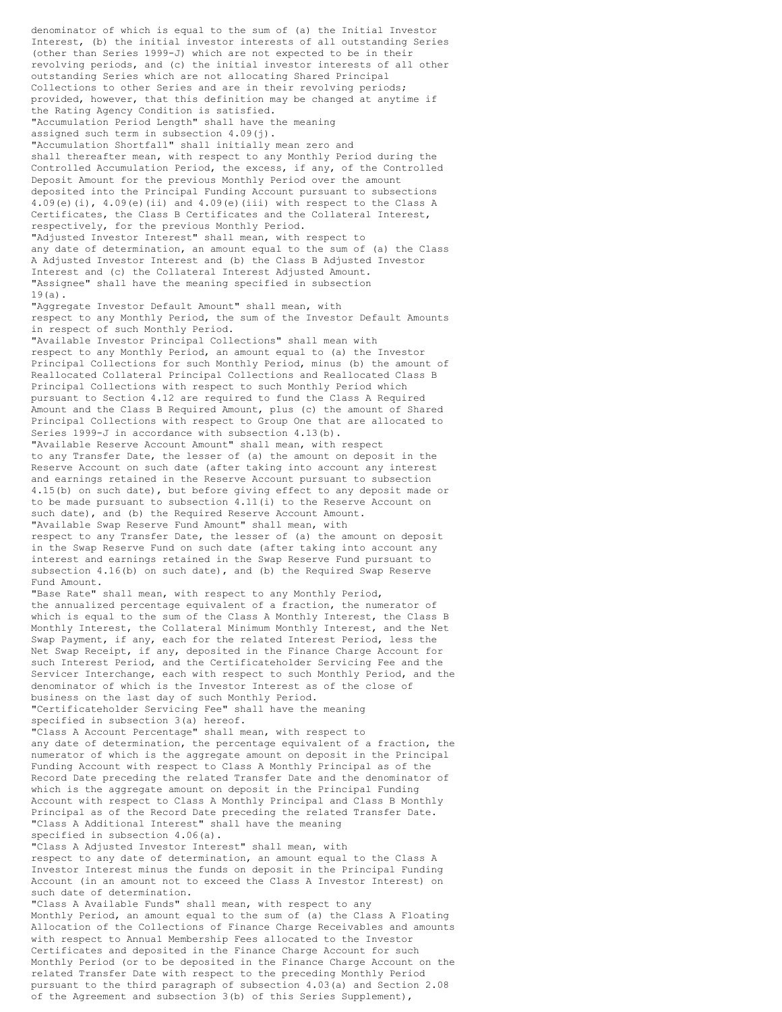denominator of which is equal to the sum of (a) the Initial Investor Interest, (b) the initial investor interests of all outstanding Series (other than Series 1999-J) which are not expected to be in their revolving periods, and (c) the initial investor interests of all other outstanding Series which are not allocating Shared Principal Collections to other Series and are in their revolving periods; provided, however, that this definition may be changed at anytime if the Rating Agency Condition is satisfied. "Accumulation Period Length" shall have the meaning assigned such term in subsection 4.09(j). "Accumulation Shortfall" shall initially mean zero and shall thereafter mean, with respect to any Monthly Period during the Controlled Accumulation Period, the excess, if any, of the Controlled Deposit Amount for the previous Monthly Period over the amount deposited into the Principal Funding Account pursuant to subsections 4.09(e)(i),  $4.09$ (e)(ii) and  $4.09$ (e)(iii) with respect to the Class A Certificates, the Class B Certificates and the Collateral Interest, respectively, for the previous Monthly Period. "Adjusted Investor Interest" shall mean, with respect to any date of determination, an amount equal to the sum of (a) the Class A Adjusted Investor Interest and (b) the Class B Adjusted Investor Interest and (c) the Collateral Interest Adjusted Amount. "Assignee" shall have the meaning specified in subsection  $19(a)$ . "Aggregate Investor Default Amount" shall mean, with respect to any Monthly Period, the sum of the Investor Default Amounts in respect of such Monthly Period. "Available Investor Principal Collections" shall mean with respect to any Monthly Period, an amount equal to (a) the Investor Principal Collections for such Monthly Period, minus (b) the amount of Reallocated Collateral Principal Collections and Reallocated Class B Principal Collections with respect to such Monthly Period which pursuant to Section 4.12 are required to fund the Class A Required Amount and the Class B Required Amount, plus (c) the amount of Shared Principal Collections with respect to Group One that are allocated to Series 1999-J in accordance with subsection 4.13(b). "Available Reserve Account Amount" shall mean, with respect to any Transfer Date, the lesser of (a) the amount on deposit in the Reserve Account on such date (after taking into account any interest and earnings retained in the Reserve Account pursuant to subsection 4.15(b) on such date), but before giving effect to any deposit made or to be made pursuant to subsection 4.11(i) to the Reserve Account on such date), and (b) the Required Reserve Account Amount. "Available Swap Reserve Fund Amount" shall mean, with respect to any Transfer Date, the lesser of (a) the amount on deposit in the Swap Reserve Fund on such date (after taking into account any interest and earnings retained in the Swap Reserve Fund pursuant to subsection 4.16(b) on such date), and (b) the Required Swap Reserve Fund Amount. "Base Rate" shall mean, with respect to any Monthly Period, the annualized percentage equivalent of a fraction, the numerator of which is equal to the sum of the Class A Monthly Interest, the Class B Monthly Interest, the Collateral Minimum Monthly Interest, and the Net Swap Payment, if any, each for the related Interest Period, less the Net Swap Receipt, if any, deposited in the Finance Charge Account for such Interest Period, and the Certificateholder Servicing Fee and the Servicer Interchange, each with respect to such Monthly Period, and the denominator of which is the Investor Interest as of the close of business on the last day of such Monthly Period. "Certificateholder Servicing Fee" shall have the meaning specified in subsection 3(a) hereof. "Class A Account Percentage" shall mean, with respect to any date of determination, the percentage equivalent of a fraction, the numerator of which is the aggregate amount on deposit in the Principal Funding Account with respect to Class A Monthly Principal as of the Record Date preceding the related Transfer Date and the denominator of which is the aggregate amount on deposit in the Principal Funding Account with respect to Class A Monthly Principal and Class B Monthly Principal as of the Record Date preceding the related Transfer Date. "Class A Additional Interest" shall have the meaning specified in subsection 4.06(a). "Class A Adjusted Investor Interest" shall mean, with respect to any date of determination, an amount equal to the Class A Investor Interest minus the funds on deposit in the Principal Funding Account (in an amount not to exceed the Class A Investor Interest) on such date of determination. "Class A Available Funds" shall mean, with respect to any Monthly Period, an amount equal to the sum of (a) the Class A Floating Allocation of the Collections of Finance Charge Receivables and amounts with respect to Annual Membership Fees allocated to the Investor

Certificates and deposited in the Finance Charge Account for such Monthly Period (or to be deposited in the Finance Charge Account on the related Transfer Date with respect to the preceding Monthly Period pursuant to the third paragraph of subsection 4.03(a) and Section 2.08 of the Agreement and subsection 3(b) of this Series Supplement),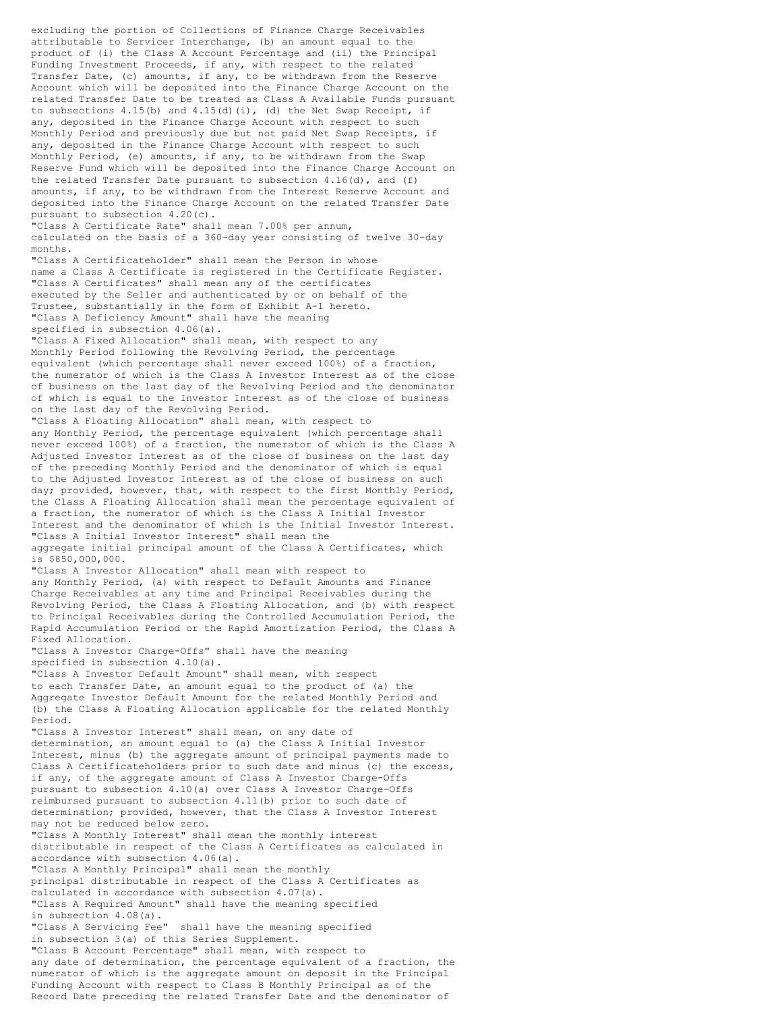excluding the portion of Collections of Finance Charge Receivables attributable to Servicer Interchange, (b) an amount equal to the product of (i) the Class A Account Percentage and (ii) the Principal Funding Investment Proceeds, if any, with respect to the related Transfer Date, (c) amounts, if any, to be withdrawn from the Reserve Account which will be deposited into the Finance Charge Account on the related Transfer Date to be treated as Class A Available Funds pursuant to subsections  $4.15(b)$  and  $4.15(d)(i)$ , (d) the Net Swap Receipt, if any, deposited in the Finance Charge Account with respect to such Monthly Period and previously due but not paid Net Swap Receipts, if any, deposited in the Finance Charge Account with respect to such Monthly Period, (e) amounts, if any, to be withdrawn from the Swap Reserve Fund which will be deposited into the Finance Charge Account on the related Transfer Date pursuant to subsection  $4.16(d)$ , and (f) amounts, if any, to be withdrawn from the Interest Reserve Account and deposited into the Finance Charge Account on the related Transfer Date pursuant to subsection 4.20(c). "Class A Certificate Rate" shall mean 7.00% per annum, calculated on the basis of a 360-day year consisting of twelve 30-day months. "Class A Certificateholder" shall mean the Person in whose name a Class A Certificate is registered in the Certificate Register. "Class A Certificates" shall mean any of the certificates executed by the Seller and authenticated by or on behalf of the Trustee, substantially in the form of Exhibit A-1 hereto. "Class A Deficiency Amount" shall have the meaning specified in subsection 4.06(a). "Class A Fixed Allocation" shall mean, with respect to any Monthly Period following the Revolving Period, the percentage equivalent (which percentage shall never exceed 100%) of a fraction, the numerator of which is the Class A Investor Interest as of the close of business on the last day of the Revolving Period and the denominator of which is equal to the Investor Interest as of the close of business on the last day of the Revolving Period. "Class A Floating Allocation" shall mean, with respect to any Monthly Period, the percentage equivalent (which percentage shall never exceed 100%) of a fraction, the numerator of which is the Class A Adjusted Investor Interest as of the close of business on the last day of the preceding Monthly Period and the denominator of which is equal to the Adjusted Investor Interest as of the close of business on such day; provided, however, that, with respect to the first Monthly Period, the Class A Floating Allocation shall mean the percentage equivalent of a fraction, the numerator of which is the Class A Initial Investor Interest and the denominator of which is the Initial Investor Interest. "Class A Initial Investor Interest" shall mean the aggregate initial principal amount of the Class A Certificates, which is \$850,000,000. "Class A Investor Allocation" shall mean with respect to any Monthly Period, (a) with respect to Default Amounts and Finance Charge Receivables at any time and Principal Receivables during the Revolving Period, the Class A Floating Allocation, and (b) with respect to Principal Receivables during the Controlled Accumulation Period, the Rapid Accumulation Period or the Rapid Amortization Period, the Class A Fixed Allocation. "Class A Investor Charge-Offs" shall have the meaning specified in subsection 4.10(a). "Class A Investor Default Amount" shall mean, with respect to each Transfer Date, an amount equal to the product of (a) the Aggregate Investor Default Amount for the related Monthly Period and (b) the Class A Floating Allocation applicable for the related Monthly Period. "Class A Investor Interest" shall mean, on any date of determination, an amount equal to (a) the Class A Initial Investor Interest, minus (b) the aggregate amount of principal payments made to Class A Certificateholders prior to such date and minus (c) the excess, if any, of the aggregate amount of Class A Investor Charge-Offs pursuant to subsection 4.10(a) over Class A Investor Charge-Offs reimbursed pursuant to subsection 4.11(b) prior to such date of determination; provided, however, that the Class A Investor Interest may not be reduced below zero. "Class A Monthly Interest" shall mean the monthly interest distributable in respect of the Class A Certificates as calculated in accordance with subsection 4.06(a). "Class A Monthly Principal" shall mean the monthly principal distributable in respect of the Class A Certificates as calculated in accordance with subsection 4.07(a). "Class A Required Amount" shall have the meaning specified in subsection 4.08(a). "Class A Servicing Fee" shall have the meaning specified in subsection 3(a) of this Series Supplement. "Class B Account Percentage" shall mean, with respect to any date of determination, the percentage equivalent of a fraction, the numerator of which is the aggregate amount on deposit in the Principal Funding Account with respect to Class B Monthly Principal as of the Record Date preceding the related Transfer Date and the denominator of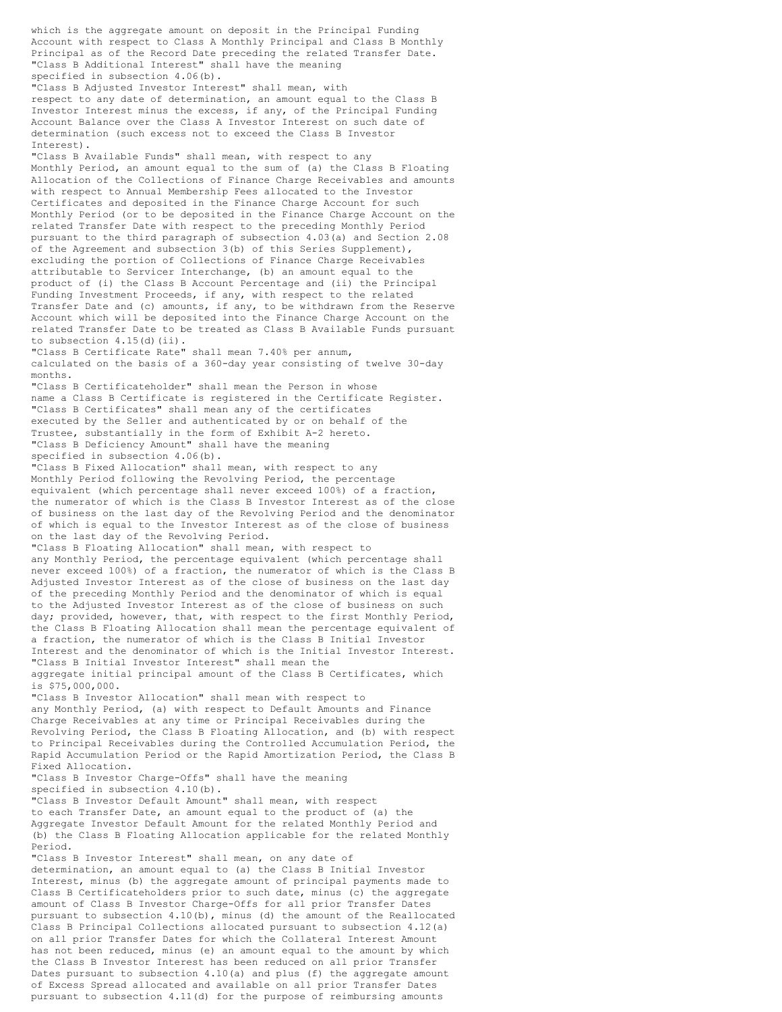which is the aggregate amount on deposit in the Principal Funding Account with respect to Class A Monthly Principal and Class B Monthly Principal as of the Record Date preceding the related Transfer Date. "Class B Additional Interest" shall have the meaning specified in subsection 4.06(b). "Class B Adjusted Investor Interest" shall mean, with respect to any date of determination, an amount equal to the Class B Investor Interest minus the excess, if any, of the Principal Funding Account Balance over the Class A Investor Interest on such date of determination (such excess not to exceed the Class B Investor Interest). "Class B Available Funds" shall mean, with respect to any Monthly Period, an amount equal to the sum of (a) the Class B Floating Allocation of the Collections of Finance Charge Receivables and amounts with respect to Annual Membership Fees allocated to the Investor Certificates and deposited in the Finance Charge Account for such Monthly Period (or to be deposited in the Finance Charge Account on the related Transfer Date with respect to the preceding Monthly Period pursuant to the third paragraph of subsection 4.03(a) and Section 2.08 of the Agreement and subsection 3(b) of this Series Supplement), excluding the portion of Collections of Finance Charge Receivables attributable to Servicer Interchange, (b) an amount equal to the product of (i) the Class B Account Percentage and (ii) the Principal Funding Investment Proceeds, if any, with respect to the related Transfer Date and (c) amounts, if any, to be withdrawn from the Reserve Account which will be deposited into the Finance Charge Account on the related Transfer Date to be treated as Class B Available Funds pursuant to subsection  $4.15$ (d)(ii). "Class B Certificate Rate" shall mean 7.40% per annum, calculated on the basis of a 360-day year consisting of twelve 30-day months. "Class B Certificateholder" shall mean the Person in whose name a Class B Certificate is registered in the Certificate Register. "Class B Certificates" shall mean any of the certificates executed by the Seller and authenticated by or on behalf of the Trustee, substantially in the form of Exhibit A-2 hereto. "Class B Deficiency Amount" shall have the meaning specified in subsection 4.06(b). "Class B Fixed Allocation" shall mean, with respect to any Monthly Period following the Revolving Period, the percentage equivalent (which percentage shall never exceed 100%) of a fraction, the numerator of which is the Class B Investor Interest as of the close of business on the last day of the Revolving Period and the denominator of which is equal to the Investor Interest as of the close of business on the last day of the Revolving Period. "Class B Floating Allocation" shall mean, with respect to any Monthly Period, the percentage equivalent (which percentage shall never exceed 100%) of a fraction, the numerator of which is the Class B Adjusted Investor Interest as of the close of business on the last day of the preceding Monthly Period and the denominator of which is equal to the Adjusted Investor Interest as of the close of business on such day; provided, however, that, with respect to the first Monthly Period, the Class B Floating Allocation shall mean the percentage equivalent of a fraction, the numerator of which is the Class B Initial Investor Interest and the denominator of which is the Initial Investor Interest. "Class B Initial Investor Interest" shall mean the aggregate initial principal amount of the Class B Certificates, which is \$75,000,000. "Class B Investor Allocation" shall mean with respect to any Monthly Period, (a) with respect to Default Amounts and Finance Charge Receivables at any time or Principal Receivables during the Revolving Period, the Class B Floating Allocation, and (b) with respect to Principal Receivables during the Controlled Accumulation Period, the Rapid Accumulation Period or the Rapid Amortization Period, the Class B Fixed Allocation. "Class B Investor Charge-Offs" shall have the meaning specified in subsection 4.10(b). "Class B Investor Default Amount" shall mean, with respect to each Transfer Date, an amount equal to the product of (a) the Aggregate Investor Default Amount for the related Monthly Period and (b) the Class B Floating Allocation applicable for the related Monthly Period. "Class B Investor Interest" shall mean, on any date of determination, an amount equal to (a) the Class B Initial Investor Interest, minus (b) the aggregate amount of principal payments made to Class B Certificateholders prior to such date, minus (c) the aggregate amount of Class B Investor Charge-Offs for all prior Transfer Dates pursuant to subsection 4.10(b), minus (d) the amount of the Reallocated Class B Principal Collections allocated pursuant to subsection 4.12(a) on all prior Transfer Dates for which the Collateral Interest Amount has not been reduced, minus (e) an amount equal to the amount by which the Class B Investor Interest has been reduced on all prior Transfer Dates pursuant to subsection 4.10(a) and plus (f) the aggregate amount

of Excess Spread allocated and available on all prior Transfer Dates pursuant to subsection 4.11(d) for the purpose of reimbursing amounts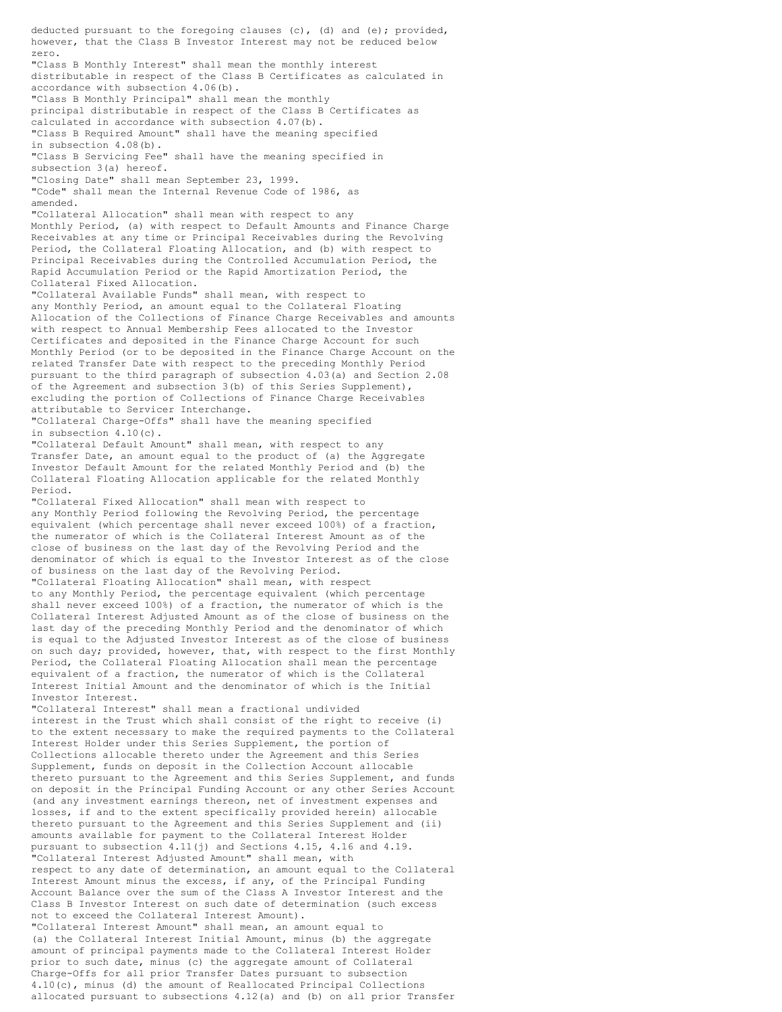deducted pursuant to the foregoing clauses  $(c)$ ,  $(d)$  and  $(e)$ ; provided, however, that the Class B Investor Interest may not be reduced below zero. "Class B Monthly Interest" shall mean the monthly interest distributable in respect of the Class B Certificates as calculated in accordance with subsection 4.06(b). "Class B Monthly Principal" shall mean the monthly principal distributable in respect of the Class B Certificates as calculated in accordance with subsection 4.07(b). "Class B Required Amount" shall have the meaning specified in subsection 4.08(b). "Class B Servicing Fee" shall have the meaning specified in subsection 3(a) hereof. "Closing Date" shall mean September 23, 1999. "Code" shall mean the Internal Revenue Code of 1986, as amended. "Collateral Allocation" shall mean with respect to any Monthly Period, (a) with respect to Default Amounts and Finance Charge Receivables at any time or Principal Receivables during the Revolving Period, the Collateral Floating Allocation, and (b) with respect to Principal Receivables during the Controlled Accumulation Period, the Rapid Accumulation Period or the Rapid Amortization Period, the Collateral Fixed Allocation. "Collateral Available Funds" shall mean, with respect to any Monthly Period, an amount equal to the Collateral Floating Allocation of the Collections of Finance Charge Receivables and amounts with respect to Annual Membership Fees allocated to the Investor Certificates and deposited in the Finance Charge Account for such Monthly Period (or to be deposited in the Finance Charge Account on the related Transfer Date with respect to the preceding Monthly Period pursuant to the third paragraph of subsection 4.03(a) and Section 2.08 of the Agreement and subsection 3(b) of this Series Supplement), excluding the portion of Collections of Finance Charge Receivables attributable to Servicer Interchange. "Collateral Charge-Offs" shall have the meaning specified in subsection 4.10(c). "Collateral Default Amount" shall mean, with respect to any Transfer Date, an amount equal to the product of (a) the Aggregate Investor Default Amount for the related Monthly Period and (b) the Collateral Floating Allocation applicable for the related Monthly Period. "Collateral Fixed Allocation" shall mean with respect to any Monthly Period following the Revolving Period, the percentage equivalent (which percentage shall never exceed 100%) of a fraction, the numerator of which is the Collateral Interest Amount as of the close of business on the last day of the Revolving Period and the denominator of which is equal to the Investor Interest as of the close of business on the last day of the Revolving Period. "Collateral Floating Allocation" shall mean, with respect to any Monthly Period, the percentage equivalent (which percentage shall never exceed 100%) of a fraction, the numerator of which is the Collateral Interest Adjusted Amount as of the close of business on the last day of the preceding Monthly Period and the denominator of which is equal to the Adjusted Investor Interest as of the close of business on such day; provided, however, that, with respect to the first Monthly Period, the Collateral Floating Allocation shall mean the percentage equivalent of a fraction, the numerator of which is the Collateral Interest Initial Amount and the denominator of which is the Initial Investor Interest. "Collateral Interest" shall mean a fractional undivided interest in the Trust which shall consist of the right to receive (i) to the extent necessary to make the required payments to the Collateral Interest Holder under this Series Supplement, the portion of Collections allocable thereto under the Agreement and this Series Supplement, funds on deposit in the Collection Account allocable thereto pursuant to the Agreement and this Series Supplement, and funds on deposit in the Principal Funding Account or any other Series Account (and any investment earnings thereon, net of investment expenses and losses, if and to the extent specifically provided herein) allocable thereto pursuant to the Agreement and this Series Supplement and (ii) amounts available for payment to the Collateral Interest Holder pursuant to subsection 4.11(j) and Sections 4.15, 4.16 and 4.19. "Collateral Interest Adjusted Amount" shall mean, with respect to any date of determination, an amount equal to the Collateral Interest Amount minus the excess, if any, of the Principal Funding Account Balance over the sum of the Class A Investor Interest and the Class B Investor Interest on such date of determination (such excess not to exceed the Collateral Interest Amount). "Collateral Interest Amount" shall mean, an amount equal to (a) the Collateral Interest Initial Amount, minus (b) the aggregate amount of principal payments made to the Collateral Interest Holder prior to such date, minus (c) the aggregate amount of Collateral Charge-Offs for all prior Transfer Dates pursuant to subsection 4.10(c), minus (d) the amount of Reallocated Principal Collections allocated pursuant to subsections 4.12(a) and (b) on all prior Transfer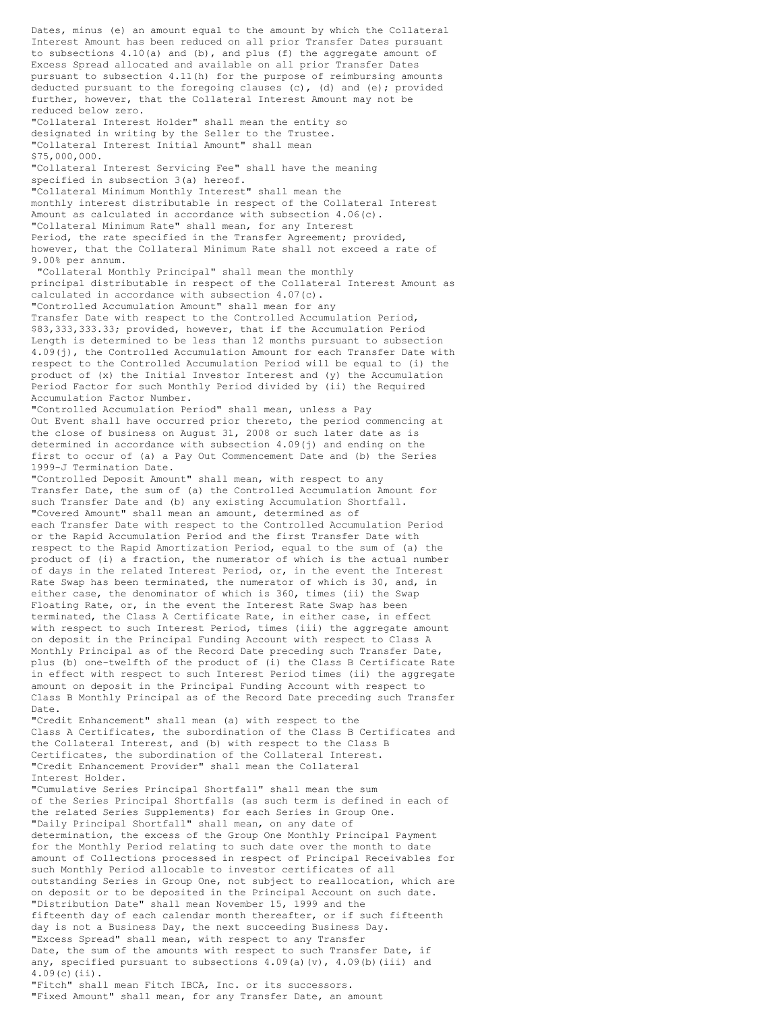Dates, minus (e) an amount equal to the amount by which the Collateral Interest Amount has been reduced on all prior Transfer Dates pursuant to subsections 4.10(a) and (b), and plus (f) the aggregate amount of Excess Spread allocated and available on all prior Transfer Dates pursuant to subsection 4.11(h) for the purpose of reimbursing amounts deducted pursuant to the foregoing clauses (c), (d) and (e); provided further, however, that the Collateral Interest Amount may not be reduced below zero. "Collateral Interest Holder" shall mean the entity so designated in writing by the Seller to the Trustee. "Collateral Interest Initial Amount" shall mean \$75,000,000. "Collateral Interest Servicing Fee" shall have the meaning specified in subsection 3(a) hereof. "Collateral Minimum Monthly Interest" shall mean the monthly interest distributable in respect of the Collateral Interest Amount as calculated in accordance with subsection 4.06(c). "Collateral Minimum Rate" shall mean, for any Interest Period, the rate specified in the Transfer Agreement; provided, however, that the Collateral Minimum Rate shall not exceed a rate of 9.00% per annum. "Collateral Monthly Principal" shall mean the monthly principal distributable in respect of the Collateral Interest Amount as calculated in accordance with subsection 4.07(c). "Controlled Accumulation Amount" shall mean for any Transfer Date with respect to the Controlled Accumulation Period, \$83,333,333.33; provided, however, that if the Accumulation Period Length is determined to be less than 12 months pursuant to subsection 4.09(j), the Controlled Accumulation Amount for each Transfer Date with respect to the Controlled Accumulation Period will be equal to (i) the product of (x) the Initial Investor Interest and (y) the Accumulation Period Factor for such Monthly Period divided by (ii) the Required Accumulation Factor Number. "Controlled Accumulation Period" shall mean, unless a Pay Out Event shall have occurred prior thereto, the period commencing at the close of business on August 31, 2008 or such later date as is determined in accordance with subsection 4.09(j) and ending on the first to occur of (a) a Pay Out Commencement Date and (b) the Series 1999-J Termination Date. "Controlled Deposit Amount" shall mean, with respect to any Transfer Date, the sum of (a) the Controlled Accumulation Amount for such Transfer Date and (b) any existing Accumulation Shortfall. "Covered Amount" shall mean an amount, determined as of each Transfer Date with respect to the Controlled Accumulation Period or the Rapid Accumulation Period and the first Transfer Date with respect to the Rapid Amortization Period, equal to the sum of (a) the product of (i) a fraction, the numerator of which is the actual number of days in the related Interest Period, or, in the event the Interest Rate Swap has been terminated, the numerator of which is 30, and, in either case, the denominator of which is 360, times (ii) the Swap Floating Rate, or, in the event the Interest Rate Swap has been terminated, the Class A Certificate Rate, in either case, in effect with respect to such Interest Period, times (iii) the aggregate amount on deposit in the Principal Funding Account with respect to Class A Monthly Principal as of the Record Date preceding such Transfer Date, plus (b) one-twelfth of the product of (i) the Class B Certificate Rate in effect with respect to such Interest Period times (ii) the aggregate amount on deposit in the Principal Funding Account with respect to Class B Monthly Principal as of the Record Date preceding such Transfer Date. "Credit Enhancement" shall mean (a) with respect to the Class A Certificates, the subordination of the Class B Certificates and the Collateral Interest, and (b) with respect to the Class B Certificates, the subordination of the Collateral Interest. "Credit Enhancement Provider" shall mean the Collateral Interest Holder. "Cumulative Series Principal Shortfall" shall mean the sum of the Series Principal Shortfalls (as such term is defined in each of the related Series Supplements) for each Series in Group One. "Daily Principal Shortfall" shall mean, on any date of determination, the excess of the Group One Monthly Principal Payment for the Monthly Period relating to such date over the month to date amount of Collections processed in respect of Principal Receivables for such Monthly Period allocable to investor certificates of all outstanding Series in Group One, not subject to reallocation, which are on deposit or to be deposited in the Principal Account on such date. "Distribution Date" shall mean November 15, 1999 and the fifteenth day of each calendar month thereafter, or if such fifteenth day is not a Business Day, the next succeeding Business Day. "Excess Spread" shall mean, with respect to any Transfer Date, the sum of the amounts with respect to such Transfer Date, if any, specified pursuant to subsections  $4.09(a)(v)$ ,  $4.09(b)(iii)$  and 4.09(c)(ii). "Fitch" shall mean Fitch IBCA, Inc. or its successors. "Fixed Amount" shall mean, for any Transfer Date, an amount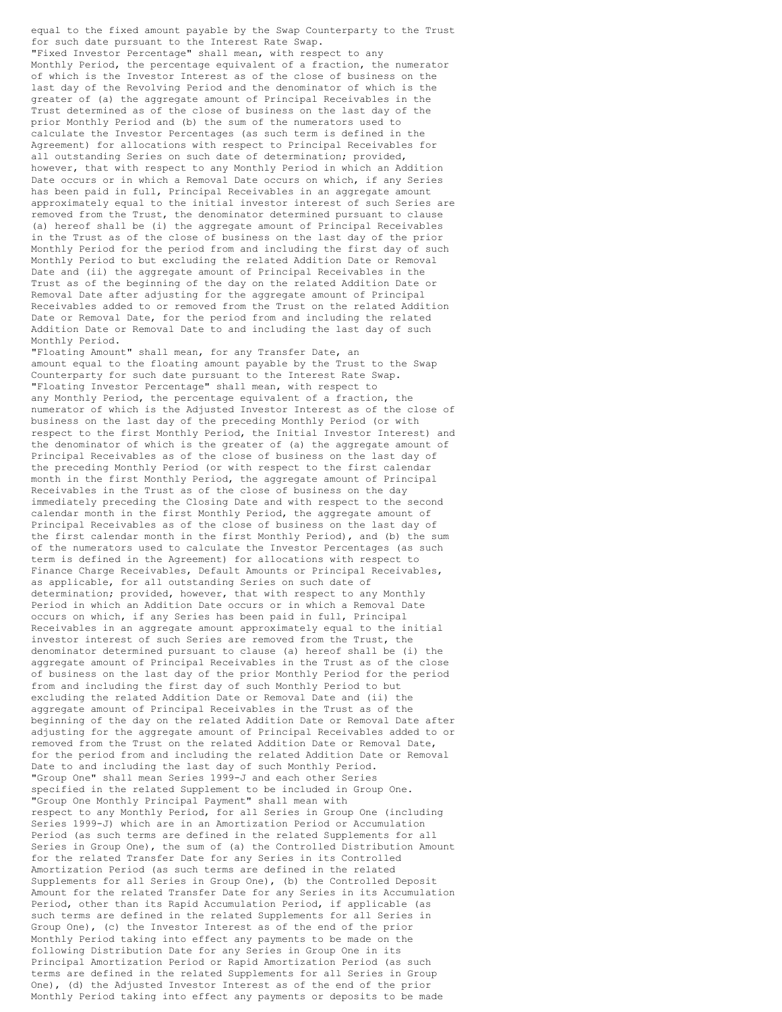equal to the fixed amount payable by the Swap Counterparty to the Trust for such date pursuant to the Interest Rate Swap. "Fixed Investor Percentage" shall mean, with respect to any Monthly Period, the percentage equivalent of a fraction, the numerator of which is the Investor Interest as of the close of business on the last day of the Revolving Period and the denominator of which is the greater of (a) the aggregate amount of Principal Receivables in the Trust determined as of the close of business on the last day of the prior Monthly Period and (b) the sum of the numerators used to calculate the Investor Percentages (as such term is defined in the Agreement) for allocations with respect to Principal Receivables for all outstanding Series on such date of determination; provided, however, that with respect to any Monthly Period in which an Addition Date occurs or in which a Removal Date occurs on which, if any Series has been paid in full, Principal Receivables in an aggregate amount approximately equal to the initial investor interest of such Series are removed from the Trust, the denominator determined pursuant to clause (a) hereof shall be (i) the aggregate amount of Principal Receivables in the Trust as of the close of business on the last day of the prior Monthly Period for the period from and including the first day of such Monthly Period to but excluding the related Addition Date or Removal Date and (ii) the aggregate amount of Principal Receivables in the Trust as of the beginning of the day on the related Addition Date or Removal Date after adjusting for the aggregate amount of Principal Receivables added to or removed from the Trust on the related Addition Date or Removal Date, for the period from and including the related Addition Date or Removal Date to and including the last day of such Monthly Period.

"Floating Amount" shall mean, for any Transfer Date, an amount equal to the floating amount payable by the Trust to the Swap Counterparty for such date pursuant to the Interest Rate Swap. "Floating Investor Percentage" shall mean, with respect to any Monthly Period, the percentage equivalent of a fraction, the numerator of which is the Adjusted Investor Interest as of the close of business on the last day of the preceding Monthly Period (or with respect to the first Monthly Period, the Initial Investor Interest) and the denominator of which is the greater of (a) the aggregate amount of Principal Receivables as of the close of business on the last day of the preceding Monthly Period (or with respect to the first calendar month in the first Monthly Period, the aggregate amount of Principal Receivables in the Trust as of the close of business on the day immediately preceding the Closing Date and with respect to the second calendar month in the first Monthly Period, the aggregate amount of Principal Receivables as of the close of business on the last day of the first calendar month in the first Monthly Period), and (b) the sum of the numerators used to calculate the Investor Percentages (as such term is defined in the Agreement) for allocations with respect to Finance Charge Receivables, Default Amounts or Principal Receivables, as applicable, for all outstanding Series on such date of determination; provided, however, that with respect to any Monthly Period in which an Addition Date occurs or in which a Removal Date occurs on which, if any Series has been paid in full, Principal Receivables in an aggregate amount approximately equal to the initial investor interest of such Series are removed from the Trust, the denominator determined pursuant to clause (a) hereof shall be (i) the aggregate amount of Principal Receivables in the Trust as of the close of business on the last day of the prior Monthly Period for the period from and including the first day of such Monthly Period to but excluding the related Addition Date or Removal Date and (ii) the aggregate amount of Principal Receivables in the Trust as of the beginning of the day on the related Addition Date or Removal Date after adjusting for the aggregate amount of Principal Receivables added to or removed from the Trust on the related Addition Date or Removal Date, for the period from and including the related Addition Date or Removal Date to and including the last day of such Monthly Period. "Group One" shall mean Series 1999-J and each other Series specified in the related Supplement to be included in Group One. "Group One Monthly Principal Payment" shall mean with respect to any Monthly Period, for all Series in Group One (including Series 1999-J) which are in an Amortization Period or Accumulation Period (as such terms are defined in the related Supplements for all Series in Group One), the sum of (a) the Controlled Distribution Amount for the related Transfer Date for any Series in its Controlled Amortization Period (as such terms are defined in the related Supplements for all Series in Group One), (b) the Controlled Deposit Amount for the related Transfer Date for any Series in its Accumulation Period, other than its Rapid Accumulation Period, if applicable (as such terms are defined in the related Supplements for all Series in Group One), (c) the Investor Interest as of the end of the prior Monthly Period taking into effect any payments to be made on the following Distribution Date for any Series in Group One in its Principal Amortization Period or Rapid Amortization Period (as such terms are defined in the related Supplements for all Series in Group One), (d) the Adjusted Investor Interest as of the end of the prior Monthly Period taking into effect any payments or deposits to be made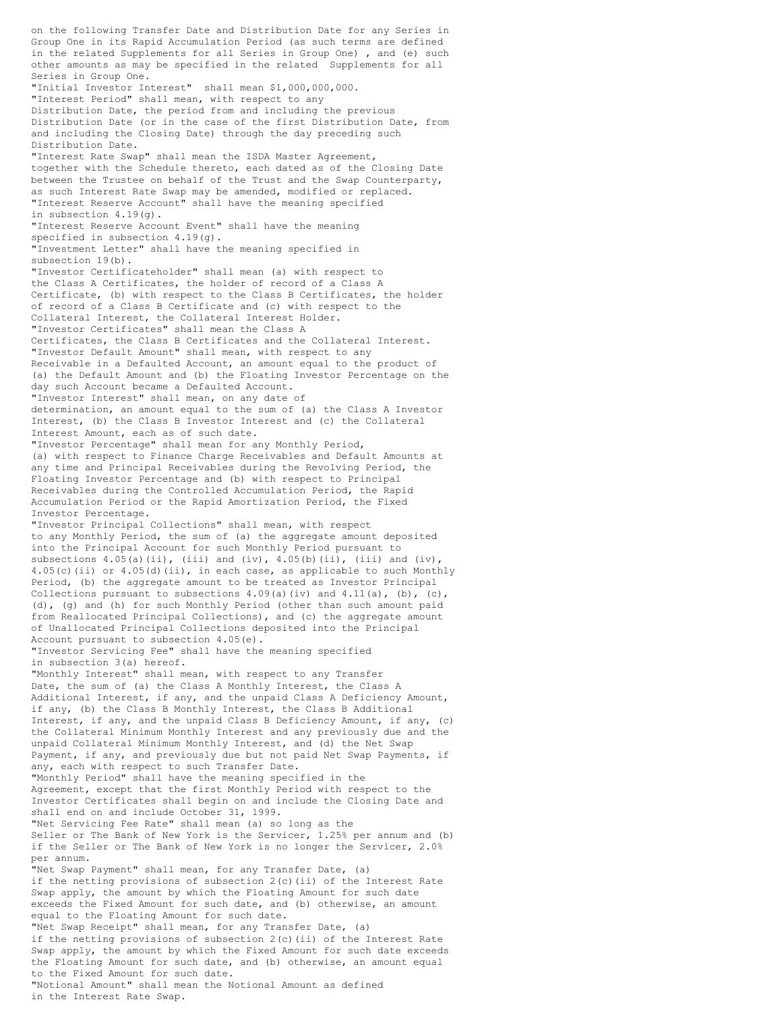on the following Transfer Date and Distribution Date for any Series in Group One in its Rapid Accumulation Period (as such terms are defined in the related Supplements for all Series in Group One) , and (e) such other amounts as may be specified in the related Supplements for all Series in Group One. "Initial Investor Interest" shall mean \$1,000,000,000. "Interest Period" shall mean, with respect to any Distribution Date, the period from and including the previous Distribution Date (or in the case of the first Distribution Date, from and including the Closing Date) through the day preceding such Distribution Date. "Interest Rate Swap" shall mean the ISDA Master Agreement, together with the Schedule thereto, each dated as of the Closing Date between the Trustee on behalf of the Trust and the Swap Counterparty, as such Interest Rate Swap may be amended, modified or replaced. "Interest Reserve Account" shall have the meaning specified in subsection 4.19(g). "Interest Reserve Account Event" shall have the meaning specified in subsection 4.19(g). "Investment Letter" shall have the meaning specified in subsection 19(b). "Investor Certificateholder" shall mean (a) with respect to the Class A Certificates, the holder of record of a Class A Certificate, (b) with respect to the Class B Certificates, the holder of record of a Class B Certificate and (c) with respect to the Collateral Interest, the Collateral Interest Holder. "Investor Certificates" shall mean the Class A Certificates, the Class B Certificates and the Collateral Interest. "Investor Default Amount" shall mean, with respect to any Receivable in a Defaulted Account, an amount equal to the product of (a) the Default Amount and (b) the Floating Investor Percentage on the day such Account became a Defaulted Account. "Investor Interest" shall mean, on any date of determination, an amount equal to the sum of (a) the Class A Investor Interest, (b) the Class B Investor Interest and (c) the Collateral Interest Amount, each as of such date. "Investor Percentage" shall mean for any Monthly Period, (a) with respect to Finance Charge Receivables and Default Amounts at any time and Principal Receivables during the Revolving Period, the Floating Investor Percentage and (b) with respect to Principal Receivables during the Controlled Accumulation Period, the Rapid Accumulation Period or the Rapid Amortization Period, the Fixed Investor Percentage. "Investor Principal Collections" shall mean, with respect to any Monthly Period, the sum of (a) the aggregate amount deposited into the Principal Account for such Monthly Period pursuant to subsections  $4.05(a)(ii)$ , (iii) and (iv),  $4.05(b)(ii)$ , (iii) and (iv), 4.05(c)(ii) or 4.05(d)(ii), in each case, as applicable to such Monthly Period, (b) the aggregate amount to be treated as Investor Principal Collections pursuant to subsections  $4.09(a)(iv)$  and  $4.11(a)$ , (b), (c), (d), (g) and (h) for such Monthly Period (other than such amount paid from Reallocated Principal Collections), and (c) the aggregate amount of Unallocated Principal Collections deposited into the Principal Account pursuant to subsection 4.05(e). "Investor Servicing Fee" shall have the meaning specified in subsection 3(a) hereof. "Monthly Interest" shall mean, with respect to any Transfer Date, the sum of (a) the Class A Monthly Interest, the Class A Additional Interest, if any, and the unpaid Class A Deficiency Amount, if any, (b) the Class B Monthly Interest, the Class B Additional Interest, if any, and the unpaid Class B Deficiency Amount, if any, (c) the Collateral Minimum Monthly Interest and any previously due and the unpaid Collateral Minimum Monthly Interest, and (d) the Net Swap Payment, if any, and previously due but not paid Net Swap Payments, if any, each with respect to such Transfer Date. "Monthly Period" shall have the meaning specified in the Agreement, except that the first Monthly Period with respect to the Investor Certificates shall begin on and include the Closing Date and shall end on and include October 31, 1999. "Net Servicing Fee Rate" shall mean (a) so long as the Seller or The Bank of New York is the Servicer, 1.25% per annum and (b) if the Seller or The Bank of New York is no longer the Servicer, 2.0% per annum. "Net Swap Payment" shall mean, for any Transfer Date, (a) if the netting provisions of subsection 2(c)(ii) of the Interest Rate Swap apply, the amount by which the Floating Amount for such date exceeds the Fixed Amount for such date, and (b) otherwise, an amount equal to the Floating Amount for such date. "Net Swap Receipt" shall mean, for any Transfer Date, (a) if the netting provisions of subsection  $2(c)$  (ii) of the Interest Rate Swap apply, the amount by which the Fixed Amount for such date exceeds the Floating Amount for such date, and (b) otherwise, an amount equal to the Fixed Amount for such date. "Notional Amount" shall mean the Notional Amount as defined in the Interest Rate Swap.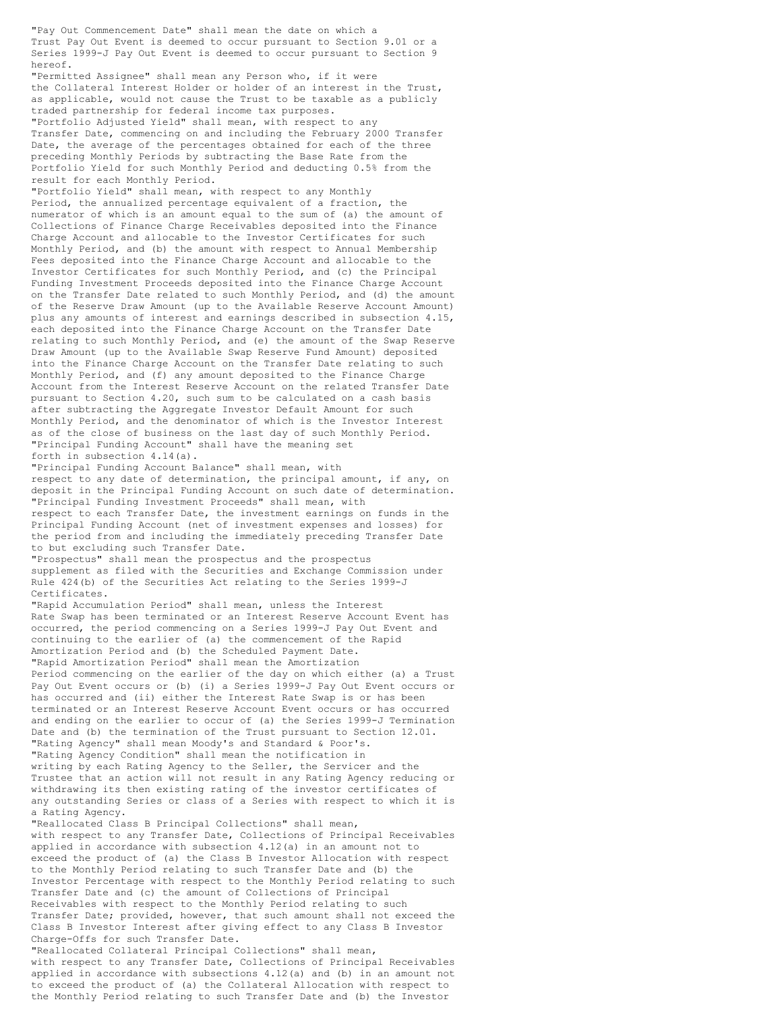"Pay Out Commencement Date" shall mean the date on which a Trust Pay Out Event is deemed to occur pursuant to Section 9.01 or a Series 1999-J Pay Out Event is deemed to occur pursuant to Section 9 hereof.

"Permitted Assignee" shall mean any Person who, if it were the Collateral Interest Holder or holder of an interest in the Trust, as applicable, would not cause the Trust to be taxable as a publicly traded partnership for federal income tax purposes.

"Portfolio Adjusted Yield" shall mean, with respect to any Transfer Date, commencing on and including the February 2000 Transfer Date, the average of the percentages obtained for each of the three preceding Monthly Periods by subtracting the Base Rate from the Portfolio Yield for such Monthly Period and deducting 0.5% from the result for each Monthly Period.

"Portfolio Yield" shall mean, with respect to any Monthly Period, the annualized percentage equivalent of a fraction, the numerator of which is an amount equal to the sum of (a) the amount of Collections of Finance Charge Receivables deposited into the Finance Charge Account and allocable to the Investor Certificates for such Monthly Period, and (b) the amount with respect to Annual Membership Fees deposited into the Finance Charge Account and allocable to the Investor Certificates for such Monthly Period, and (c) the Principal Funding Investment Proceeds deposited into the Finance Charge Account on the Transfer Date related to such Monthly Period, and (d) the amount of the Reserve Draw Amount (up to the Available Reserve Account Amount) plus any amounts of interest and earnings described in subsection 4.15, each deposited into the Finance Charge Account on the Transfer Date relating to such Monthly Period, and (e) the amount of the Swap Reserve Draw Amount (up to the Available Swap Reserve Fund Amount) deposited into the Finance Charge Account on the Transfer Date relating to such Monthly Period, and (f) any amount deposited to the Finance Charge Account from the Interest Reserve Account on the related Transfer Date pursuant to Section 4.20, such sum to be calculated on a cash basis after subtracting the Aggregate Investor Default Amount for such Monthly Period, and the denominator of which is the Investor Interest as of the close of business on the last day of such Monthly Period. "Principal Funding Account" shall have the meaning set forth in subsection 4.14(a).

"Principal Funding Account Balance" shall mean, with respect to any date of determination, the principal amount, if any, on deposit in the Principal Funding Account on such date of determination. "Principal Funding Investment Proceeds" shall mean, with respect to each Transfer Date, the investment earnings on funds in the Principal Funding Account (net of investment expenses and losses) for the period from and including the immediately preceding Transfer Date to but excluding such Transfer Date.

"Prospectus" shall mean the prospectus and the prospectus supplement as filed with the Securities and Exchange Commission under Rule 424(b) of the Securities Act relating to the Series 1999-J Certificates.

"Rapid Accumulation Period" shall mean, unless the Interest Rate Swap has been terminated or an Interest Reserve Account Event has occurred, the period commencing on a Series 1999-J Pay Out Event and continuing to the earlier of (a) the commencement of the Rapid Amortization Period and (b) the Scheduled Payment Date. "Rapid Amortization Period" shall mean the Amortization Period commencing on the earlier of the day on which either (a) a Trust Pay Out Event occurs or (b) (i) a Series 1999-J Pay Out Event occurs or has occurred and (ii) either the Interest Rate Swap is or has been terminated or an Interest Reserve Account Event occurs or has occurred and ending on the earlier to occur of (a) the Series 1999-J Termination Date and (b) the termination of the Trust pursuant to Section 12.01. "Rating Agency" shall mean Moody's and Standard & Poor's. "Rating Agency Condition" shall mean the notification in writing by each Rating Agency to the Seller, the Servicer and the Trustee that an action will not result in any Rating Agency reducing or withdrawing its then existing rating of the investor certificates of any outstanding Series or class of a Series with respect to which it is a Rating Agency.

"Reallocated Class B Principal Collections" shall mean, with respect to any Transfer Date, Collections of Principal Receivables applied in accordance with subsection 4.12(a) in an amount not to exceed the product of (a) the Class B Investor Allocation with respect to the Monthly Period relating to such Transfer Date and (b) the Investor Percentage with respect to the Monthly Period relating to such Transfer Date and (c) the amount of Collections of Principal Receivables with respect to the Monthly Period relating to such Transfer Date; provided, however, that such amount shall not exceed the Class B Investor Interest after giving effect to any Class B Investor Charge-Offs for such Transfer Date.

"Reallocated Collateral Principal Collections" shall mean, with respect to any Transfer Date, Collections of Principal Receivables applied in accordance with subsections 4.12(a) and (b) in an amount not to exceed the product of (a) the Collateral Allocation with respect to the Monthly Period relating to such Transfer Date and (b) the Investor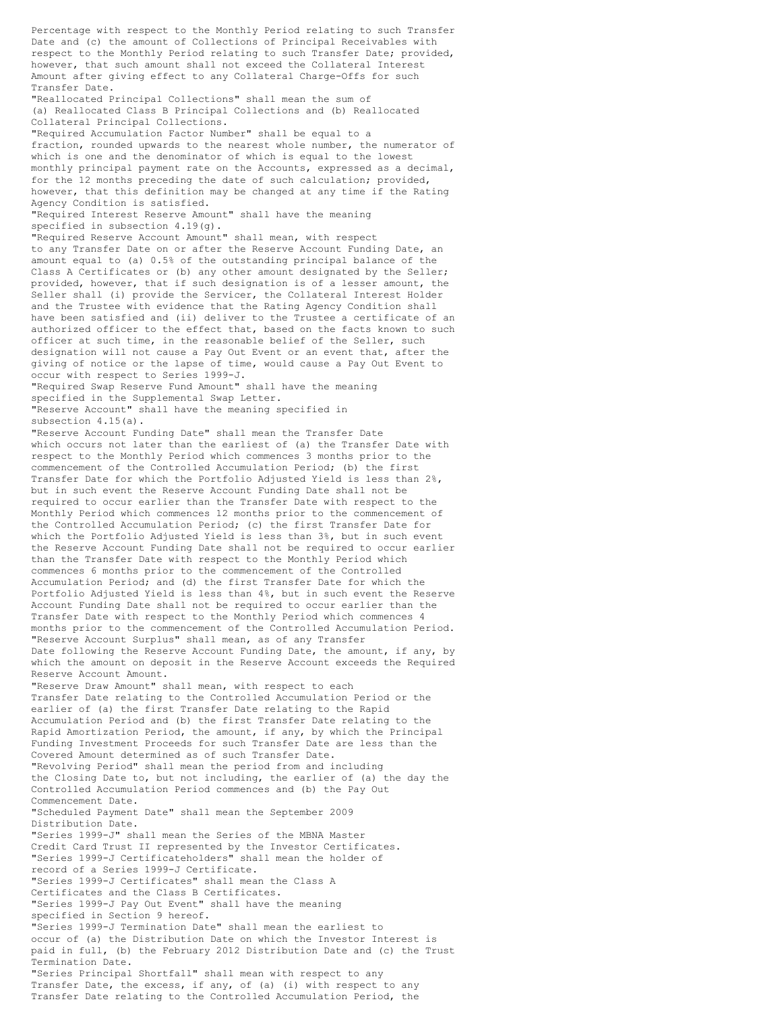Percentage with respect to the Monthly Period relating to such Transfer Date and (c) the amount of Collections of Principal Receivables with respect to the Monthly Period relating to such Transfer Date; provided, however, that such amount shall not exceed the Collateral Interest Amount after giving effect to any Collateral Charge-Offs for such Transfer Date. "Reallocated Principal Collections" shall mean the sum of (a) Reallocated Class B Principal Collections and (b) Reallocated Collateral Principal Collections. "Required Accumulation Factor Number" shall be equal to a fraction, rounded upwards to the nearest whole number, the numerator of which is one and the denominator of which is equal to the lowest monthly principal payment rate on the Accounts, expressed as a decimal, for the 12 months preceding the date of such calculation; provided, however, that this definition may be changed at any time if the Rating Agency Condition is satisfied. "Required Interest Reserve Amount" shall have the meaning specified in subsection 4.19(g). "Required Reserve Account Amount" shall mean, with respect to any Transfer Date on or after the Reserve Account Funding Date, an amount equal to (a) 0.5% of the outstanding principal balance of the Class A Certificates or (b) any other amount designated by the Seller; provided, however, that if such designation is of a lesser amount, the Seller shall (i) provide the Servicer, the Collateral Interest Holder and the Trustee with evidence that the Rating Agency Condition shall have been satisfied and (ii) deliver to the Trustee a certificate of an authorized officer to the effect that, based on the facts known to such officer at such time, in the reasonable belief of the Seller, such designation will not cause a Pay Out Event or an event that, after the giving of notice or the lapse of time, would cause a Pay Out Event to occur with respect to Series 1999-J. "Required Swap Reserve Fund Amount" shall have the meaning specified in the Supplemental Swap Letter. "Reserve Account" shall have the meaning specified in subsection 4.15(a). "Reserve Account Funding Date" shall mean the Transfer Date which occurs not later than the earliest of (a) the Transfer Date with respect to the Monthly Period which commences 3 months prior to the commencement of the Controlled Accumulation Period; (b) the first Transfer Date for which the Portfolio Adjusted Yield is less than 2%, but in such event the Reserve Account Funding Date shall not be required to occur earlier than the Transfer Date with respect to the Monthly Period which commences 12 months prior to the commencement of the Controlled Accumulation Period; (c) the first Transfer Date for which the Portfolio Adjusted Yield is less than 3%, but in such event the Reserve Account Funding Date shall not be required to occur earlier than the Transfer Date with respect to the Monthly Period which commences 6 months prior to the commencement of the Controlled Accumulation Period; and (d) the first Transfer Date for which the Portfolio Adjusted Yield is less than 4%, but in such event the Reserve Account Funding Date shall not be required to occur earlier than the Transfer Date with respect to the Monthly Period which commences 4 months prior to the commencement of the Controlled Accumulation Period. "Reserve Account Surplus" shall mean, as of any Transfer Date following the Reserve Account Funding Date, the amount, if any, by which the amount on deposit in the Reserve Account exceeds the Required Reserve Account Amount. "Reserve Draw Amount" shall mean, with respect to each Transfer Date relating to the Controlled Accumulation Period or the earlier of (a) the first Transfer Date relating to the Rapid Accumulation Period and (b) the first Transfer Date relating to the Rapid Amortization Period, the amount, if any, by which the Principal Funding Investment Proceeds for such Transfer Date are less than the Covered Amount determined as of such Transfer Date. "Revolving Period" shall mean the period from and including the Closing Date to, but not including, the earlier of (a) the day the Controlled Accumulation Period commences and (b) the Pay Out Commencement Date. "Scheduled Payment Date" shall mean the September 2009 Distribution Date. "Series 1999-J" shall mean the Series of the MBNA Master Credit Card Trust II represented by the Investor Certificates. "Series 1999-J Certificateholders" shall mean the holder of record of a Series 1999-J Certificate. "Series 1999-J Certificates" shall mean the Class A Certificates and the Class B Certificates. "Series 1999-J Pay Out Event" shall have the meaning specified in Section 9 hereof.

"Series 1999-J Termination Date" shall mean the earliest to occur of (a) the Distribution Date on which the Investor Interest is paid in full, (b) the February 2012 Distribution Date and (c) the Trust Termination Date. "Series Principal Shortfall" shall mean with respect to any Transfer Date, the excess, if any, of (a) (i) with respect to any Transfer Date relating to the Controlled Accumulation Period, the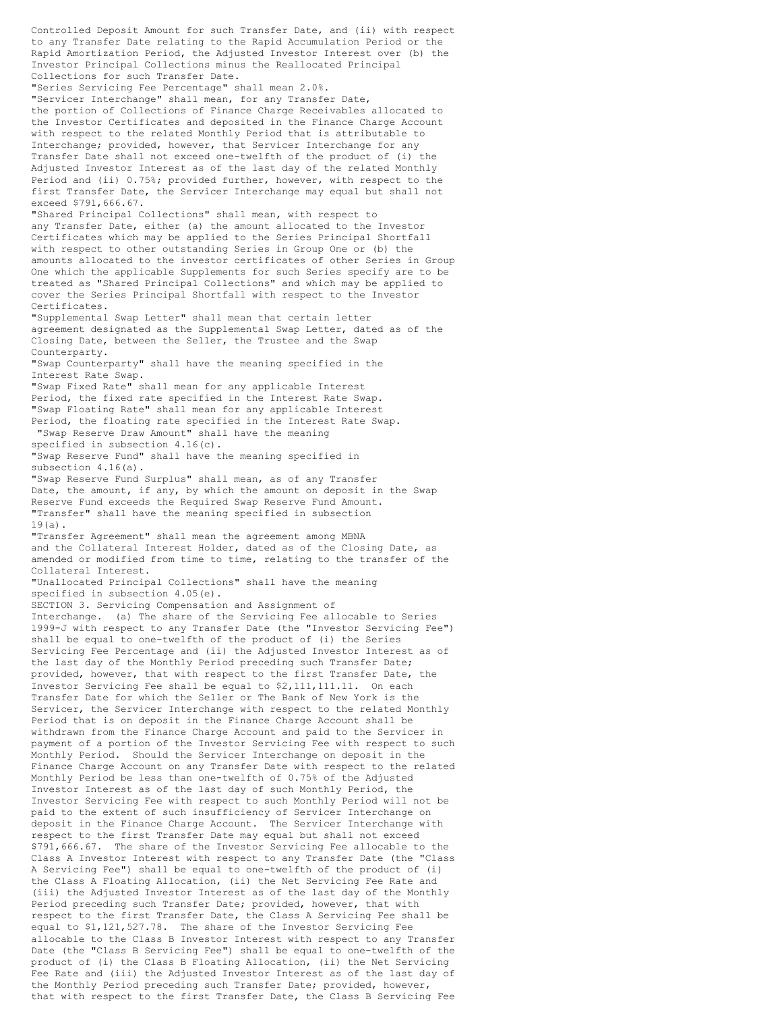Controlled Deposit Amount for such Transfer Date, and (ii) with respect to any Transfer Date relating to the Rapid Accumulation Period or the Rapid Amortization Period, the Adjusted Investor Interest over (b) the Investor Principal Collections minus the Reallocated Principal Collections for such Transfer Date. "Series Servicing Fee Percentage" shall mean 2.0%. "Servicer Interchange" shall mean, for any Transfer Date, the portion of Collections of Finance Charge Receivables allocated to the Investor Certificates and deposited in the Finance Charge Account with respect to the related Monthly Period that is attributable to Interchange; provided, however, that Servicer Interchange for any Transfer Date shall not exceed one-twelfth of the product of (i) the Adjusted Investor Interest as of the last day of the related Monthly Period and (ii) 0.75%; provided further, however, with respect to the first Transfer Date, the Servicer Interchange may equal but shall not exceed \$791,666.67. "Shared Principal Collections" shall mean, with respect to any Transfer Date, either (a) the amount allocated to the Investor Certificates which may be applied to the Series Principal Shortfall with respect to other outstanding Series in Group One or (b) the amounts allocated to the investor certificates of other Series in Group One which the applicable Supplements for such Series specify are to be treated as "Shared Principal Collections" and which may be applied to cover the Series Principal Shortfall with respect to the Investor Certificates. "Supplemental Swap Letter" shall mean that certain letter agreement designated as the Supplemental Swap Letter, dated as of the Closing Date, between the Seller, the Trustee and the Swap Counterparty. "Swap Counterparty" shall have the meaning specified in the Interest Rate Swap. "Swap Fixed Rate" shall mean for any applicable Interest Period, the fixed rate specified in the Interest Rate Swap. "Swap Floating Rate" shall mean for any applicable Interest Period, the floating rate specified in the Interest Rate Swap. "Swap Reserve Draw Amount" shall have the meaning specified in subsection 4.16(c). "Swap Reserve Fund" shall have the meaning specified in subsection 4.16(a). "Swap Reserve Fund Surplus" shall mean, as of any Transfer Date, the amount, if any, by which the amount on deposit in the Swap Reserve Fund exceeds the Required Swap Reserve Fund Amount. "Transfer" shall have the meaning specified in subsection 19(a). "Transfer Agreement" shall mean the agreement among MBNA and the Collateral Interest Holder, dated as of the Closing Date, as amended or modified from time to time, relating to the transfer of the Collateral Interest. "Unallocated Principal Collections" shall have the meaning specified in subsection 4.05(e). SECTION 3. Servicing Compensation and Assignment of Interchange. (a) The share of the Servicing Fee allocable to Series 1999-J with respect to any Transfer Date (the "Investor Servicing Fee") shall be equal to one-twelfth of the product of (i) the Series Servicing Fee Percentage and (ii) the Adjusted Investor Interest as of the last day of the Monthly Period preceding such Transfer Date; provided, however, that with respect to the first Transfer Date, the Investor Servicing Fee shall be equal to \$2,111,111.11. On each Transfer Date for which the Seller or The Bank of New York is the Servicer, the Servicer Interchange with respect to the related Monthly Period that is on deposit in the Finance Charge Account shall be withdrawn from the Finance Charge Account and paid to the Servicer in payment of a portion of the Investor Servicing Fee with respect to such Monthly Period. Should the Servicer Interchange on deposit in the Finance Charge Account on any Transfer Date with respect to the related Monthly Period be less than one-twelfth of 0.75% of the Adjusted Investor Interest as of the last day of such Monthly Period, the Investor Servicing Fee with respect to such Monthly Period will not be paid to the extent of such insufficiency of Servicer Interchange on deposit in the Finance Charge Account. The Servicer Interchange with respect to the first Transfer Date may equal but shall not exceed \$791,666.67. The share of the Investor Servicing Fee allocable to the Class A Investor Interest with respect to any Transfer Date (the "Class A Servicing Fee") shall be equal to one-twelfth of the product of (i) the Class A Floating Allocation, (ii) the Net Servicing Fee Rate and (iii) the Adjusted Investor Interest as of the last day of the Monthly Period preceding such Transfer Date; provided, however, that with respect to the first Transfer Date, the Class A Servicing Fee shall be equal to \$1,121,527.78. The share of the Investor Servicing Fee allocable to the Class B Investor Interest with respect to any Transfer Date (the "Class B Servicing Fee") shall be equal to one-twelfth of the product of (i) the Class B Floating Allocation, (ii) the Net Servicing Fee Rate and (iii) the Adjusted Investor Interest as of the last day of the Monthly Period preceding such Transfer Date; provided, however, that with respect to the first Transfer Date, the Class B Servicing Fee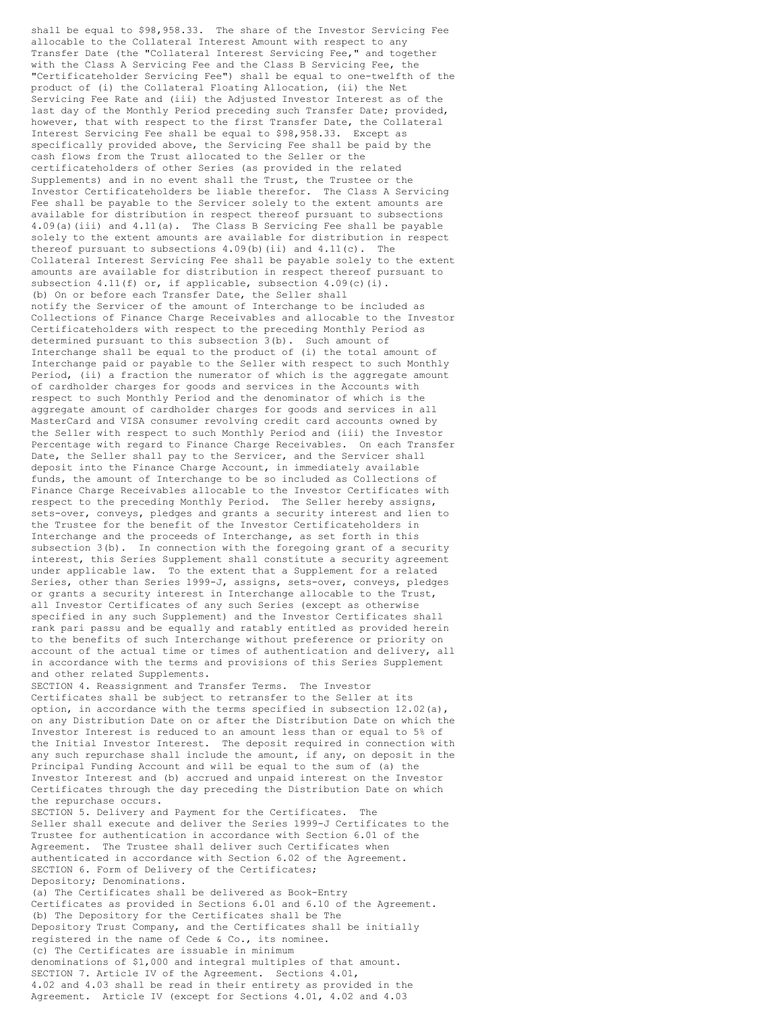shall be equal to \$98,958.33. The share of the Investor Servicing Fee allocable to the Collateral Interest Amount with respect to any Transfer Date (the "Collateral Interest Servicing Fee," and together with the Class A Servicing Fee and the Class B Servicing Fee, the "Certificateholder Servicing Fee") shall be equal to one-twelfth of the product of (i) the Collateral Floating Allocation, (ii) the Net Servicing Fee Rate and (iii) the Adjusted Investor Interest as of the last day of the Monthly Period preceding such Transfer Date; provided, however, that with respect to the first Transfer Date, the Collateral Interest Servicing Fee shall be equal to \$98,958.33. Except as specifically provided above, the Servicing Fee shall be paid by the cash flows from the Trust allocated to the Seller or the certificateholders of other Series (as provided in the related Supplements) and in no event shall the Trust, the Trustee or the Investor Certificateholders be liable therefor. The Class A Servicing Fee shall be payable to the Servicer solely to the extent amounts are available for distribution in respect thereof pursuant to subsections 4.09(a)(iii) and 4.11(a). The Class B Servicing Fee shall be payable solely to the extent amounts are available for distribution in respect thereof pursuant to subsections  $4.09(b)(ii)$  and  $4.11(c)$ . The Collateral Interest Servicing Fee shall be payable solely to the extent amounts are available for distribution in respect thereof pursuant to subsection  $4.11(f)$  or, if applicable, subsection  $4.09(c)(i)$ . (b) On or before each Transfer Date, the Seller shall notify the Servicer of the amount of Interchange to be included as Collections of Finance Charge Receivables and allocable to the Investor Certificateholders with respect to the preceding Monthly Period as determined pursuant to this subsection 3(b). Such amount of Interchange shall be equal to the product of (i) the total amount of Interchange paid or payable to the Seller with respect to such Monthly Period, (ii) a fraction the numerator of which is the aggregate amount of cardholder charges for goods and services in the Accounts with respect to such Monthly Period and the denominator of which is the aggregate amount of cardholder charges for goods and services in all MasterCard and VISA consumer revolving credit card accounts owned by the Seller with respect to such Monthly Period and (iii) the Investor Percentage with regard to Finance Charge Receivables. On each Transfer Date, the Seller shall pay to the Servicer, and the Servicer shall deposit into the Finance Charge Account, in immediately available funds, the amount of Interchange to be so included as Collections of Finance Charge Receivables allocable to the Investor Certificates with respect to the preceding Monthly Period. The Seller hereby assigns, sets-over, conveys, pledges and grants a security interest and lien to the Trustee for the benefit of the Investor Certificateholders in Interchange and the proceeds of Interchange, as set forth in this subsection 3(b). In connection with the foregoing grant of a security interest, this Series Supplement shall constitute a security agreement under applicable law. To the extent that a Supplement for a related Series, other than Series 1999-J, assigns, sets-over, conveys, pledges or grants a security interest in Interchange allocable to the Trust, all Investor Certificates of any such Series (except as otherwise specified in any such Supplement) and the Investor Certificates shall rank pari passu and be equally and ratably entitled as provided herein to the benefits of such Interchange without preference or priority on account of the actual time or times of authentication and delivery, all in accordance with the terms and provisions of this Series Supplement and other related Supplements. SECTION 4. Reassignment and Transfer Terms. The Investor Certificates shall be subject to retransfer to the Seller at its option, in accordance with the terms specified in subsection  $12.02(a)$ , on any Distribution Date on or after the Distribution Date on which the Investor Interest is reduced to an amount less than or equal to 5% of the Initial Investor Interest. The deposit required in connection with any such repurchase shall include the amount, if any, on deposit in the Principal Funding Account and will be equal to the sum of (a) the Investor Interest and (b) accrued and unpaid interest on the Investor Certificates through the day preceding the Distribution Date on which the repurchase occurs. SECTION 5. Delivery and Payment for the Certificates. The Seller shall execute and deliver the Series 1999-J Certificates to the Trustee for authentication in accordance with Section 6.01 of the Agreement. The Trustee shall deliver such Certificates when authenticated in accordance with Section 6.02 of the Agreement. SECTION 6. Form of Delivery of the Certificates; Depository; Denominations. (a) The Certificates shall be delivered as Book-Entry Certificates as provided in Sections 6.01 and 6.10 of the Agreement. (b) The Depository for the Certificates shall be The Depository Trust Company, and the Certificates shall be initially registered in the name of Cede & Co., its nominee. (c) The Certificates are issuable in minimum denominations of \$1,000 and integral multiples of that amount. SECTION 7. Article IV of the Agreement. Sections 4.01,

4.02 and 4.03 shall be read in their entirety as provided in the Agreement. Article IV (except for Sections 4.01, 4.02 and 4.03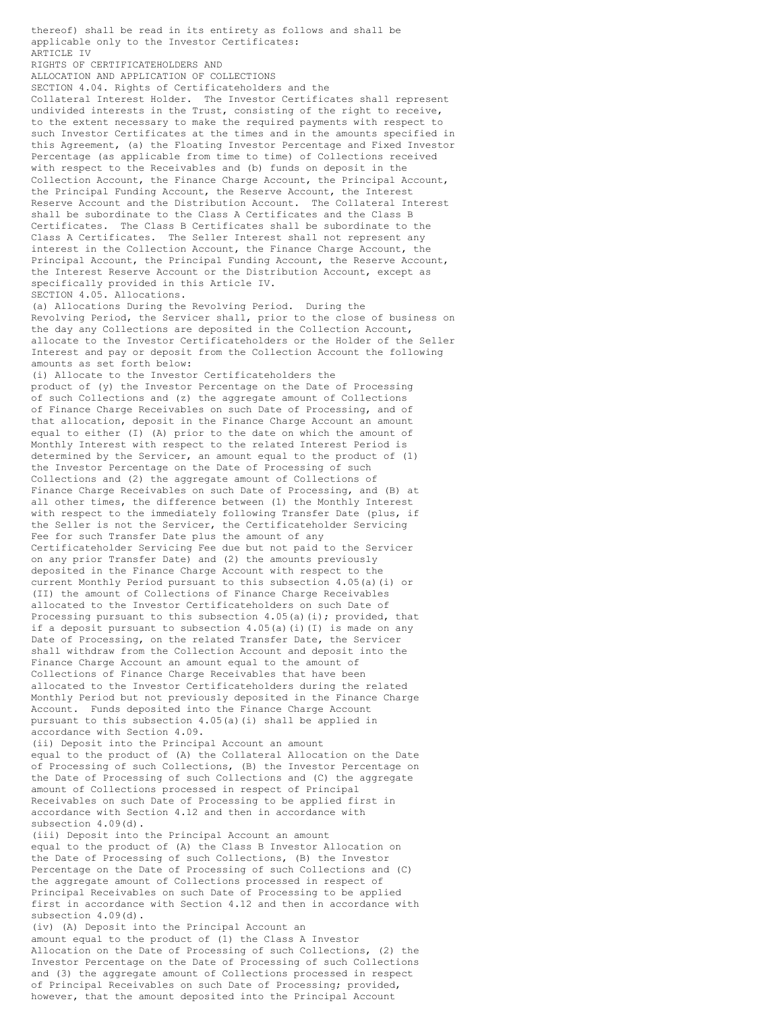applicable only to the Investor Certificates: ARTICLE IV RIGHTS OF CERTIFICATEHOLDERS AND ALLOCATION AND APPLICATION OF COLLECTIONS SECTION 4.04. Rights of Certificateholders and the Collateral Interest Holder. The Investor Certificates shall represent undivided interests in the Trust, consisting of the right to receive, to the extent necessary to make the required payments with respect to such Investor Certificates at the times and in the amounts specified in this Agreement, (a) the Floating Investor Percentage and Fixed Investor Percentage (as applicable from time to time) of Collections received with respect to the Receivables and (b) funds on deposit in the Collection Account, the Finance Charge Account, the Principal Account, the Principal Funding Account, the Reserve Account, the Interest Reserve Account and the Distribution Account. The Collateral Interest shall be subordinate to the Class A Certificates and the Class B Certificates. The Class B Certificates shall be subordinate to the Class A Certificates. The Seller Interest shall not represent any interest in the Collection Account, the Finance Charge Account, the Principal Account, the Principal Funding Account, the Reserve Account, the Interest Reserve Account or the Distribution Account, except as specifically provided in this Article IV. SECTION 4.05. Allocations. (a) Allocations During the Revolving Period. During the Revolving Period, the Servicer shall, prior to the close of business on the day any Collections are deposited in the Collection Account, allocate to the Investor Certificateholders or the Holder of the Seller Interest and pay or deposit from the Collection Account the following amounts as set forth below: (i) Allocate to the Investor Certificateholders the product of (y) the Investor Percentage on the Date of Processing of such Collections and (z) the aggregate amount of Collections of Finance Charge Receivables on such Date of Processing, and of that allocation, deposit in the Finance Charge Account an amount equal to either (I) (A) prior to the date on which the amount of Monthly Interest with respect to the related Interest Period is determined by the Servicer, an amount equal to the product of (1) the Investor Percentage on the Date of Processing of such Collections and (2) the aggregate amount of Collections of Finance Charge Receivables on such Date of Processing, and (B) at all other times, the difference between (1) the Monthly Interest with respect to the immediately following Transfer Date (plus, if the Seller is not the Servicer, the Certificateholder Servicing Fee for such Transfer Date plus the amount of any Certificateholder Servicing Fee due but not paid to the Servicer on any prior Transfer Date) and (2) the amounts previously deposited in the Finance Charge Account with respect to the current Monthly Period pursuant to this subsection 4.05(a)(i) or (II) the amount of Collections of Finance Charge Receivables allocated to the Investor Certificateholders on such Date of Processing pursuant to this subsection 4.05(a)(i); provided, that if a deposit pursuant to subsection  $4.05(a)(i)(I)$  is made on any Date of Processing, on the related Transfer Date, the Servicer shall withdraw from the Collection Account and deposit into the Finance Charge Account an amount equal to the amount of Collections of Finance Charge Receivables that have been allocated to the Investor Certificateholders during the related Monthly Period but not previously deposited in the Finance Charge Account. Funds deposited into the Finance Charge Account pursuant to this subsection 4.05(a)(i) shall be applied in accordance with Section 4.09. (ii) Deposit into the Principal Account an amount equal to the product of (A) the Collateral Allocation on the Date of Processing of such Collections, (B) the Investor Percentage on the Date of Processing of such Collections and (C) the aggregate amount of Collections processed in respect of Principal Receivables on such Date of Processing to be applied first in accordance with Section 4.12 and then in accordance with subsection 4.09(d). (iii) Deposit into the Principal Account an amount equal to the product of (A) the Class B Investor Allocation on the Date of Processing of such Collections, (B) the Investor Percentage on the Date of Processing of such Collections and (C) the aggregate amount of Collections processed in respect of Principal Receivables on such Date of Processing to be applied first in accordance with Section 4.12 and then in accordance with subsection 4.09(d).

thereof) shall be read in its entirety as follows and shall be

(iv) (A) Deposit into the Principal Account an amount equal to the product of (1) the Class A Investor Allocation on the Date of Processing of such Collections, (2) the Investor Percentage on the Date of Processing of such Collections and (3) the aggregate amount of Collections processed in respect of Principal Receivables on such Date of Processing; provided, however, that the amount deposited into the Principal Account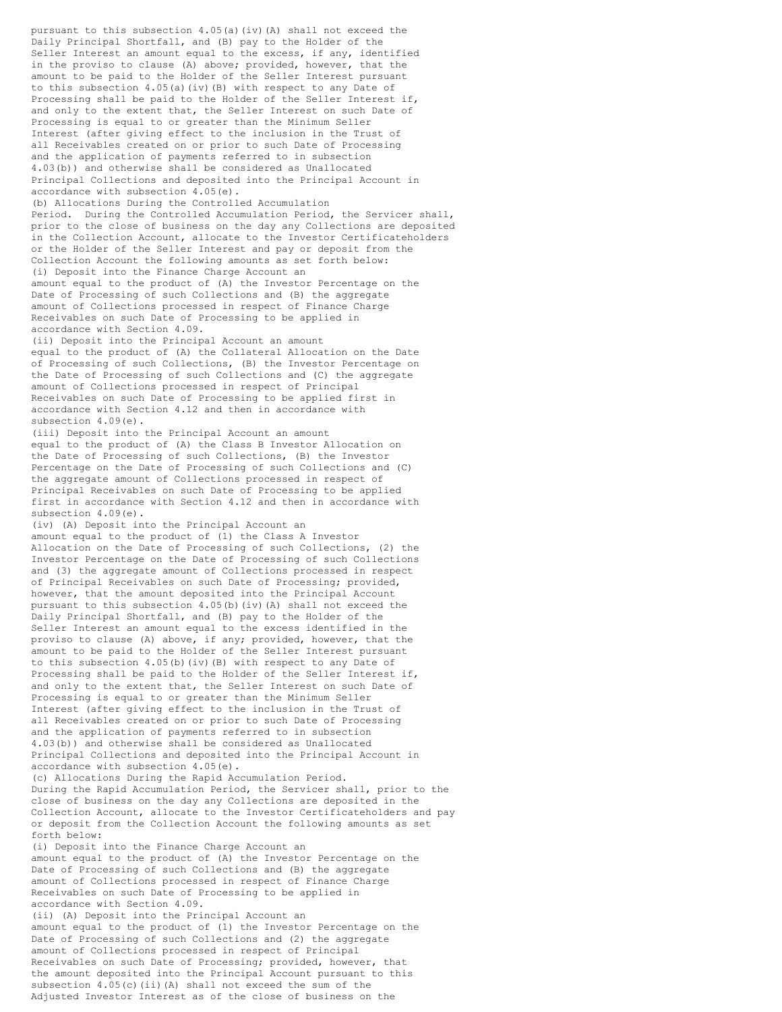pursuant to this subsection 4.05(a)(iv)(A) shall not exceed the Daily Principal Shortfall, and (B) pay to the Holder of the Seller Interest an amount equal to the excess, if any, identified in the proviso to clause (A) above; provided, however, that the amount to be paid to the Holder of the Seller Interest pursuant to this subsection  $4.05(a)(iv)(B)$  with respect to any Date of Processing shall be paid to the Holder of the Seller Interest if, and only to the extent that, the Seller Interest on such Date of Processing is equal to or greater than the Minimum Seller Interest (after giving effect to the inclusion in the Trust of all Receivables created on or prior to such Date of Processing and the application of payments referred to in subsection 4.03(b)) and otherwise shall be considered as Unallocated Principal Collections and deposited into the Principal Account in accordance with subsection 4.05(e). (b) Allocations During the Controlled Accumulation

Period. During the Controlled Accumulation Period, the Servicer shall, prior to the close of business on the day any Collections are deposited in the Collection Account, allocate to the Investor Certificateholders or the Holder of the Seller Interest and pay or deposit from the Collection Account the following amounts as set forth below: (i) Deposit into the Finance Charge Account an amount equal to the product of (A) the Investor Percentage on the Date of Processing of such Collections and (B) the aggregate amount of Collections processed in respect of Finance Charge Receivables on such Date of Processing to be applied in accordance with Section 4.09.

(ii) Deposit into the Principal Account an amount equal to the product of (A) the Collateral Allocation on the Date of Processing of such Collections, (B) the Investor Percentage on the Date of Processing of such Collections and (C) the aggregate amount of Collections processed in respect of Principal Receivables on such Date of Processing to be applied first in accordance with Section 4.12 and then in accordance with subsection 4.09(e).

(iii) Deposit into the Principal Account an amount equal to the product of (A) the Class B Investor Allocation on the Date of Processing of such Collections, (B) the Investor Percentage on the Date of Processing of such Collections and (C) the aggregate amount of Collections processed in respect of Principal Receivables on such Date of Processing to be applied first in accordance with Section 4.12 and then in accordance with subsection 4.09(e).

(iv) (A) Deposit into the Principal Account an amount equal to the product of (1) the Class A Investor Allocation on the Date of Processing of such Collections, (2) the Investor Percentage on the Date of Processing of such Collections and (3) the aggregate amount of Collections processed in respect of Principal Receivables on such Date of Processing; provided, however, that the amount deposited into the Principal Account pursuant to this subsection 4.05(b)(iv)(A) shall not exceed the Daily Principal Shortfall, and (B) pay to the Holder of the Seller Interest an amount equal to the excess identified in the proviso to clause (A) above, if any; provided, however, that the amount to be paid to the Holder of the Seller Interest pursuant to this subsection 4.05(b)(iv)(B) with respect to any Date of Processing shall be paid to the Holder of the Seller Interest if, and only to the extent that, the Seller Interest on such Date of Processing is equal to or greater than the Minimum Seller Interest (after giving effect to the inclusion in the Trust of all Receivables created on or prior to such Date of Processing and the application of payments referred to in subsection 4.03(b)) and otherwise shall be considered as Unallocated Principal Collections and deposited into the Principal Account in accordance with subsection 4.05(e).

(c) Allocations During the Rapid Accumulation Period. During the Rapid Accumulation Period, the Servicer shall, prior to the close of business on the day any Collections are deposited in the Collection Account, allocate to the Investor Certificateholders and pay or deposit from the Collection Account the following amounts as set forth below:

(i) Deposit into the Finance Charge Account an amount equal to the product of (A) the Investor Percentage on the Date of Processing of such Collections and (B) the aggregate amount of Collections processed in respect of Finance Charge Receivables on such Date of Processing to be applied in accordance with Section 4.09.

(ii) (A) Deposit into the Principal Account an amount equal to the product of (1) the Investor Percentage on the Date of Processing of such Collections and (2) the aggregate amount of Collections processed in respect of Principal Receivables on such Date of Processing; provided, however, that the amount deposited into the Principal Account pursuant to this subsection 4.05(c)(ii)(A) shall not exceed the sum of the Adjusted Investor Interest as of the close of business on the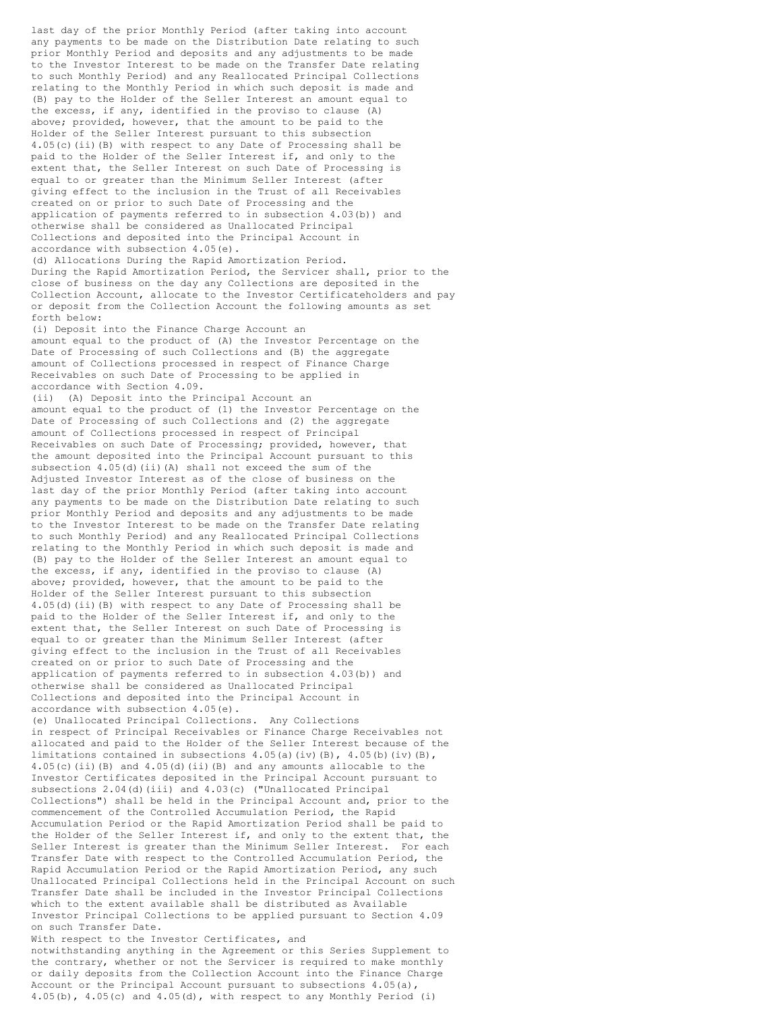last day of the prior Monthly Period (after taking into account any payments to be made on the Distribution Date relating to such prior Monthly Period and deposits and any adjustments to be made to the Investor Interest to be made on the Transfer Date relating to such Monthly Period) and any Reallocated Principal Collections relating to the Monthly Period in which such deposit is made and (B) pay to the Holder of the Seller Interest an amount equal to the excess, if any, identified in the proviso to clause (A) above; provided, however, that the amount to be paid to the Holder of the Seller Interest pursuant to this subsection 4.05(c)(ii)(B) with respect to any Date of Processing shall be paid to the Holder of the Seller Interest if, and only to the extent that, the Seller Interest on such Date of Processing is equal to or greater than the Minimum Seller Interest (after giving effect to the inclusion in the Trust of all Receivables created on or prior to such Date of Processing and the application of payments referred to in subsection 4.03(b)) and otherwise shall be considered as Unallocated Principal Collections and deposited into the Principal Account in accordance with subsection 4.05(e). (d) Allocations During the Rapid Amortization Period. During the Rapid Amortization Period, the Servicer shall, prior to the close of business on the day any Collections are deposited in the Collection Account, allocate to the Investor Certificateholders and pay or deposit from the Collection Account the following amounts as set forth below: (i) Deposit into the Finance Charge Account an amount equal to the product of (A) the Investor Percentage on the Date of Processing of such Collections and (B) the aggregate amount of Collections processed in respect of Finance Charge Receivables on such Date of Processing to be applied in accordance with Section 4.09. (ii) (A) Deposit into the Principal Account an amount equal to the product of (1) the Investor Percentage on the Date of Processing of such Collections and (2) the aggregate amount of Collections processed in respect of Principal Receivables on such Date of Processing; provided, however, that the amount deposited into the Principal Account pursuant to this subsection 4.05(d)(ii)(A) shall not exceed the sum of the Adjusted Investor Interest as of the close of business on the last day of the prior Monthly Period (after taking into account any payments to be made on the Distribution Date relating to such prior Monthly Period and deposits and any adjustments to be made to the Investor Interest to be made on the Transfer Date relating to such Monthly Period) and any Reallocated Principal Collections relating to the Monthly Period in which such deposit is made and (B) pay to the Holder of the Seller Interest an amount equal to the excess, if any, identified in the proviso to clause (A) above; provided, however, that the amount to be paid to the Holder of the Seller Interest pursuant to this subsection 4.05(d)(ii)(B) with respect to any Date of Processing shall be paid to the Holder of the Seller Interest if, and only to the extent that, the Seller Interest on such Date of Processing is equal to or greater than the Minimum Seller Interest (after giving effect to the inclusion in the Trust of all Receivables created on or prior to such Date of Processing and the application of payments referred to in subsection 4.03(b)) and otherwise shall be considered as Unallocated Principal Collections and deposited into the Principal Account in accordance with subsection 4.05(e). (e) Unallocated Principal Collections. Any Collections in respect of Principal Receivables or Finance Charge Receivables not allocated and paid to the Holder of the Seller Interest because of the limitations contained in subsections  $4.05(a)$  (iv)(B),  $4.05(b)$ (iv)(B), 4.05(c)(ii)(B) and  $4.05(d)$ (ii)(B) and any amounts allocable to the Investor Certificates deposited in the Principal Account pursuant to subsections 2.04(d)(iii) and 4.03(c) ("Unallocated Principal Collections") shall be held in the Principal Account and, prior to the

commencement of the Controlled Accumulation Period, the Rapid Accumulation Period or the Rapid Amortization Period shall be paid to the Holder of the Seller Interest if, and only to the extent that, the Seller Interest is greater than the Minimum Seller Interest. For each Transfer Date with respect to the Controlled Accumulation Period, the Rapid Accumulation Period or the Rapid Amortization Period, any such Unallocated Principal Collections held in the Principal Account on such Transfer Date shall be included in the Investor Principal Collections which to the extent available shall be distributed as Available Investor Principal Collections to be applied pursuant to Section 4.09 on such Transfer Date.

With respect to the Investor Certificates, and notwithstanding anything in the Agreement or this Series Supplement to the contrary, whether or not the Servicer is required to make monthly or daily deposits from the Collection Account into the Finance Charge

Account or the Principal Account pursuant to subsections 4.05(a), 4.05(b), 4.05(c) and 4.05(d), with respect to any Monthly Period (i)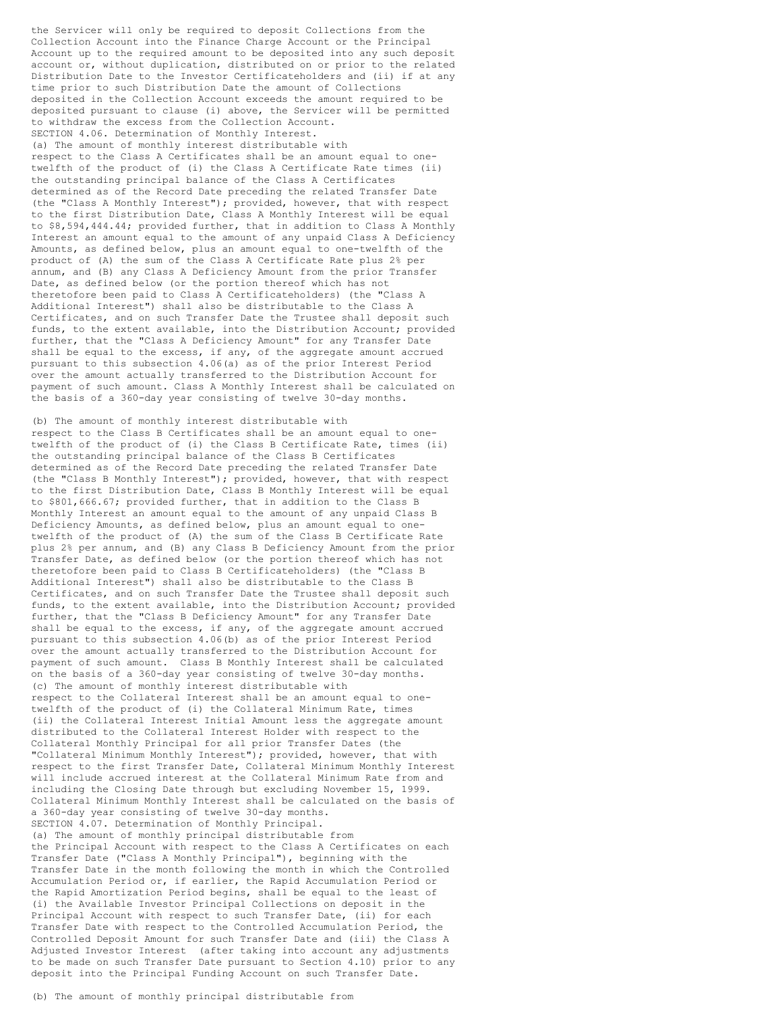the Servicer will only be required to deposit Collections from the Collection Account into the Finance Charge Account or the Principal Account up to the required amount to be deposited into any such deposit account or, without duplication, distributed on or prior to the related Distribution Date to the Investor Certificateholders and (ii) if at any time prior to such Distribution Date the amount of Collections deposited in the Collection Account exceeds the amount required to be deposited pursuant to clause (i) above, the Servicer will be permitted to withdraw the excess from the Collection Account. SECTION 4.06. Determination of Monthly Interest. (a) The amount of monthly interest distributable with respect to the Class A Certificates shall be an amount equal to onetwelfth of the product of (i) the Class A Certificate Rate times (ii) the outstanding principal balance of the Class A Certificates determined as of the Record Date preceding the related Transfer Date (the "Class A Monthly Interest"); provided, however, that with respect to the first Distribution Date, Class A Monthly Interest will be equal to \$8,594,444.44; provided further, that in addition to Class A Monthly Interest an amount equal to the amount of any unpaid Class A Deficiency Amounts, as defined below, plus an amount equal to one-twelfth of the product of (A) the sum of the Class A Certificate Rate plus 2% per annum, and (B) any Class A Deficiency Amount from the prior Transfer Date, as defined below (or the portion thereof which has not theretofore been paid to Class A Certificateholders) (the "Class A Additional Interest") shall also be distributable to the Class A Certificates, and on such Transfer Date the Trustee shall deposit such funds, to the extent available, into the Distribution Account; provided further, that the "Class A Deficiency Amount" for any Transfer Date shall be equal to the excess, if any, of the aggregate amount accrued pursuant to this subsection 4.06(a) as of the prior Interest Period over the amount actually transferred to the Distribution Account for payment of such amount. Class A Monthly Interest shall be calculated on the basis of a 360-day year consisting of twelve 30-day months.

(b) The amount of monthly interest distributable with respect to the Class B Certificates shall be an amount equal to onetwelfth of the product of (i) the Class B Certificate Rate, times (ii) the outstanding principal balance of the Class B Certificates determined as of the Record Date preceding the related Transfer Date (the "Class B Monthly Interest"); provided, however, that with respect to the first Distribution Date, Class B Monthly Interest will be equal to \$801,666.67; provided further, that in addition to the Class B Monthly Interest an amount equal to the amount of any unpaid Class B Deficiency Amounts, as defined below, plus an amount equal to onetwelfth of the product of (A) the sum of the Class B Certificate Rate plus 2% per annum, and (B) any Class B Deficiency Amount from the prior Transfer Date, as defined below (or the portion thereof which has not theretofore been paid to Class B Certificateholders) (the "Class B Additional Interest") shall also be distributable to the Class B Certificates, and on such Transfer Date the Trustee shall deposit such funds, to the extent available, into the Distribution Account; provided further, that the "Class B Deficiency Amount" for any Transfer Date shall be equal to the excess, if any, of the aggregate amount accrued pursuant to this subsection 4.06(b) as of the prior Interest Period over the amount actually transferred to the Distribution Account for payment of such amount. Class B Monthly Interest shall be calculated on the basis of a 360-day year consisting of twelve 30-day months. (c) The amount of monthly interest distributable with respect to the Collateral Interest shall be an amount equal to onetwelfth of the product of (i) the Collateral Minimum Rate, times (ii) the Collateral Interest Initial Amount less the aggregate amount distributed to the Collateral Interest Holder with respect to the Collateral Monthly Principal for all prior Transfer Dates (the "Collateral Minimum Monthly Interest"); provided, however, that with respect to the first Transfer Date, Collateral Minimum Monthly Interest will include accrued interest at the Collateral Minimum Rate from and including the Closing Date through but excluding November 15, 1999. Collateral Minimum Monthly Interest shall be calculated on the basis of a 360-day year consisting of twelve 30-day months. SECTION 4.07. Determination of Monthly Principal. (a) The amount of monthly principal distributable from the Principal Account with respect to the Class A Certificates on each Transfer Date ("Class A Monthly Principal"), beginning with the Transfer Date in the month following the month in which the Controlled Accumulation Period or, if earlier, the Rapid Accumulation Period or the Rapid Amortization Period begins, shall be equal to the least of (i) the Available Investor Principal Collections on deposit in the Principal Account with respect to such Transfer Date, (ii) for each Transfer Date with respect to the Controlled Accumulation Period, the Controlled Deposit Amount for such Transfer Date and (iii) the Class A Adjusted Investor Interest (after taking into account any adjustments to be made on such Transfer Date pursuant to Section 4.10) prior to any deposit into the Principal Funding Account on such Transfer Date.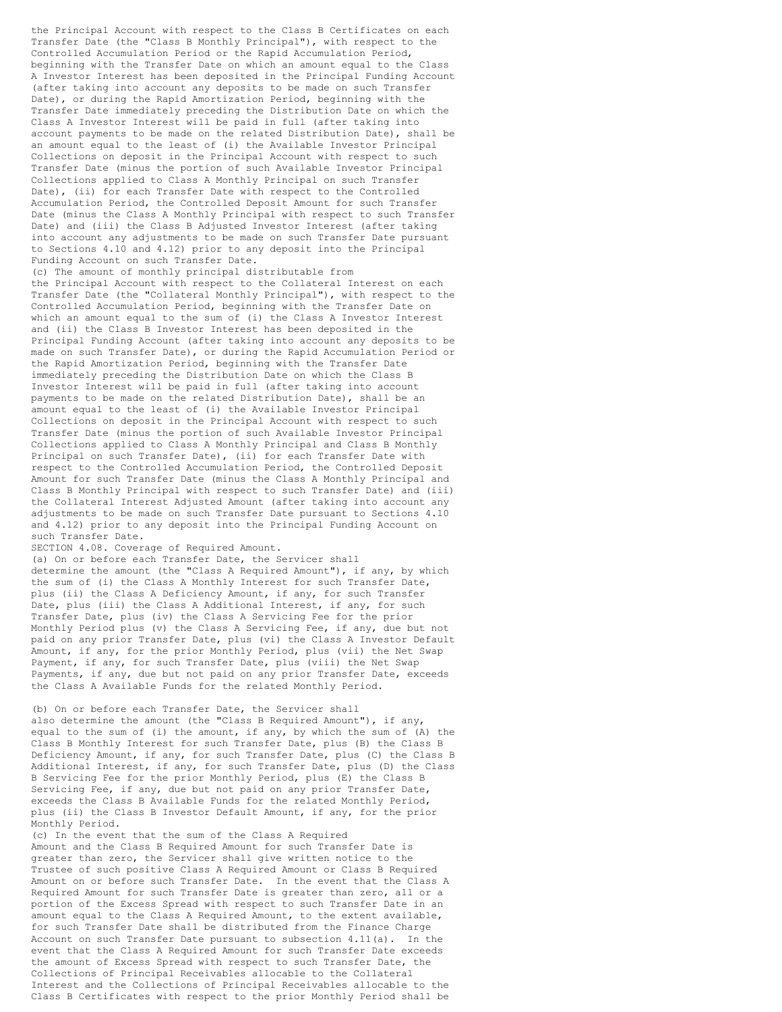the Principal Account with respect to the Class B Certificates on each Transfer Date (the "Class B Monthly Principal"), with respect to the Controlled Accumulation Period or the Rapid Accumulation Period, beginning with the Transfer Date on which an amount equal to the Class A Investor Interest has been deposited in the Principal Funding Account (after taking into account any deposits to be made on such Transfer Date), or during the Rapid Amortization Period, beginning with the Transfer Date immediately preceding the Distribution Date on which the Class A Investor Interest will be paid in full (after taking into account payments to be made on the related Distribution Date), shall be an amount equal to the least of (i) the Available Investor Principal Collections on deposit in the Principal Account with respect to such Transfer Date (minus the portion of such Available Investor Principal Collections applied to Class A Monthly Principal on such Transfer Date), (ii) for each Transfer Date with respect to the Controlled Accumulation Period, the Controlled Deposit Amount for such Transfer Date (minus the Class A Monthly Principal with respect to such Transfer Date) and (iii) the Class B Adjusted Investor Interest (after taking into account any adjustments to be made on such Transfer Date pursuant to Sections 4.10 and 4.12) prior to any deposit into the Principal Funding Account on such Transfer Date.

(c) The amount of monthly principal distributable from the Principal Account with respect to the Collateral Interest on each Transfer Date (the "Collateral Monthly Principal"), with respect to the Controlled Accumulation Period, beginning with the Transfer Date on which an amount equal to the sum of (i) the Class A Investor Interest and (ii) the Class B Investor Interest has been deposited in the Principal Funding Account (after taking into account any deposits to be made on such Transfer Date), or during the Rapid Accumulation Period or the Rapid Amortization Period, beginning with the Transfer Date immediately preceding the Distribution Date on which the Class B Investor Interest will be paid in full (after taking into account payments to be made on the related Distribution Date), shall be an amount equal to the least of (i) the Available Investor Principal Collections on deposit in the Principal Account with respect to such Transfer Date (minus the portion of such Available Investor Principal Collections applied to Class A Monthly Principal and Class B Monthly Principal on such Transfer Date), (ii) for each Transfer Date with respect to the Controlled Accumulation Period, the Controlled Deposit Amount for such Transfer Date (minus the Class A Monthly Principal and Class B Monthly Principal with respect to such Transfer Date) and (iii) the Collateral Interest Adjusted Amount (after taking into account any adjustments to be made on such Transfer Date pursuant to Sections 4.10 and 4.12) prior to any deposit into the Principal Funding Account on such Transfer Date.

SECTION 4.08. Coverage of Required Amount.

(a) On or before each Transfer Date, the Servicer shall determine the amount (the "Class A Required Amount"), if any, by which the sum of (i) the Class A Monthly Interest for such Transfer Date, plus (ii) the Class A Deficiency Amount, if any, for such Transfer Date, plus (iii) the Class A Additional Interest, if any, for such Transfer Date, plus (iv) the Class A Servicing Fee for the prior Monthly Period plus (v) the Class A Servicing Fee, if any, due but not paid on any prior Transfer Date, plus (vi) the Class A Investor Default Amount, if any, for the prior Monthly Period, plus (vii) the Net Swap Payment, if any, for such Transfer Date, plus (viii) the Net Swap Payments, if any, due but not paid on any prior Transfer Date, exceeds the Class A Available Funds for the related Monthly Period.

(b) On or before each Transfer Date, the Servicer shall also determine the amount (the "Class B Required Amount"), if any, equal to the sum of (i) the amount, if any, by which the sum of (A) the Class B Monthly Interest for such Transfer Date, plus (B) the Class B Deficiency Amount, if any, for such Transfer Date, plus (C) the Class B Additional Interest, if any, for such Transfer Date, plus (D) the Class B Servicing Fee for the prior Monthly Period, plus (E) the Class B Servicing Fee, if any, due but not paid on any prior Transfer Date, exceeds the Class B Available Funds for the related Monthly Period, plus (ii) the Class B Investor Default Amount, if any, for the prior Monthly Period.

(c) In the event that the sum of the Class A Required Amount and the Class B Required Amount for such Transfer Date is greater than zero, the Servicer shall give written notice to the Trustee of such positive Class A Required Amount or Class B Required Amount on or before such Transfer Date. In the event that the Class A Required Amount for such Transfer Date is greater than zero, all or a portion of the Excess Spread with respect to such Transfer Date in an amount equal to the Class A Required Amount, to the extent available, for such Transfer Date shall be distributed from the Finance Charge Account on such Transfer Date pursuant to subsection  $4.11(a)$ . In the event that the Class A Required Amount for such Transfer Date exceeds the amount of Excess Spread with respect to such Transfer Date, the Collections of Principal Receivables allocable to the Collateral Interest and the Collections of Principal Receivables allocable to the Class B Certificates with respect to the prior Monthly Period shall be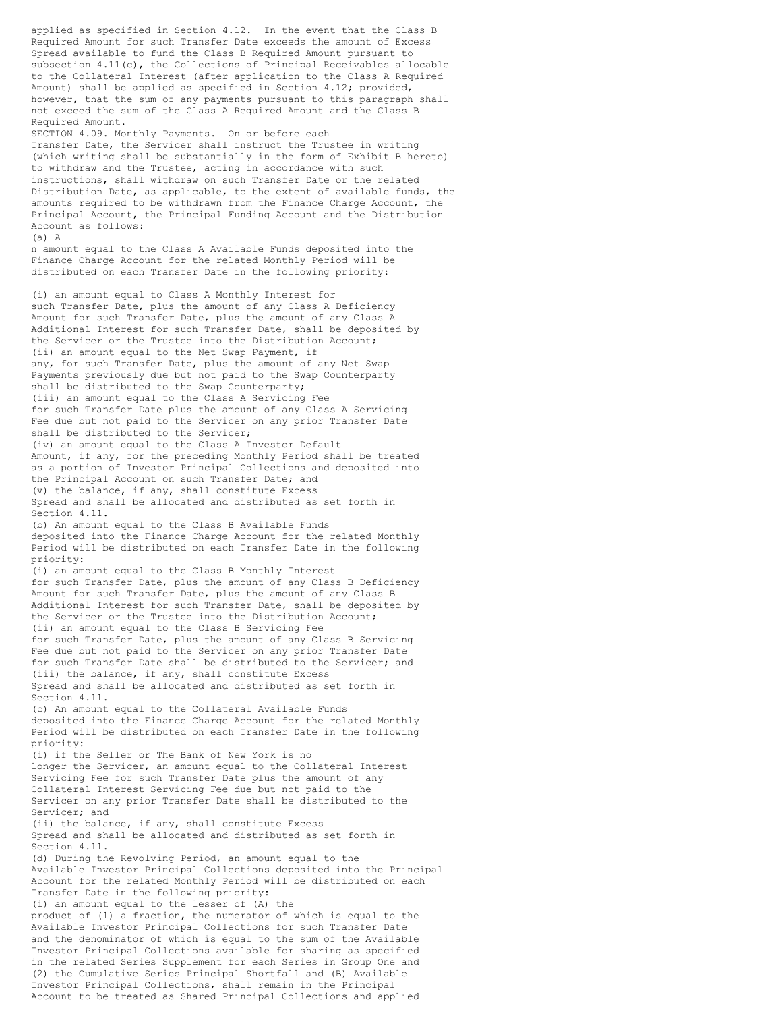applied as specified in Section 4.12. In the event that the Class B Required Amount for such Transfer Date exceeds the amount of Excess Spread available to fund the Class B Required Amount pursuant to subsection 4.11(c), the Collections of Principal Receivables allocable to the Collateral Interest (after application to the Class A Required Amount) shall be applied as specified in Section 4.12; provided, however, that the sum of any payments pursuant to this paragraph shall not exceed the sum of the Class A Required Amount and the Class B Required Amount. SECTION 4.09. Monthly Payments. On or before each Transfer Date, the Servicer shall instruct the Trustee in writing (which writing shall be substantially in the form of Exhibit B hereto) to withdraw and the Trustee, acting in accordance with such instructions, shall withdraw on such Transfer Date or the related Distribution Date, as applicable, to the extent of available funds, the amounts required to be withdrawn from the Finance Charge Account, the Principal Account, the Principal Funding Account and the Distribution Account as follows:  $(A)$  A n amount equal to the Class A Available Funds deposited into the Finance Charge Account for the related Monthly Period will be distributed on each Transfer Date in the following priority: (i) an amount equal to Class A Monthly Interest for such Transfer Date, plus the amount of any Class A Deficiency Amount for such Transfer Date, plus the amount of any Class A Additional Interest for such Transfer Date, shall be deposited by the Servicer or the Trustee into the Distribution Account; (ii) an amount equal to the Net Swap Payment, if any, for such Transfer Date, plus the amount of any Net Swap Payments previously due but not paid to the Swap Counterparty shall be distributed to the Swap Counterparty; (iii) an amount equal to the Class A Servicing Fee for such Transfer Date plus the amount of any Class A Servicing Fee due but not paid to the Servicer on any prior Transfer Date shall be distributed to the Servicer; (iv) an amount equal to the Class A Investor Default Amount, if any, for the preceding Monthly Period shall be treated as a portion of Investor Principal Collections and deposited into the Principal Account on such Transfer Date; and (v) the balance, if any, shall constitute Excess Spread and shall be allocated and distributed as set forth in Section 4.11. (b) An amount equal to the Class B Available Funds deposited into the Finance Charge Account for the related Monthly Period will be distributed on each Transfer Date in the following

(i) an amount equal to the Class B Monthly Interest for such Transfer Date, plus the amount of any Class B Deficiency Amount for such Transfer Date, plus the amount of any Class B Additional Interest for such Transfer Date, shall be deposited by the Servicer or the Trustee into the Distribution Account; (ii) an amount equal to the Class B Servicing Fee for such Transfer Date, plus the amount of any Class B Servicing Fee due but not paid to the Servicer on any prior Transfer Date for such Transfer Date shall be distributed to the Servicer; and (iii) the balance, if any, shall constitute Excess Spread and shall be allocated and distributed as set forth in Section 4.11.

priority:

(c) An amount equal to the Collateral Available Funds deposited into the Finance Charge Account for the related Monthly Period will be distributed on each Transfer Date in the following priority:

(i) if the Seller or The Bank of New York is no longer the Servicer, an amount equal to the Collateral Interest Servicing Fee for such Transfer Date plus the amount of any Collateral Interest Servicing Fee due but not paid to the Servicer on any prior Transfer Date shall be distributed to the Servicer; and

(ii) the balance, if any, shall constitute Excess Spread and shall be allocated and distributed as set forth in Section 4.11.

(d) During the Revolving Period, an amount equal to the Available Investor Principal Collections deposited into the Principal Account for the related Monthly Period will be distributed on each Transfer Date in the following priority: (i) an amount equal to the lesser of (A) the

product of (1) a fraction, the numerator of which is equal to the Available Investor Principal Collections for such Transfer Date and the denominator of which is equal to the sum of the Available Investor Principal Collections available for sharing as specified in the related Series Supplement for each Series in Group One and (2) the Cumulative Series Principal Shortfall and (B) Available Investor Principal Collections, shall remain in the Principal Account to be treated as Shared Principal Collections and applied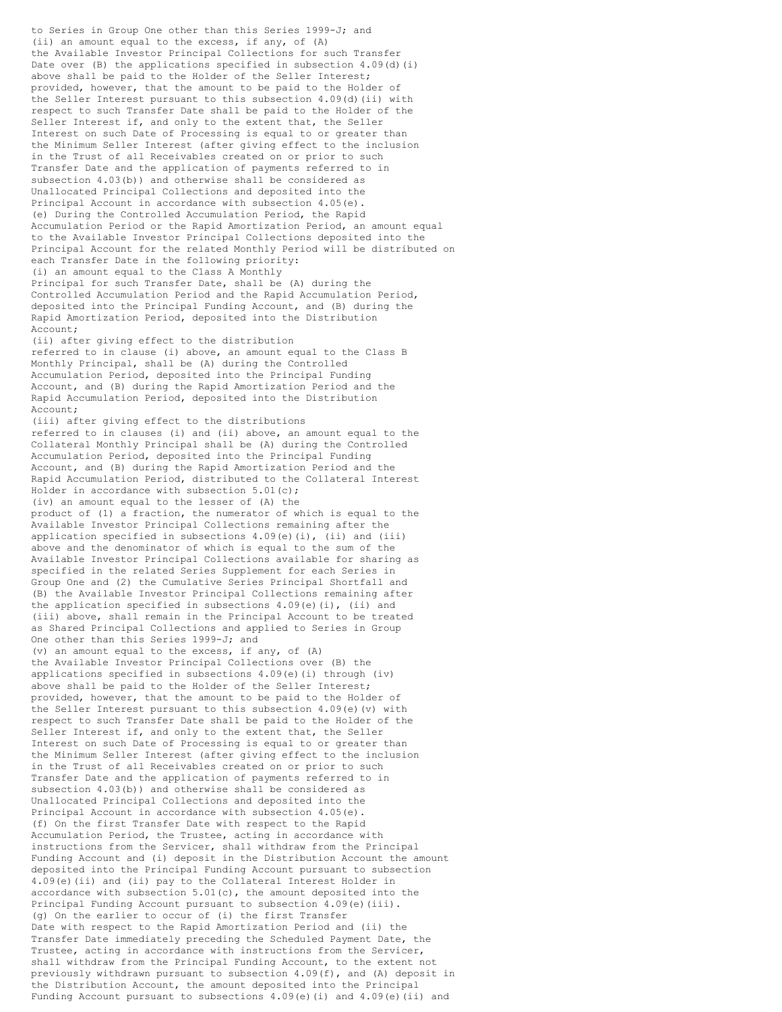to Series in Group One other than this Series 1999-J; and (ii) an amount equal to the excess, if any, of (A) the Available Investor Principal Collections for such Transfer Date over (B) the applications specified in subsection 4.09(d)(i) above shall be paid to the Holder of the Seller Interest; provided, however, that the amount to be paid to the Holder of the Seller Interest pursuant to this subsection 4.09(d)(ii) with respect to such Transfer Date shall be paid to the Holder of the Seller Interest if, and only to the extent that, the Seller Interest on such Date of Processing is equal to or greater than the Minimum Seller Interest (after giving effect to the inclusion in the Trust of all Receivables created on or prior to such Transfer Date and the application of payments referred to in subsection 4.03(b)) and otherwise shall be considered as Unallocated Principal Collections and deposited into the Principal Account in accordance with subsection 4.05(e). (e) During the Controlled Accumulation Period, the Rapid Accumulation Period or the Rapid Amortization Period, an amount equal to the Available Investor Principal Collections deposited into the Principal Account for the related Monthly Period will be distributed on each Transfer Date in the following priority: (i) an amount equal to the Class A Monthly Principal for such Transfer Date, shall be (A) during the Controlled Accumulation Period and the Rapid Accumulation Period, deposited into the Principal Funding Account, and (B) during the Rapid Amortization Period, deposited into the Distribution Account; (ii) after giving effect to the distribution referred to in clause (i) above, an amount equal to the Class B Monthly Principal, shall be (A) during the Controlled Accumulation Period, deposited into the Principal Funding Account, and (B) during the Rapid Amortization Period and the Rapid Accumulation Period, deposited into the Distribution Account; (iii) after giving effect to the distributions referred to in clauses (i) and (ii) above, an amount equal to the Collateral Monthly Principal shall be (A) during the Controlled Accumulation Period, deposited into the Principal Funding Account, and (B) during the Rapid Amortization Period and the Rapid Accumulation Period, distributed to the Collateral Interest Holder in accordance with subsection 5.01(c); (iv) an amount equal to the lesser of (A) the product of (1) a fraction, the numerator of which is equal to the Available Investor Principal Collections remaining after the application specified in subsections  $4.09(e)$  (i), (ii) and (iii) above and the denominator of which is equal to the sum of the Available Investor Principal Collections available for sharing as specified in the related Series Supplement for each Series in Group One and (2) the Cumulative Series Principal Shortfall and (B) the Available Investor Principal Collections remaining after the application specified in subsections 4.09(e)(i), (ii) and (iii) above, shall remain in the Principal Account to be treated as Shared Principal Collections and applied to Series in Group One other than this Series 1999-J; and (v) an amount equal to the excess, if any, of (A) the Available Investor Principal Collections over (B) the applications specified in subsections 4.09(e)(i) through (iv) above shall be paid to the Holder of the Seller Interest; provided, however, that the amount to be paid to the Holder of the Seller Interest pursuant to this subsection  $4.09(e)$  (v) with respect to such Transfer Date shall be paid to the Holder of the Seller Interest if, and only to the extent that, the Seller Interest on such Date of Processing is equal to or greater than the Minimum Seller Interest (after giving effect to the inclusion in the Trust of all Receivables created on or prior to such Transfer Date and the application of payments referred to in subsection 4.03(b)) and otherwise shall be considered as Unallocated Principal Collections and deposited into the Principal Account in accordance with subsection 4.05(e). (f) On the first Transfer Date with respect to the Rapid Accumulation Period, the Trustee, acting in accordance with instructions from the Servicer, shall withdraw from the Principal Funding Account and (i) deposit in the Distribution Account the amount deposited into the Principal Funding Account pursuant to subsection 4.09(e)(ii) and (ii) pay to the Collateral Interest Holder in accordance with subsection 5.01(c), the amount deposited into the Principal Funding Account pursuant to subsection 4.09(e)(iii). (g) On the earlier to occur of (i) the first Transfer Date with respect to the Rapid Amortization Period and (ii) the Transfer Date immediately preceding the Scheduled Payment Date, the Trustee, acting in accordance with instructions from the Servicer, shall withdraw from the Principal Funding Account, to the extent not previously withdrawn pursuant to subsection 4.09(f), and (A) deposit in the Distribution Account, the amount deposited into the Principal Funding Account pursuant to subsections  $4.09(e)$  (i) and  $4.09(e)$  (ii) and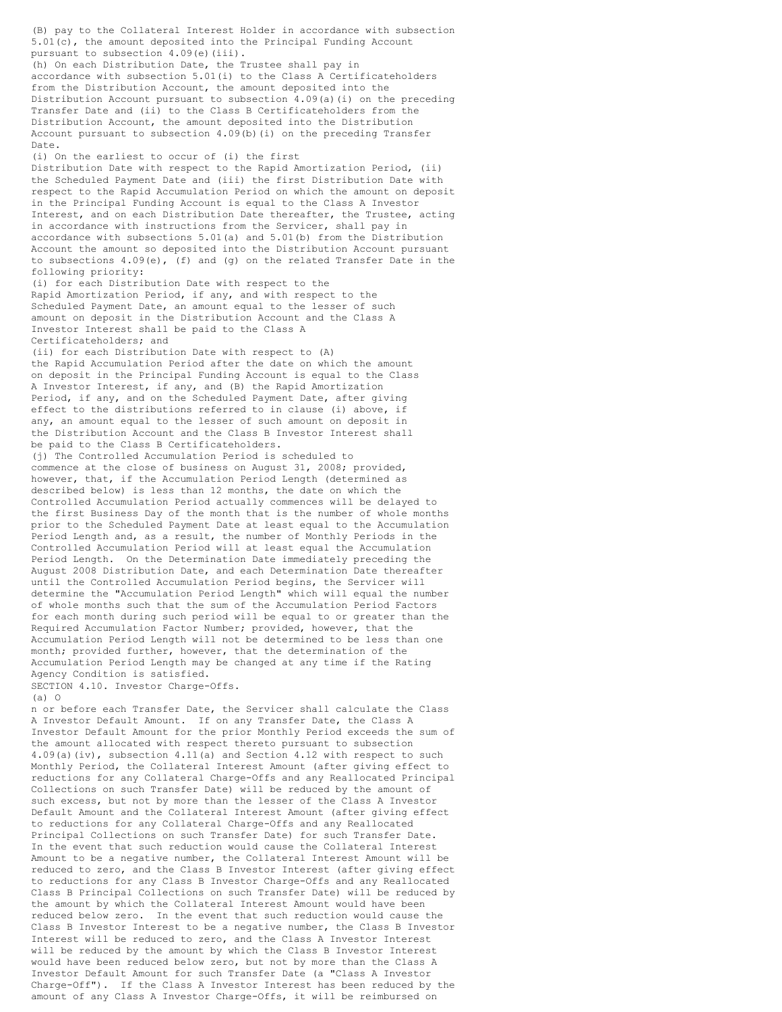5.01(c), the amount deposited into the Principal Funding Account pursuant to subsection 4.09(e)(iii). (h) On each Distribution Date, the Trustee shall pay in accordance with subsection 5.01(i) to the Class A Certificateholders from the Distribution Account, the amount deposited into the Distribution Account pursuant to subsection  $4.09(a)(i)$  on the preceding Transfer Date and (ii) to the Class B Certificateholders from the Distribution Account, the amount deposited into the Distribution Account pursuant to subsection 4.09(b)(i) on the preceding Transfer Date. (i) On the earliest to occur of (i) the first Distribution Date with respect to the Rapid Amortization Period, (ii) the Scheduled Payment Date and (iii) the first Distribution Date with respect to the Rapid Accumulation Period on which the amount on deposit in the Principal Funding Account is equal to the Class A Investor Interest, and on each Distribution Date thereafter, the Trustee, acting in accordance with instructions from the Servicer, shall pay in accordance with subsections 5.01(a) and 5.01(b) from the Distribution Account the amount so deposited into the Distribution Account pursuant to subsections  $4.09(e)$ , (f) and (g) on the related Transfer Date in the following priority: (i) for each Distribution Date with respect to the Rapid Amortization Period, if any, and with respect to the Scheduled Payment Date, an amount equal to the lesser of such amount on deposit in the Distribution Account and the Class A Investor Interest shall be paid to the Class A Certificateholders; and (ii) for each Distribution Date with respect to (A) the Rapid Accumulation Period after the date on which the amount on deposit in the Principal Funding Account is equal to the Class A Investor Interest, if any, and (B) the Rapid Amortization Period, if any, and on the Scheduled Payment Date, after giving effect to the distributions referred to in clause (i) above, if any, an amount equal to the lesser of such amount on deposit in the Distribution Account and the Class B Investor Interest shall be paid to the Class B Certificateholders. (j) The Controlled Accumulation Period is scheduled to commence at the close of business on August 31, 2008; provided, however, that, if the Accumulation Period Length (determined as described below) is less than 12 months, the date on which the Controlled Accumulation Period actually commences will be delayed to the first Business Day of the month that is the number of whole months prior to the Scheduled Payment Date at least equal to the Accumulation Period Length and, as a result, the number of Monthly Periods in the Controlled Accumulation Period will at least equal the Accumulation Period Length. On the Determination Date immediately preceding the August 2008 Distribution Date, and each Determination Date thereafter until the Controlled Accumulation Period begins, the Servicer will determine the "Accumulation Period Length" which will equal the number of whole months such that the sum of the Accumulation Period Factors for each month during such period will be equal to or greater than the Required Accumulation Factor Number; provided, however, that the Accumulation Period Length will not be determined to be less than one month; provided further, however, that the determination of the Accumulation Period Length may be changed at any time if the Rating Agency Condition is satisfied. SECTION 4.10. Investor Charge-Offs. (a) O n or before each Transfer Date, the Servicer shall calculate the Class A Investor Default Amount. If on any Transfer Date, the Class A Investor Default Amount for the prior Monthly Period exceeds the sum of the amount allocated with respect thereto pursuant to subsection 4.09(a)(iv), subsection 4.11(a) and Section 4.12 with respect to such Monthly Period, the Collateral Interest Amount (after giving effect to reductions for any Collateral Charge-Offs and any Reallocated Principal Collections on such Transfer Date) will be reduced by the amount of such excess, but not by more than the lesser of the Class A Investor Default Amount and the Collateral Interest Amount (after giving effect to reductions for any Collateral Charge-Offs and any Reallocated Principal Collections on such Transfer Date) for such Transfer Date. In the event that such reduction would cause the Collateral Interest Amount to be a negative number, the Collateral Interest Amount will be reduced to zero, and the Class B Investor Interest (after giving effect to reductions for any Class B Investor Charge-Offs and any Reallocated Class B Principal Collections on such Transfer Date) will be reduced by the amount by which the Collateral Interest Amount would have been reduced below zero. In the event that such reduction would cause the Class B Investor Interest to be a negative number, the Class B Investor Interest will be reduced to zero, and the Class A Investor Interest will be reduced by the amount by which the Class B Investor Interest would have been reduced below zero, but not by more than the Class A Investor Default Amount for such Transfer Date (a "Class A Investor Charge-Off"). If the Class A Investor Interest has been reduced by the amount of any Class A Investor Charge-Offs, it will be reimbursed on

(B) pay to the Collateral Interest Holder in accordance with subsection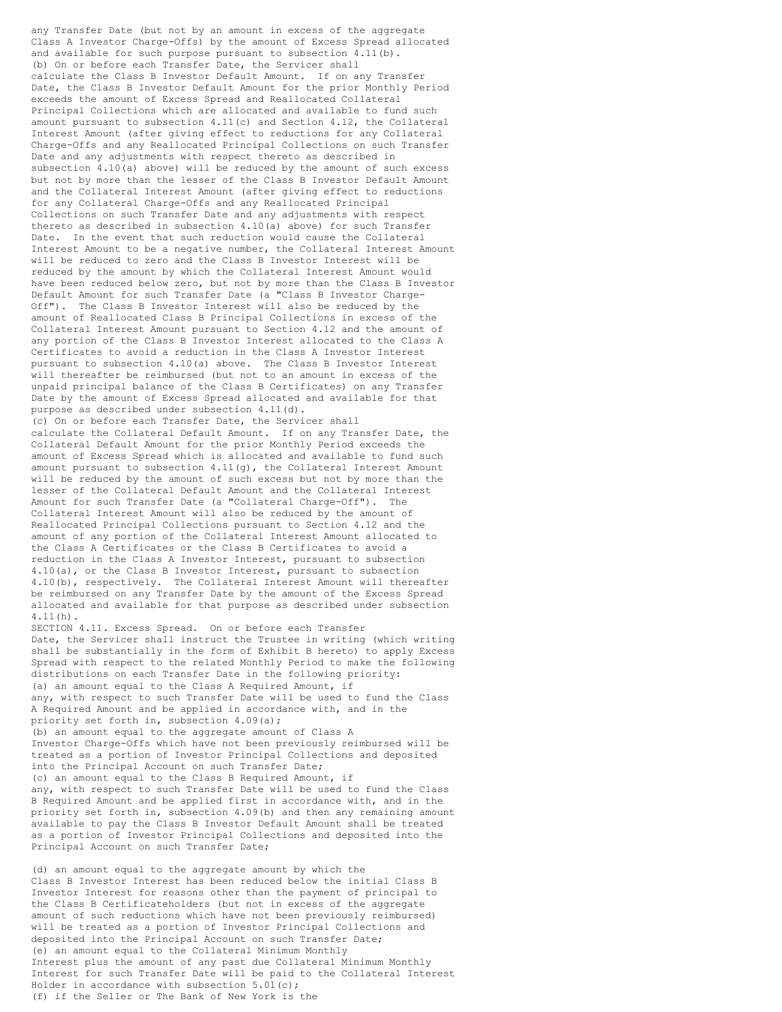any Transfer Date (but not by an amount in excess of the aggregate Class A Investor Charge-Offs) by the amount of Excess Spread allocated and available for such purpose pursuant to subsection 4.11(b). (b) On or before each Transfer Date, the Servicer shall calculate the Class B Investor Default Amount. If on any Transfer Date, the Class B Investor Default Amount for the prior Monthly Period exceeds the amount of Excess Spread and Reallocated Collateral Principal Collections which are allocated and available to fund such amount pursuant to subsection 4.11(c) and Section 4.12, the Collateral Interest Amount (after giving effect to reductions for any Collateral Charge-Offs and any Reallocated Principal Collections on such Transfer Date and any adjustments with respect thereto as described in subsection 4.10(a) above) will be reduced by the amount of such excess but not by more than the lesser of the Class B Investor Default Amount and the Collateral Interest Amount (after giving effect to reductions for any Collateral Charge-Offs and any Reallocated Principal Collections on such Transfer Date and any adjustments with respect thereto as described in subsection 4.10(a) above) for such Transfer Date. In the event that such reduction would cause the Collateral Interest Amount to be a negative number, the Collateral Interest Amount will be reduced to zero and the Class B Investor Interest will be reduced by the amount by which the Collateral Interest Amount would have been reduced below zero, but not by more than the Class B Investor Default Amount for such Transfer Date (a "Class B Investor Charge-Off"). The Class B Investor Interest will also be reduced by the amount of Reallocated Class B Principal Collections in excess of the Collateral Interest Amount pursuant to Section 4.12 and the amount of any portion of the Class B Investor Interest allocated to the Class A Certificates to avoid a reduction in the Class A Investor Interest pursuant to subsection 4.10(a) above. The Class B Investor Interest .<br>will thereafter be reimbursed (but not to an amount in excess of the unpaid principal balance of the Class B Certificates) on any Transfer Date by the amount of Excess Spread allocated and available for that purpose as described under subsection 4.11(d). (c) On or before each Transfer Date, the Servicer shall calculate the Collateral Default Amount. If on any Transfer Date, the Collateral Default Amount for the prior Monthly Period exceeds the amount of Excess Spread which is allocated and available to fund such amount pursuant to subsection  $4.11(q)$ , the Collateral Interest Amount will be reduced by the amount of such excess but not by more than the lesser of the Collateral Default Amount and the Collateral Interest Amount for such Transfer Date (a "Collateral Charge-Off"). The Collateral Interest Amount will also be reduced by the amount of Reallocated Principal Collections pursuant to Section 4.12 and the amount of any portion of the Collateral Interest Amount allocated to the Class A Certificates or the Class B Certificates to avoid a reduction in the Class A Investor Interest, pursuant to subsection 4.10(a), or the Class B Investor Interest, pursuant to subsection 4.10(b), respectively. The Collateral Interest Amount will thereafter be reimbursed on any Transfer Date by the amount of the Excess Spread allocated and available for that purpose as described under subsection 4.11(h). SECTION 4.11. Excess Spread. On or before each Transfer Date, the Servicer shall instruct the Trustee in writing (which writing shall be substantially in the form of Exhibit B hereto) to apply Excess Spread with respect to the related Monthly Period to make the following distributions on each Transfer Date in the following priority: (a) an amount equal to the Class A Required Amount, if any, with respect to such Transfer Date will be used to fund the Class A Required Amount and be applied in accordance with, and in the priority set forth in, subsection 4.09(a); (b) an amount equal to the aggregate amount of Class A Investor Charge-Offs which have not been previously reimbursed will be

treated as a portion of Investor Principal Collections and deposited into the Principal Account on such Transfer Date; (c) an amount equal to the Class B Required Amount, if any, with respect to such Transfer Date will be used to fund the Class B Required Amount and be applied first in accordance with, and in the priority set forth in, subsection 4.09(b) and then any remaining amount available to pay the Class B Investor Default Amount shall be treated as a portion of Investor Principal Collections and deposited into the

Principal Account on such Transfer Date;

(d) an amount equal to the aggregate amount by which the Class B Investor Interest has been reduced below the initial Class B Investor Interest for reasons other than the payment of principal to the Class B Certificateholders (but not in excess of the aggregate amount of such reductions which have not been previously reimbursed) will be treated as a portion of Investor Principal Collections and deposited into the Principal Account on such Transfer Date; (e) an amount equal to the Collateral Minimum Monthly Interest plus the amount of any past due Collateral Minimum Monthly Interest for such Transfer Date will be paid to the Collateral Interest Holder in accordance with subsection 5.01(c); (f) if the Seller or The Bank of New York is the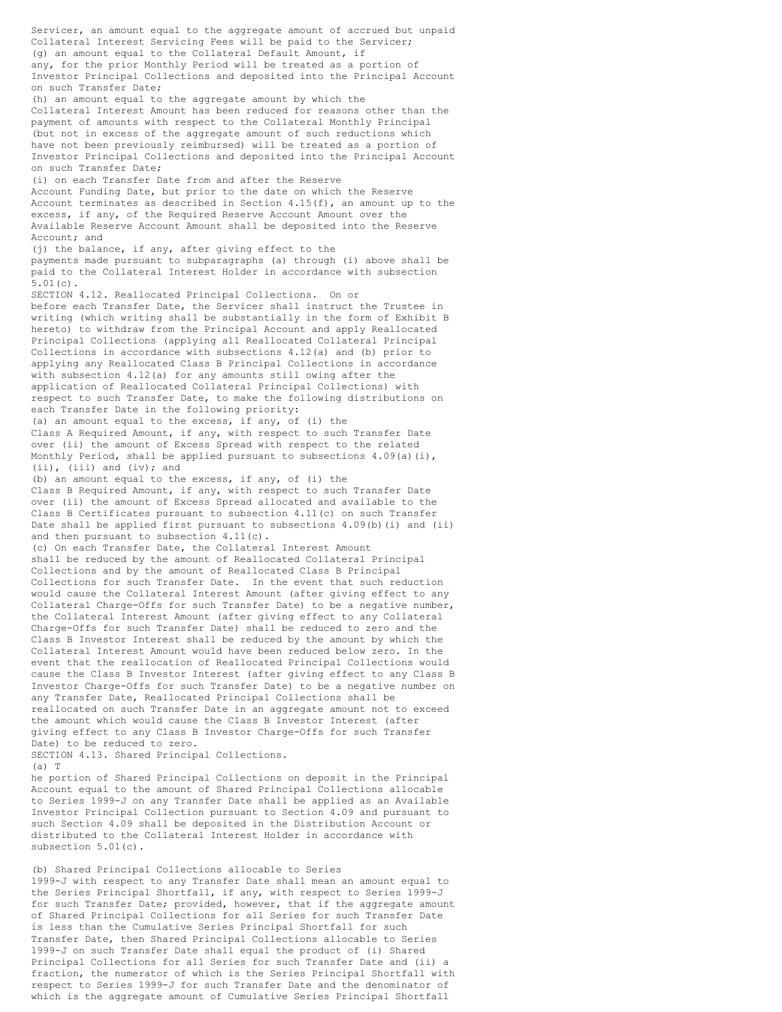Servicer, an amount equal to the aggregate amount of accrued but unpaid Collateral Interest Servicing Fees will be paid to the Servicer; (g) an amount equal to the Collateral Default Amount, if any, for the prior Monthly Period will be treated as a portion of Investor Principal Collections and deposited into the Principal Account on such Transfer Date; (h) an amount equal to the aggregate amount by which the Collateral Interest Amount has been reduced for reasons other than the payment of amounts with respect to the Collateral Monthly Principal (but not in excess of the aggregate amount of such reductions which have not been previously reimbursed) will be treated as a portion of Investor Principal Collections and deposited into the Principal Account on such Transfer Date; (i) on each Transfer Date from and after the Reserve Account Funding Date, but prior to the date on which the Reserve Account terminates as described in Section  $4.15(f)$ , an amount up to the excess, if any, of the Required Reserve Account Amount over the Available Reserve Account Amount shall be deposited into the Reserve Account; and (j) the balance, if any, after giving effect to the payments made pursuant to subparagraphs (a) through (i) above shall be paid to the Collateral Interest Holder in accordance with subsection 5.01(c). SECTION 4.12. Reallocated Principal Collections. On or before each Transfer Date, the Servicer shall instruct the Trustee in writing (which writing shall be substantially in the form of Exhibit B hereto) to withdraw from the Principal Account and apply Reallocated Principal Collections (applying all Reallocated Collateral Principal Collections in accordance with subsections 4.12(a) and (b) prior to applying any Reallocated Class B Principal Collections in accordance with subsection 4.12(a) for any amounts still owing after the application of Reallocated Collateral Principal Collections) with respect to such Transfer Date, to make the following distributions on each Transfer Date in the following priority: (a) an amount equal to the excess, if any, of (i) the Class A Required Amount, if any, with respect to such Transfer Date over (ii) the amount of Excess Spread with respect to the related Monthly Period, shall be applied pursuant to subsections 4.09(a)(i), (ii), (iii) and (iv); and (b) an amount equal to the excess, if any, of (i) the Class B Required Amount, if any, with respect to such Transfer Date over (ii) the amount of Excess Spread allocated and available to the Class B Certificates pursuant to subsection  $4.11(c)$  on such Transfer Date shall be applied first pursuant to subsections 4.09(b)(i) and (ii) and then pursuant to subsection 4.11(c). (c) On each Transfer Date, the Collateral Interest Amount shall be reduced by the amount of Reallocated Collateral Principal Collections and by the amount of Reallocated Class B Principal Collections for such Transfer Date. In the event that such reduction would cause the Collateral Interest Amount (after giving effect to any Collateral Charge-Offs for such Transfer Date) to be a negative number, the Collateral Interest Amount (after giving effect to any Collateral Charge-Offs for such Transfer Date) shall be reduced to zero and the Class B Investor Interest shall be reduced by the amount by which the Collateral Interest Amount would have been reduced below zero. In the event that the reallocation of Reallocated Principal Collections would cause the Class B Investor Interest (after giving effect to any Class B Investor Charge-Offs for such Transfer Date) to be a negative number on any Transfer Date, Reallocated Principal Collections shall be reallocated on such Transfer Date in an aggregate amount not to exceed the amount which would cause the Class B Investor Interest (after giving effect to any Class B Investor Charge-Offs for such Transfer Date) to be reduced to zero. SECTION 4.13. Shared Principal Collections.  $(a)$  T he portion of Shared Principal Collections on deposit in the Principal

Account equal to the amount of Shared Principal Collections allocable to Series 1999-J on any Transfer Date shall be applied as an Available Investor Principal Collection pursuant to Section 4.09 and pursuant to such Section 4.09 shall be deposited in the Distribution Account or distributed to the Collateral Interest Holder in accordance with subsection 5.01(c).

(b) Shared Principal Collections allocable to Series 1999-J with respect to any Transfer Date shall mean an amount equal to the Series Principal Shortfall, if any, with respect to Series 1999-J for such Transfer Date; provided, however, that if the aggregate amount of Shared Principal Collections for all Series for such Transfer Date is less than the Cumulative Series Principal Shortfall for such Transfer Date, then Shared Principal Collections allocable to Series 1999-J on such Transfer Date shall equal the product of (i) Shared Principal Collections for all Series for such Transfer Date and (ii) a fraction, the numerator of which is the Series Principal Shortfall with respect to Series 1999-J for such Transfer Date and the denominator of which is the aggregate amount of Cumulative Series Principal Shortfall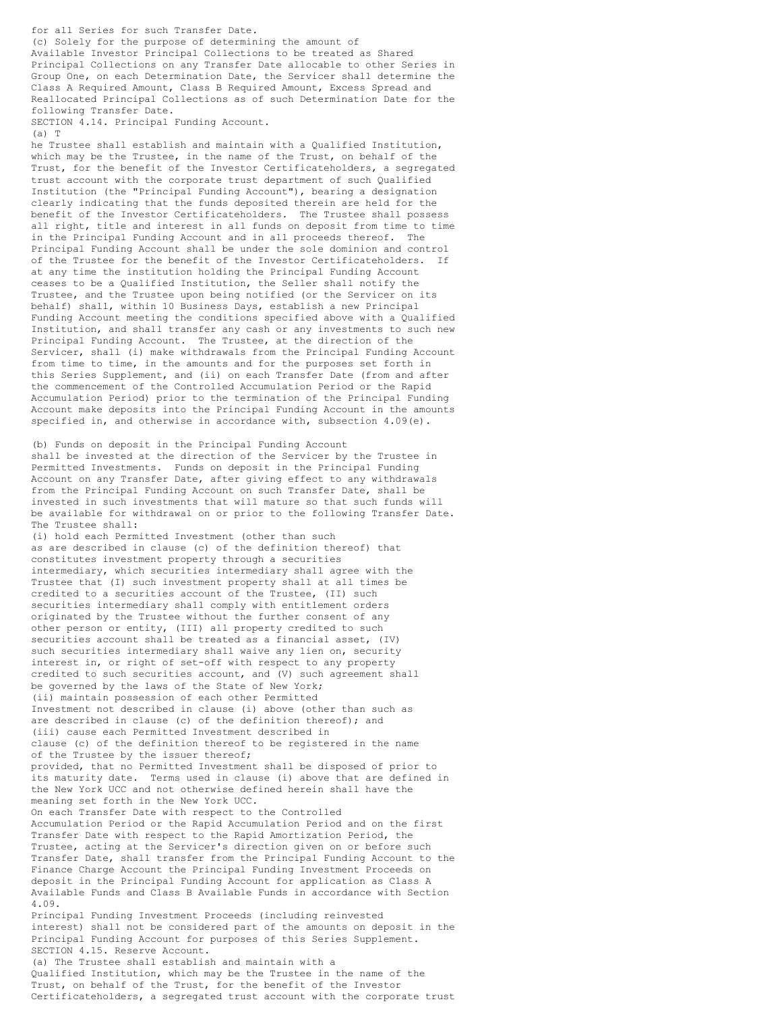for all Series for such Transfer Date. (c) Solely for the purpose of determining the amount of Available Investor Principal Collections to be treated as Shared Principal Collections on any Transfer Date allocable to other Series in Group One, on each Determination Date, the Servicer shall determine the Class A Required Amount, Class B Required Amount, Excess Spread and Reallocated Principal Collections as of such Determination Date for the following Transfer Date.

SECTION 4.14. Principal Funding Account.  $(a)$  T

he Trustee shall establish and maintain with a Qualified Institution, which may be the Trustee, in the name of the Trust, on behalf of the Trust, for the benefit of the Investor Certificateholders, a segregated trust account with the corporate trust department of such Qualified Institution (the "Principal Funding Account"), bearing a designation clearly indicating that the funds deposited therein are held for the benefit of the Investor Certificateholders. The Trustee shall possess all right, title and interest in all funds on deposit from time to time in the Principal Funding Account and in all proceeds thereof. The Principal Funding Account shall be under the sole dominion and control of the Trustee for the benefit of the Investor Certificateholders. If at any time the institution holding the Principal Funding Account ceases to be a Qualified Institution, the Seller shall notify the Trustee, and the Trustee upon being notified (or the Servicer on its behalf) shall, within 10 Business Days, establish a new Principal Funding Account meeting the conditions specified above with a Qualified Institution, and shall transfer any cash or any investments to such new Principal Funding Account. The Trustee, at the direction of the Servicer, shall (i) make withdrawals from the Principal Funding Account from time to time, in the amounts and for the purposes set forth in this Series Supplement, and (ii) on each Transfer Date (from and after the commencement of the Controlled Accumulation Period or the Rapid Accumulation Period) prior to the termination of the Principal Funding Account make deposits into the Principal Funding Account in the amounts specified in, and otherwise in accordance with, subsection 4.09(e).

(b) Funds on deposit in the Principal Funding Account shall be invested at the direction of the Servicer by the Trustee in Permitted Investments. Funds on deposit in the Principal Funding Account on any Transfer Date, after giving effect to any withdrawals from the Principal Funding Account on such Transfer Date, shall be invested in such investments that will mature so that such funds will be available for withdrawal on or prior to the following Transfer Date. The Trustee shall:

(i) hold each Permitted Investment (other than such as are described in clause (c) of the definition thereof) that constitutes investment property through a securities intermediary, which securities intermediary shall agree with the Trustee that (I) such investment property shall at all times be credited to a securities account of the Trustee, (II) such securities intermediary shall comply with entitlement orders originated by the Trustee without the further consent of any other person or entity, (III) all property credited to such securities account shall be treated as a financial asset, (IV) such securities intermediary shall waive any lien on, security interest in, or right of set-off with respect to any property credited to such securities account, and (V) such agreement shall be governed by the laws of the State of New York; (ii) maintain possession of each other Permitted Investment not described in clause (i) above (other than such as are described in clause (c) of the definition thereof); and (iii) cause each Permitted Investment described in clause (c) of the definition thereof to be registered in the name of the Trustee by the issuer thereof; provided, that no Permitted Investment shall be disposed of prior to its maturity date. Terms used in clause (i) above that are defined in the New York UCC and not otherwise defined herein shall have the meaning set forth in the New York UCC. On each Transfer Date with respect to the Controlled Accumulation Period or the Rapid Accumulation Period and on the first Transfer Date with respect to the Rapid Amortization Period, the Trustee, acting at the Servicer's direction given on or before such Transfer Date, shall transfer from the Principal Funding Account to the Finance Charge Account the Principal Funding Investment Proceeds on deposit in the Principal Funding Account for application as Class A Available Funds and Class B Available Funds in accordance with Section 4.09. Principal Funding Investment Proceeds (including reinvested interest) shall not be considered part of the amounts on deposit in the Principal Funding Account for purposes of this Series Supplement. SECTION 4.15. Reserve Account. (a) The Trustee shall establish and maintain with a Qualified Institution, which may be the Trustee in the name of the Trust, on behalf of the Trust, for the benefit of the Investor

Certificateholders, a segregated trust account with the corporate trust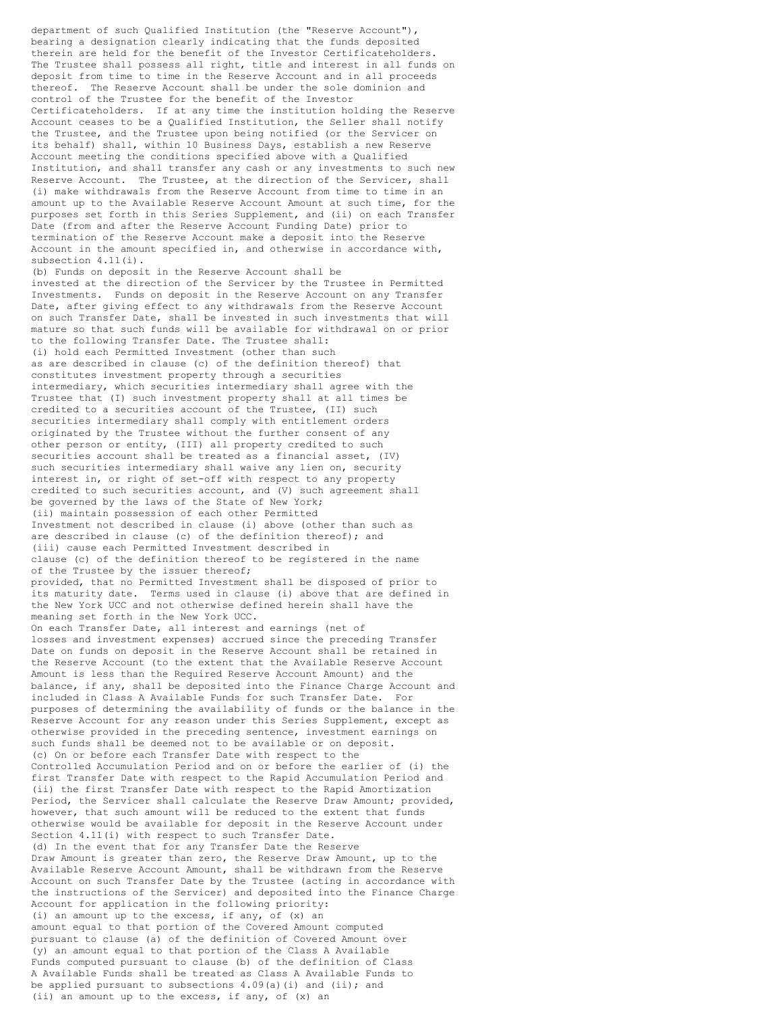department of such Qualified Institution (the "Reserve Account"), bearing a designation clearly indicating that the funds deposited therein are held for the benefit of the Investor Certificateholders. The Trustee shall possess all right, title and interest in all funds on deposit from time to time in the Reserve Account and in all proceeds thereof. The Reserve Account shall be under the sole dominion and control of the Trustee for the benefit of the Investor Certificateholders. If at any time the institution holding the Reserve Account ceases to be a Qualified Institution, the Seller shall notify the Trustee, and the Trustee upon being notified (or the Servicer on its behalf) shall, within 10 Business Days, establish a new Reserve Account meeting the conditions specified above with a Qualified Institution, and shall transfer any cash or any investments to such new Reserve Account. The Trustee, at the direction of the Servicer, shall (i) make withdrawals from the Reserve Account from time to time in an amount up to the Available Reserve Account Amount at such time, for the purposes set forth in this Series Supplement, and (ii) on each Transfer Date (from and after the Reserve Account Funding Date) prior to termination of the Reserve Account make a deposit into the Reserve Account in the amount specified in, and otherwise in accordance with, subsection 4.11(i). (b) Funds on deposit in the Reserve Account shall be invested at the direction of the Servicer by the Trustee in Permitted Investments. Funds on deposit in the Reserve Account on any Transfer Date, after giving effect to any withdrawals from the Reserve Account on such Transfer Date, shall be invested in such investments that will mature so that such funds will be available for withdrawal on or prior to the following Transfer Date. The Trustee shall: (i) hold each Permitted Investment (other than such as are described in clause (c) of the definition thereof) that constitutes investment property through a securities intermediary, which securities intermediary shall agree with the Trustee that (I) such investment property shall at all times be credited to a securities account of the Trustee, (II) such securities intermediary shall comply with entitlement orders originated by the Trustee without the further consent of any other person or entity, (III) all property credited to such securities account shall be treated as a financial asset, (IV) such securities intermediary shall waive any lien on, security interest in, or right of set-off with respect to any property credited to such securities account, and (V) such agreement shall be governed by the laws of the State of New York; (ii) maintain possession of each other Permitted Investment not described in clause (i) above (other than such as are described in clause (c) of the definition thereof); and (iii) cause each Permitted Investment described in clause (c) of the definition thereof to be registered in the name of the Trustee by the issuer thereof; provided, that no Permitted Investment shall be disposed of prior to its maturity date. Terms used in clause (i) above that are defined in the New York UCC and not otherwise defined herein shall have the meaning set forth in the New York UCC. On each Transfer Date, all interest and earnings (net of losses and investment expenses) accrued since the preceding Transfer Date on funds on deposit in the Reserve Account shall be retained in the Reserve Account (to the extent that the Available Reserve Account Amount is less than the Required Reserve Account Amount) and the balance, if any, shall be deposited into the Finance Charge Account and included in Class A Available Funds for such Transfer Date. For purposes of determining the availability of funds or the balance in the Reserve Account for any reason under this Series Supplement, except as otherwise provided in the preceding sentence, investment earnings on such funds shall be deemed not to be available or on deposit. (c) On or before each Transfer Date with respect to the Controlled Accumulation Period and on or before the earlier of (i) the first Transfer Date with respect to the Rapid Accumulation Period and (ii) the first Transfer Date with respect to the Rapid Amortization Period, the Servicer shall calculate the Reserve Draw Amount; provided, however, that such amount will be reduced to the extent that funds otherwise would be available for deposit in the Reserve Account under Section 4.11(i) with respect to such Transfer Date. (d) In the event that for any Transfer Date the Reserve Draw Amount is greater than zero, the Reserve Draw Amount, up to the Available Reserve Account Amount, shall be withdrawn from the Reserve Account on such Transfer Date by the Trustee (acting in accordance with the instructions of the Servicer) and deposited into the Finance Charge Account for application in the following priority: (i) an amount up to the excess, if any, of (x) an amount equal to that portion of the Covered Amount computed pursuant to clause (a) of the definition of Covered Amount over (y) an amount equal to that portion of the Class A Available Funds computed pursuant to clause (b) of the definition of Class A Available Funds shall be treated as Class A Available Funds to be applied pursuant to subsections 4.09(a)(i) and (ii); and (ii) an amount up to the excess, if any, of (x) an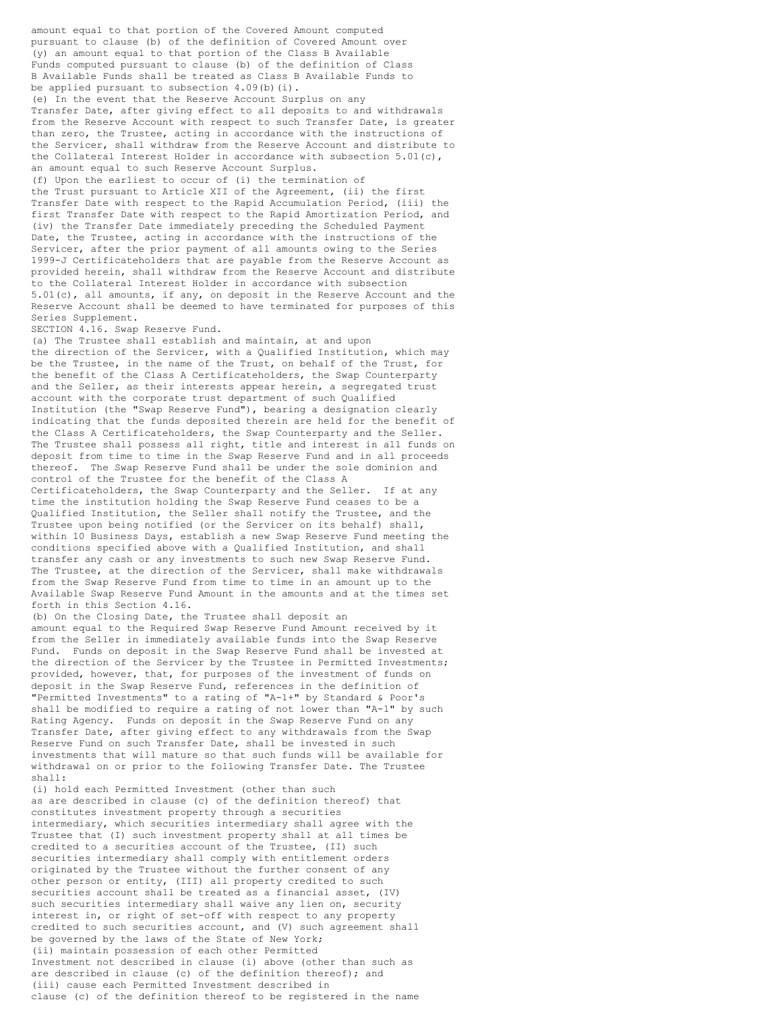amount equal to that portion of the Covered Amount computed pursuant to clause (b) of the definition of Covered Amount over (y) an amount equal to that portion of the Class B Available Funds computed pursuant to clause (b) of the definition of Class B Available Funds shall be treated as Class B Available Funds to be applied pursuant to subsection  $4.09(b)(i)$ .

(e) In the event that the Reserve Account Surplus on any Transfer Date, after giving effect to all deposits to and withdrawals from the Reserve Account with respect to such Transfer Date, is greater than zero, the Trustee, acting in accordance with the instructions of the Servicer, shall withdraw from the Reserve Account and distribute to the Collateral Interest Holder in accordance with subsection 5.01(c), an amount equal to such Reserve Account Surplus.

(f) Upon the earliest to occur of (i) the termination of the Trust pursuant to Article XII of the Agreement, (ii) the first Transfer Date with respect to the Rapid Accumulation Period, (iii) the first Transfer Date with respect to the Rapid Amortization Period, and (iv) the Transfer Date immediately preceding the Scheduled Payment Date, the Trustee, acting in accordance with the instructions of the Servicer, after the prior payment of all amounts owing to the Series 1999-J Certificateholders that are payable from the Reserve Account as provided herein, shall withdraw from the Reserve Account and distribute to the Collateral Interest Holder in accordance with subsection 5.01(c), all amounts, if any, on deposit in the Reserve Account and the Reserve Account shall be deemed to have terminated for purposes of this Series Supplement.

SECTION 4.16. Swap Reserve Fund.

(a) The Trustee shall establish and maintain, at and upon the direction of the Servicer, with a Qualified Institution, which may be the Trustee, in the name of the Trust, on behalf of the Trust, for the benefit of the Class A Certificateholders, the Swap Counterparty and the Seller, as their interests appear herein, a segregated trust account with the corporate trust department of such Qualified Institution (the "Swap Reserve Fund"), bearing a designation clearly indicating that the funds deposited therein are held for the benefit of the Class A Certificateholders, the Swap Counterparty and the Seller. The Trustee shall possess all right, title and interest in all funds on deposit from time to time in the Swap Reserve Fund and in all proceeds thereof. The Swap Reserve Fund shall be under the sole dominion and control of the Trustee for the benefit of the Class A Certificateholders, the Swap Counterparty and the Seller. If at any time the institution holding the Swap Reserve Fund ceases to be a Qualified Institution, the Seller shall notify the Trustee, and the Trustee upon being notified (or the Servicer on its behalf) shall, within 10 Business Days, establish a new Swap Reserve Fund meeting the conditions specified above with a Qualified Institution, and shall transfer any cash or any investments to such new Swap Reserve Fund. The Trustee, at the direction of the Servicer, shall make withdrawals from the Swap Reserve Fund from time to time in an amount up to the Available Swap Reserve Fund Amount in the amounts and at the times set forth in this Section 4.16.

(b) On the Closing Date, the Trustee shall deposit an amount equal to the Required Swap Reserve Fund Amount received by it from the Seller in immediately available funds into the Swap Reserve Fund. Funds on deposit in the Swap Reserve Fund shall be invested at the direction of the Servicer by the Trustee in Permitted Investments; provided, however, that, for purposes of the investment of funds on deposit in the Swap Reserve Fund, references in the definition of "Permitted Investments" to a rating of "A-1+" by Standard & Poor's shall be modified to require a rating of not lower than "A-1" by such Rating Agency. Funds on deposit in the Swap Reserve Fund on any Transfer Date, after giving effect to any withdrawals from the Swap Reserve Fund on such Transfer Date, shall be invested in such investments that will mature so that such funds will be available for withdrawal on or prior to the following Transfer Date. The Trustee shall:

(i) hold each Permitted Investment (other than such as are described in clause (c) of the definition thereof) that constitutes investment property through a securities intermediary, which securities intermediary shall agree with the Trustee that (I) such investment property shall at all times be credited to a securities account of the Trustee, (II) such securities intermediary shall comply with entitlement orders originated by the Trustee without the further consent of any other person or entity, (III) all property credited to such securities account shall be treated as a financial asset, (IV) such securities intermediary shall waive any lien on, security interest in, or right of set-off with respect to any property credited to such securities account, and (V) such agreement shall be governed by the laws of the State of New York; (ii) maintain possession of each other Permitted Investment not described in clause (i) above (other than such as are described in clause (c) of the definition thereof); and (iii) cause each Permitted Investment described in clause (c) of the definition thereof to be registered in the name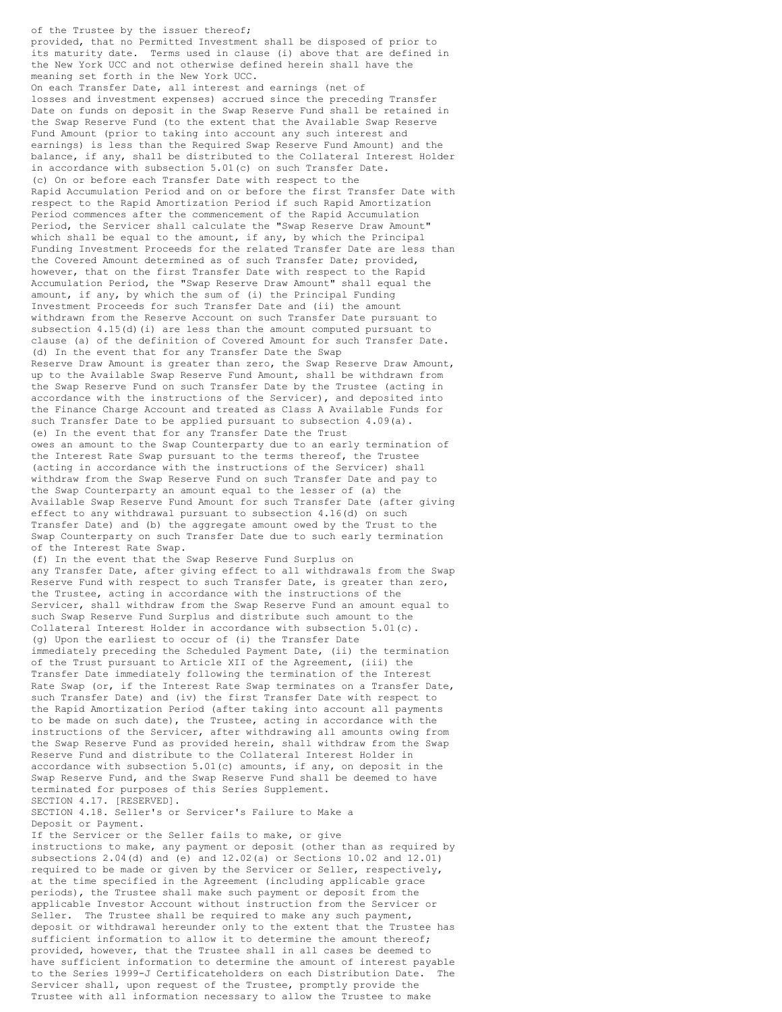of the Trustee by the issuer thereof; provided, that no Permitted Investment shall be disposed of prior to its maturity date. Terms used in clause (i) above that are defined in the New York UCC and not otherwise defined herein shall have the meaning set forth in the New York UCC. On each Transfer Date, all interest and earnings (net of losses and investment expenses) accrued since the preceding Transfer Date on funds on deposit in the Swap Reserve Fund shall be retained in the Swap Reserve Fund (to the extent that the Available Swap Reserve Fund Amount (prior to taking into account any such interest and earnings) is less than the Required Swap Reserve Fund Amount) and the balance, if any, shall be distributed to the Collateral Interest Holder in accordance with subsection 5.01(c) on such Transfer Date. (c) On or before each Transfer Date with respect to the Rapid Accumulation Period and on or before the first Transfer Date with respect to the Rapid Amortization Period if such Rapid Amortization Period commences after the commencement of the Rapid Accumulation Period, the Servicer shall calculate the "Swap Reserve Draw Amount" which shall be equal to the amount, if any, by which the Principal Funding Investment Proceeds for the related Transfer Date are less than the Covered Amount determined as of such Transfer Date; provided, however, that on the first Transfer Date with respect to the Rapid Accumulation Period, the "Swap Reserve Draw Amount" shall equal the amount, if any, by which the sum of (i) the Principal Funding Investment Proceeds for such Transfer Date and (ii) the amount withdrawn from the Reserve Account on such Transfer Date pursuant to subsection 4.15(d)(i) are less than the amount computed pursuant to clause (a) of the definition of Covered Amount for such Transfer Date. (d) In the event that for any Transfer Date the Swap Reserve Draw Amount is greater than zero, the Swap Reserve Draw Amount, up to the Available Swap Reserve Fund Amount, shall be withdrawn from the Swap Reserve Fund on such Transfer Date by the Trustee (acting in accordance with the instructions of the Servicer), and deposited into the Finance Charge Account and treated as Class A Available Funds for such Transfer Date to be applied pursuant to subsection 4.09(a). (e) In the event that for any Transfer Date the Trust owes an amount to the Swap Counterparty due to an early termination of the Interest Rate Swap pursuant to the terms thereof, the Trustee (acting in accordance with the instructions of the Servicer) shall withdraw from the Swap Reserve Fund on such Transfer Date and pay to the Swap Counterparty an amount equal to the lesser of (a) the Available Swap Reserve Fund Amount for such Transfer Date (after giving effect to any withdrawal pursuant to subsection 4.16(d) on such Transfer Date) and (b) the aggregate amount owed by the Trust to the Swap Counterparty on such Transfer Date due to such early termination of the Interest Rate Swap. (f) In the event that the Swap Reserve Fund Surplus on any Transfer Date, after giving effect to all withdrawals from the Swap Reserve Fund with respect to such Transfer Date, is greater than zero, the Trustee, acting in accordance with the instructions of the Servicer, shall withdraw from the Swap Reserve Fund an amount equal to such Swap Reserve Fund Surplus and distribute such amount to the Collateral Interest Holder in accordance with subsection 5.01(c). (g) Upon the earliest to occur of (i) the Transfer Date immediately preceding the Scheduled Payment Date, (ii) the termination of the Trust pursuant to Article XII of the Agreement, (iii) the Transfer Date immediately following the termination of the Interest Rate Swap (or, if the Interest Rate Swap terminates on a Transfer Date, such Transfer Date) and (iv) the first Transfer Date with respect to the Rapid Amortization Period (after taking into account all payments to be made on such date), the Trustee, acting in accordance with the instructions of the Servicer, after withdrawing all amounts owing from the Swap Reserve Fund as provided herein, shall withdraw from the Swap Reserve Fund and distribute to the Collateral Interest Holder in accordance with subsection 5.01(c) amounts, if any, on deposit in the Swap Reserve Fund, and the Swap Reserve Fund shall be deemed to have terminated for purposes of this Series Supplement. SECTION 4.17. [RESERVED]. SECTION 4.18. Seller's or Servicer's Failure to Make a Deposit or Payment. If the Servicer or the Seller fails to make, or give instructions to make, any payment or deposit (other than as required by subsections 2.04(d) and (e) and 12.02(a) or Sections 10.02 and 12.01) required to be made or given by the Servicer or Seller, respectively, at the time specified in the Agreement (including applicable grace

periods), the Trustee shall make such payment or deposit from the applicable Investor Account without instruction from the Servicer or Seller. The Trustee shall be required to make any such payment, deposit or withdrawal hereunder only to the extent that the Trustee has sufficient information to allow it to determine the amount thereof; provided, however, that the Trustee shall in all cases be deemed to have sufficient information to determine the amount of interest payable to the Series 1999-J Certificateholders on each Distribution Date. The Servicer shall, upon request of the Trustee, promptly provide the Trustee with all information necessary to allow the Trustee to make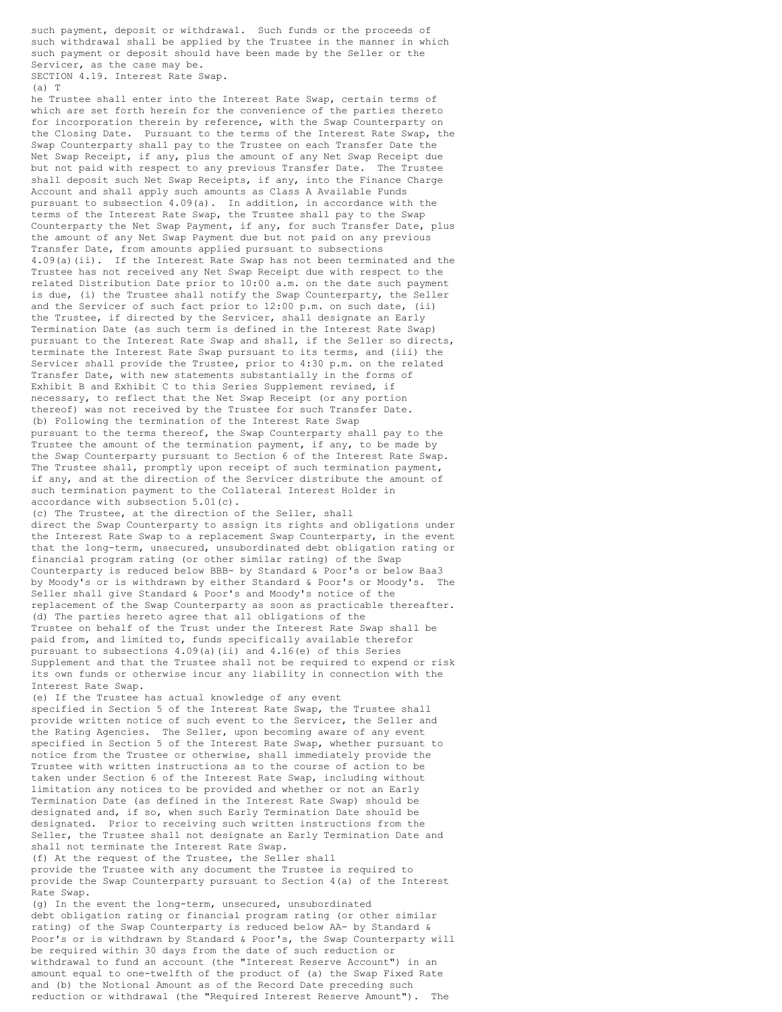such payment, deposit or withdrawal. Such funds or the proceeds of such withdrawal shall be applied by the Trustee in the manner in which such payment or deposit should have been made by the Seller or the Servicer, as the case may be. SECTION 4.19. Interest Rate Swap.

 $(a)$  T

he Trustee shall enter into the Interest Rate Swap, certain terms of which are set forth herein for the convenience of the parties thereto for incorporation therein by reference, with the Swap Counterparty on the Closing Date. Pursuant to the terms of the Interest Rate Swap, the Swap Counterparty shall pay to the Trustee on each Transfer Date the Net Swap Receipt, if any, plus the amount of any Net Swap Receipt due but not paid with respect to any previous Transfer Date. The Trustee shall deposit such Net Swap Receipts, if any, into the Finance Charge Account and shall apply such amounts as Class A Available Funds pursuant to subsection 4.09(a). In addition, in accordance with the terms of the Interest Rate Swap, the Trustee shall pay to the Swap Counterparty the Net Swap Payment, if any, for such Transfer Date, plus the amount of any Net Swap Payment due but not paid on any previous Transfer Date, from amounts applied pursuant to subsections 4.09(a)(ii). If the Interest Rate Swap has not been terminated and the Trustee has not received any Net Swap Receipt due with respect to the related Distribution Date prior to 10:00 a.m. on the date such payment is due, (i) the Trustee shall notify the Swap Counterparty, the Seller and the Servicer of such fact prior to 12:00 p.m. on such date, (ii) the Trustee, if directed by the Servicer, shall designate an Early Termination Date (as such term is defined in the Interest Rate Swap) pursuant to the Interest Rate Swap and shall, if the Seller so directs, terminate the Interest Rate Swap pursuant to its terms, and (iii) the Servicer shall provide the Trustee, prior to 4:30 p.m. on the related Transfer Date, with new statements substantially in the forms of Exhibit B and Exhibit C to this Series Supplement revised, if necessary, to reflect that the Net Swap Receipt (or any portion thereof) was not received by the Trustee for such Transfer Date. (b) Following the termination of the Interest Rate Swap pursuant to the terms thereof, the Swap Counterparty shall pay to the Trustee the amount of the termination payment, if any, to be made by the Swap Counterparty pursuant to Section 6 of the Interest Rate Swap. The Trustee shall, promptly upon receipt of such termination payment, if any, and at the direction of the Servicer distribute the amount of such termination payment to the Collateral Interest Holder in accordance with subsection 5.01(c). (c) The Trustee, at the direction of the Seller, shall direct the Swap Counterparty to assign its rights and obligations under the Interest Rate Swap to a replacement Swap Counterparty, in the event that the long-term, unsecured, unsubordinated debt obligation rating or financial program rating (or other similar rating) of the Swap Counterparty is reduced below BBB- by Standard & Poor's or below Baa3 by Moody's or is withdrawn by either Standard & Poor's or Moody's. The Seller shall give Standard & Poor's and Moody's notice of the replacement of the Swap Counterparty as soon as practicable thereafter. (d) The parties hereto agree that all obligations of the Trustee on behalf of the Trust under the Interest Rate Swap shall be paid from, and limited to, funds specifically available therefor pursuant to subsections 4.09(a)(ii) and 4.16(e) of this Series Supplement and that the Trustee shall not be required to expend or risk its own funds or otherwise incur any liability in connection with the Interest Rate Swap. (e) If the Trustee has actual knowledge of any event specified in Section 5 of the Interest Rate Swap, the Trustee shall provide written notice of such event to the Servicer, the Seller and the Rating Agencies. The Seller, upon becoming aware of any event specified in Section 5 of the Interest Rate Swap, whether pursuant to notice from the Trustee or otherwise, shall immediately provide the Trustee with written instructions as to the course of action to be taken under Section 6 of the Interest Rate Swap, including without limitation any notices to be provided and whether or not an Early Termination Date (as defined in the Interest Rate Swap) should be designated and, if so, when such Early Termination Date should be designated. Prior to receiving such written instructions from the Seller, the Trustee shall not designate an Early Termination Date and shall not terminate the Interest Rate Swap. (f) At the request of the Trustee, the Seller shall provide the Trustee with any document the Trustee is required to provide the Swap Counterparty pursuant to Section 4(a) of the Interest Rate Swap. (g) In the event the long-term, unsecured, unsubordinated debt obligation rating or financial program rating (or other similar rating) of the Swap Counterparty is reduced below AA- by Standard &

Poor's or is withdrawn by Standard & Poor's, the Swap Counterparty will be required within 30 days from the date of such reduction or withdrawal to fund an account (the "Interest Reserve Account") in an amount equal to one-twelfth of the product of (a) the Swap Fixed Rate and (b) the Notional Amount as of the Record Date preceding such reduction or withdrawal (the "Required Interest Reserve Amount").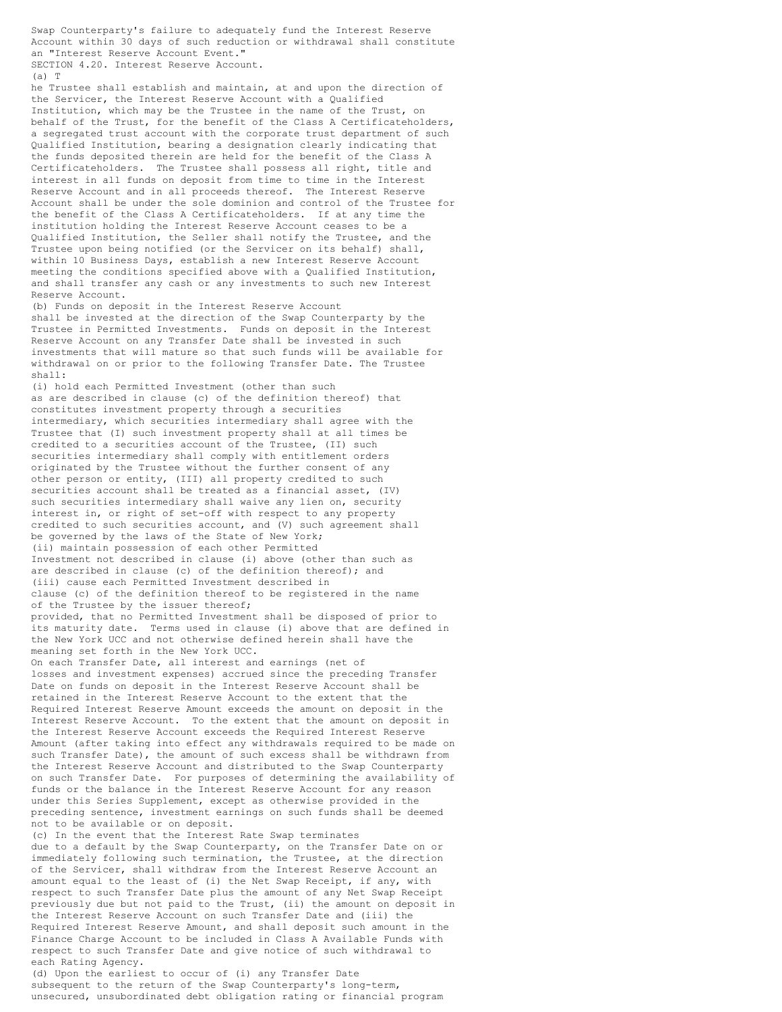Swap Counterparty's failure to adequately fund the Interest Reserve Account within 30 days of such reduction or withdrawal shall constitute an "Interest Reserve Account Event."

SECTION 4.20. Interest Reserve Account.

(a) T

he Trustee shall establish and maintain, at and upon the direction of the Servicer, the Interest Reserve Account with a Qualified Institution, which may be the Trustee in the name of the Trust, on behalf of the Trust, for the benefit of the Class A Certificateholders, a segregated trust account with the corporate trust department of such Qualified Institution, bearing a designation clearly indicating that the funds deposited therein are held for the benefit of the Class A Certificateholders. The Trustee shall possess all right, title and interest in all funds on deposit from time to time in the Interest Reserve Account and in all proceeds thereof. The Interest Reserve Account shall be under the sole dominion and control of the Trustee for the benefit of the Class A Certificateholders. If at any time the institution holding the Interest Reserve Account ceases to be a Qualified Institution, the Seller shall notify the Trustee, and the Trustee upon being notified (or the Servicer on its behalf) shall, within 10 Business Days, establish a new Interest Reserve Account meeting the conditions specified above with a Qualified Institution, and shall transfer any cash or any investments to such new Interest Reserve Account.

(b) Funds on deposit in the Interest Reserve Account shall be invested at the direction of the Swap Counterparty by the Trustee in Permitted Investments. Funds on deposit in the Interest Reserve Account on any Transfer Date shall be invested in such investments that will mature so that such funds will be available for withdrawal on or prior to the following Transfer Date. The Trustee shall:

(i) hold each Permitted Investment (other than such as are described in clause (c) of the definition thereof) that constitutes investment property through a securities intermediary, which securities intermediary shall agree with the Trustee that (I) such investment property shall at all times be credited to a securities account of the Trustee, (II) such securities intermediary shall comply with entitlement orders originated by the Trustee without the further consent of any other person or entity, (III) all property credited to such securities account shall be treated as a financial asset, (IV) such securities intermediary shall waive any lien on, security interest in, or right of set-off with respect to any property credited to such securities account, and (V) such agreement shall be governed by the laws of the State of New York; (ii) maintain possession of each other Permitted Investment not described in clause (i) above (other than such as are described in clause (c) of the definition thereof); and (iii) cause each Permitted Investment described in clause (c) of the definition thereof to be registered in the name of the Trustee by the issuer thereof; provided, that no Permitted Investment shall be disposed of prior to its maturity date. Terms used in clause (i) above that are defined in the New York UCC and not otherwise defined herein shall have the meaning set forth in the New York UCC. On each Transfer Date, all interest and earnings (net of losses and investment expenses) accrued since the preceding Transfer Date on funds on deposit in the Interest Reserve Account shall be retained in the Interest Reserve Account to the extent that the Required Interest Reserve Amount exceeds the amount on deposit in the Interest Reserve Account. To the extent that the amount on deposit in the Interest Reserve Account exceeds the Required Interest Reserve Amount (after taking into effect any withdrawals required to be made on such Transfer Date), the amount of such excess shall be withdrawn from the Interest Reserve Account and distributed to the Swap Counterparty on such Transfer Date. For purposes of determining the availability of funds or the balance in the Interest Reserve Account for any reason under this Series Supplement, except as otherwise provided in the

preceding sentence, investment earnings on such funds shall be deemed not to be available or on deposit. (c) In the event that the Interest Rate Swap terminates

due to a default by the Swap Counterparty, on the Transfer Date on or immediately following such termination, the Trustee, at the direction of the Servicer, shall withdraw from the Interest Reserve Account an amount equal to the least of (i) the Net Swap Receipt, if any, with respect to such Transfer Date plus the amount of any Net Swap Receipt previously due but not paid to the Trust, (ii) the amount on deposit in the Interest Reserve Account on such Transfer Date and (iii) the Required Interest Reserve Amount, and shall deposit such amount in the Finance Charge Account to be included in Class A Available Funds with respect to such Transfer Date and give notice of such withdrawal to each Rating Agency.

(d) Upon the earliest to occur of (i) any Transfer Date subsequent to the return of the Swap Counterparty's long-term, unsecured, unsubordinated debt obligation rating or financial program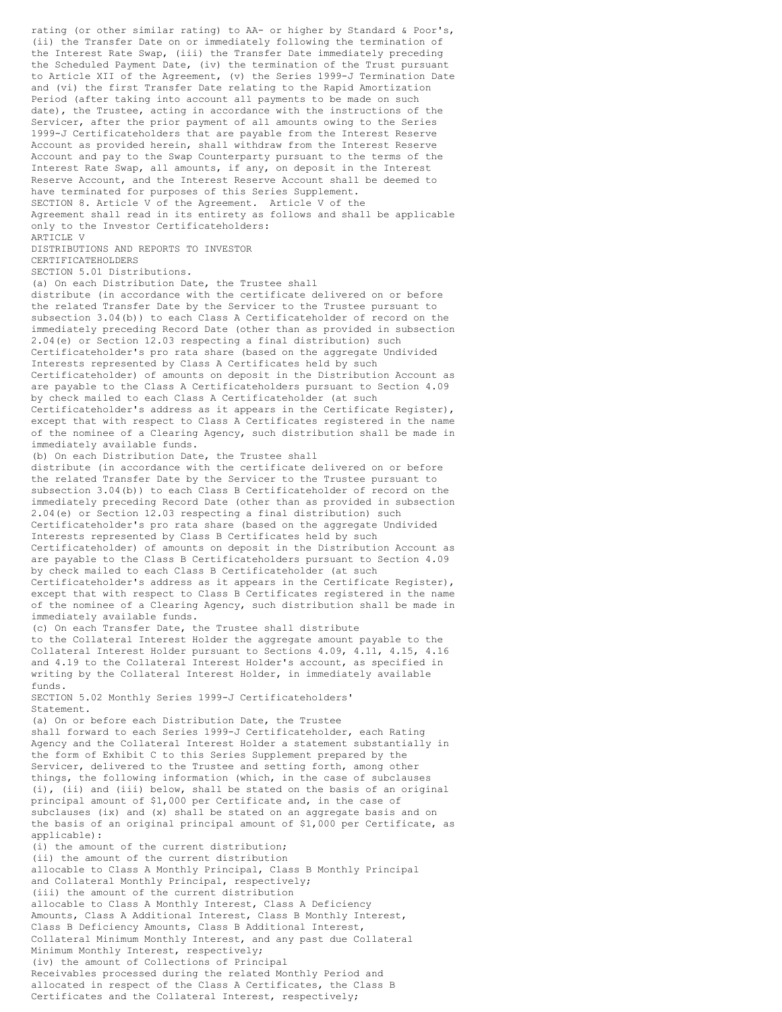rating (or other similar rating) to AA- or higher by Standard & Poor's, (ii) the Transfer Date on or immediately following the termination of the Interest Rate Swap, (iii) the Transfer Date immediately preceding the Scheduled Payment Date, (iv) the termination of the Trust pursuant to Article XII of the Agreement, (v) the Series 1999-J Termination Date and (vi) the first Transfer Date relating to the Rapid Amortization Period (after taking into account all payments to be made on such date), the Trustee, acting in accordance with the instructions of the Servicer, after the prior payment of all amounts owing to the Series 1999-J Certificateholders that are payable from the Interest Reserve Account as provided herein, shall withdraw from the Interest Reserve Account and pay to the Swap Counterparty pursuant to the terms of the Interest Rate Swap, all amounts, if any, on deposit in the Interest Reserve Account, and the Interest Reserve Account shall be deemed to have terminated for purposes of this Series Supplement. SECTION 8. Article V of the Agreement. Article V of the Agreement shall read in its entirety as follows and shall be applicable only to the Investor Certificateholders: ARTICLE V DISTRIBUTIONS AND REPORTS TO INVESTOR CERTIFICATEHOLDERS SECTION 5.01 Distributions. (a) On each Distribution Date, the Trustee shall distribute (in accordance with the certificate delivered on or before the related Transfer Date by the Servicer to the Trustee pursuant to subsection 3.04(b)) to each Class A Certificateholder of record on the immediately preceding Record Date (other than as provided in subsection 2.04(e) or Section 12.03 respecting a final distribution) such Certificateholder's pro rata share (based on the aggregate Undivided Interests represented by Class A Certificates held by such Certificateholder) of amounts on deposit in the Distribution Account as are payable to the Class A Certificateholders pursuant to Section 4.09 by check mailed to each Class A Certificateholder (at such Certificateholder's address as it appears in the Certificate Register), except that with respect to Class A Certificates registered in the name of the nominee of a Clearing Agency, such distribution shall be made in immediately available funds. (b) On each Distribution Date, the Trustee shall distribute (in accordance with the certificate delivered on or before the related Transfer Date by the Servicer to the Trustee pursuant to subsection 3.04(b)) to each Class B Certificateholder of record on the immediately preceding Record Date (other than as provided in subsection 2.04(e) or Section 12.03 respecting a final distribution) such Certificateholder's pro rata share (based on the aggregate Undivided Interests represented by Class B Certificates held by such Certificateholder) of amounts on deposit in the Distribution Account as are payable to the Class B Certificateholders pursuant to Section 4.09 by check mailed to each Class B Certificateholder (at such Certificateholder's address as it appears in the Certificate Register), except that with respect to Class B Certificates registered in the name of the nominee of a Clearing Agency, such distribution shall be made in immediately available funds. (c) On each Transfer Date, the Trustee shall distribute to the Collateral Interest Holder the aggregate amount payable to the Collateral Interest Holder pursuant to Sections 4.09, 4.11, 4.15, 4.16 and 4.19 to the Collateral Interest Holder's account, as specified in writing by the Collateral Interest Holder, in immediately available funds. SECTION 5.02 Monthly Series 1999-J Certificateholders' Statement. (a) On or before each Distribution Date, the Trustee shall forward to each Series 1999-J Certificateholder, each Rating Agency and the Collateral Interest Holder a statement substantially in the form of Exhibit C to this Series Supplement prepared by the Servicer, delivered to the Trustee and setting forth, among other things, the following information (which, in the case of subclauses (i), (ii) and (iii) below, shall be stated on the basis of an original principal amount of \$1,000 per Certificate and, in the case of subclauses (ix) and (x) shall be stated on an aggregate basis and on the basis of an original principal amount of \$1,000 per Certificate, as applicable): (i) the amount of the current distribution; (ii) the amount of the current distribution allocable to Class A Monthly Principal, Class B Monthly Principal and Collateral Monthly Principal, respectively; (iii) the amount of the current distribution allocable to Class A Monthly Interest, Class A Deficiency Amounts, Class A Additional Interest, Class B Monthly Interest, Class B Deficiency Amounts, Class B Additional Interest, Collateral Minimum Monthly Interest, and any past due Collateral Minimum Monthly Interest, respectively; (iv) the amount of Collections of Principal Receivables processed during the related Monthly Period and allocated in respect of the Class A Certificates, the Class B Certificates and the Collateral Interest, respectively;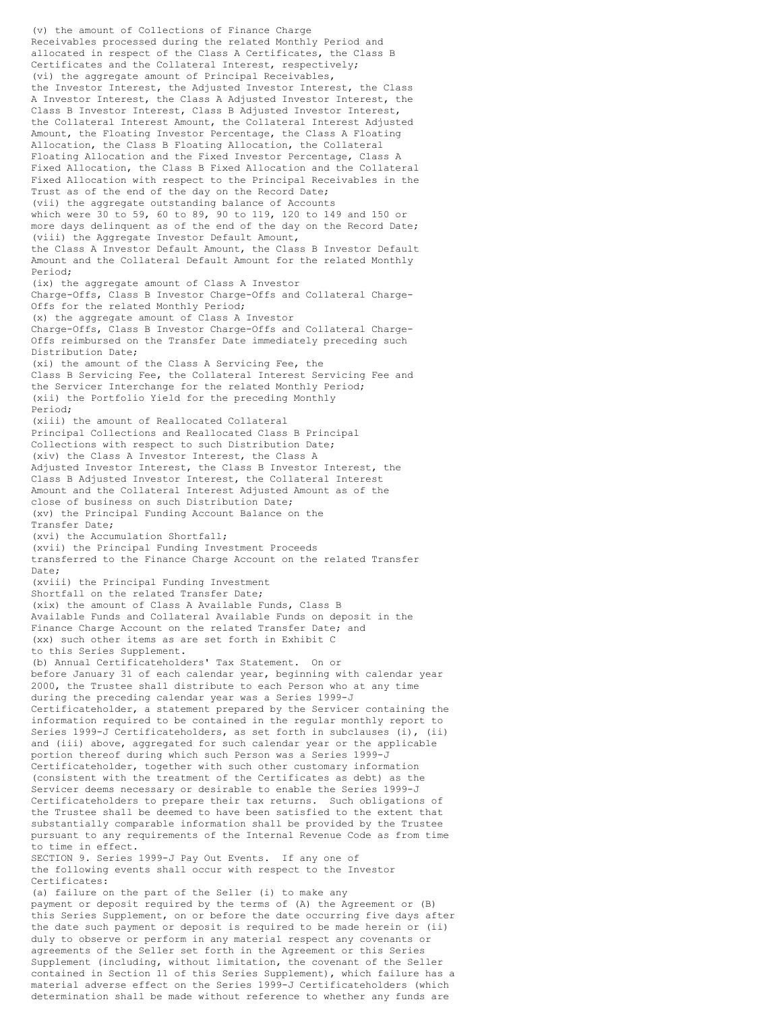(v) the amount of Collections of Finance Charge Receivables processed during the related Monthly Period and allocated in respect of the Class A Certificates, the Class B Certificates and the Collateral Interest, respectively; (vi) the aggregate amount of Principal Receivables, the Investor Interest, the Adjusted Investor Interest, the Class A Investor Interest, the Class A Adjusted Investor Interest, the Class B Investor Interest, Class B Adjusted Investor Interest, the Collateral Interest Amount, the Collateral Interest Adjusted Amount, the Floating Investor Percentage, the Class A Floating Allocation, the Class B Floating Allocation, the Collateral Floating Allocation and the Fixed Investor Percentage, Class A Fixed Allocation, the Class B Fixed Allocation and the Collateral Fixed Allocation with respect to the Principal Receivables in the Trust as of the end of the day on the Record Date; (vii) the aggregate outstanding balance of Accounts which were 30 to 59, 60 to 89, 90 to 119, 120 to 149 and 150 or more days delinquent as of the end of the day on the Record Date; (viii) the Aggregate Investor Default Amount, the Class A Investor Default Amount, the Class B Investor Default Amount and the Collateral Default Amount for the related Monthly Period; (ix) the aggregate amount of Class A Investor Charge-Offs, Class B Investor Charge-Offs and Collateral Charge-Offs for the related Monthly Period; (x) the aggregate amount of Class A Investor Charge-Offs, Class B Investor Charge-Offs and Collateral Charge-Offs reimbursed on the Transfer Date immediately preceding such Distribution Date; (xi) the amount of the Class A Servicing Fee, the Class B Servicing Fee, the Collateral Interest Servicing Fee and the Servicer Interchange for the related Monthly Period; (xii) the Portfolio Yield for the preceding Monthly Period; (xiii) the amount of Reallocated Collateral Principal Collections and Reallocated Class B Principal Collections with respect to such Distribution Date; (xiv) the Class A Investor Interest, the Class A Adjusted Investor Interest, the Class B Investor Interest, the Class B Adjusted Investor Interest, the Collateral Interest Amount and the Collateral Interest Adjusted Amount as of the close of business on such Distribution Date; (xv) the Principal Funding Account Balance on the Transfer Date; (xvi) the Accumulation Shortfall; (xvii) the Principal Funding Investment Proceeds transferred to the Finance Charge Account on the related Transfer Date; (xviii) the Principal Funding Investment Shortfall on the related Transfer Date; (xix) the amount of Class A Available Funds, Class B Available Funds and Collateral Available Funds on deposit in the Finance Charge Account on the related Transfer Date; and (xx) such other items as are set forth in Exhibit C to this Series Supplement. (b) Annual Certificateholders' Tax Statement. On or before January 31 of each calendar year, beginning with calendar year 2000, the Trustee shall distribute to each Person who at any time during the preceding calendar year was a Series 1999-J Certificateholder, a statement prepared by the Servicer containing the information required to be contained in the regular monthly report to Series 1999-J Certificateholders, as set forth in subclauses (i), (ii) and (iii) above, aggregated for such calendar year or the applicable portion thereof during which such Person was a Series 1999-J Certificateholder, together with such other customary information (consistent with the treatment of the Certificates as debt) as the Servicer deems necessary or desirable to enable the Series 1999-J Certificateholders to prepare their tax returns. Such obligations of the Trustee shall be deemed to have been satisfied to the extent that substantially comparable information shall be provided by the Trustee pursuant to any requirements of the Internal Revenue Code as from time to time in effect. SECTION 9. Series 1999-J Pay Out Events. If any one of the following events shall occur with respect to the Investor Certificates: (a) failure on the part of the Seller (i) to make any payment or deposit required by the terms of (A) the Agreement or (B) this Series Supplement, on or before the date occurring five days after the date such payment or deposit is required to be made herein or (ii) duly to observe or perform in any material respect any covenants or agreements of the Seller set forth in the Agreement or this Series Supplement (including, without limitation, the covenant of the Seller

contained in Section 11 of this Series Supplement), which failure has a material adverse effect on the Series 1999-J Certificateholders (which determination shall be made without reference to whether any funds are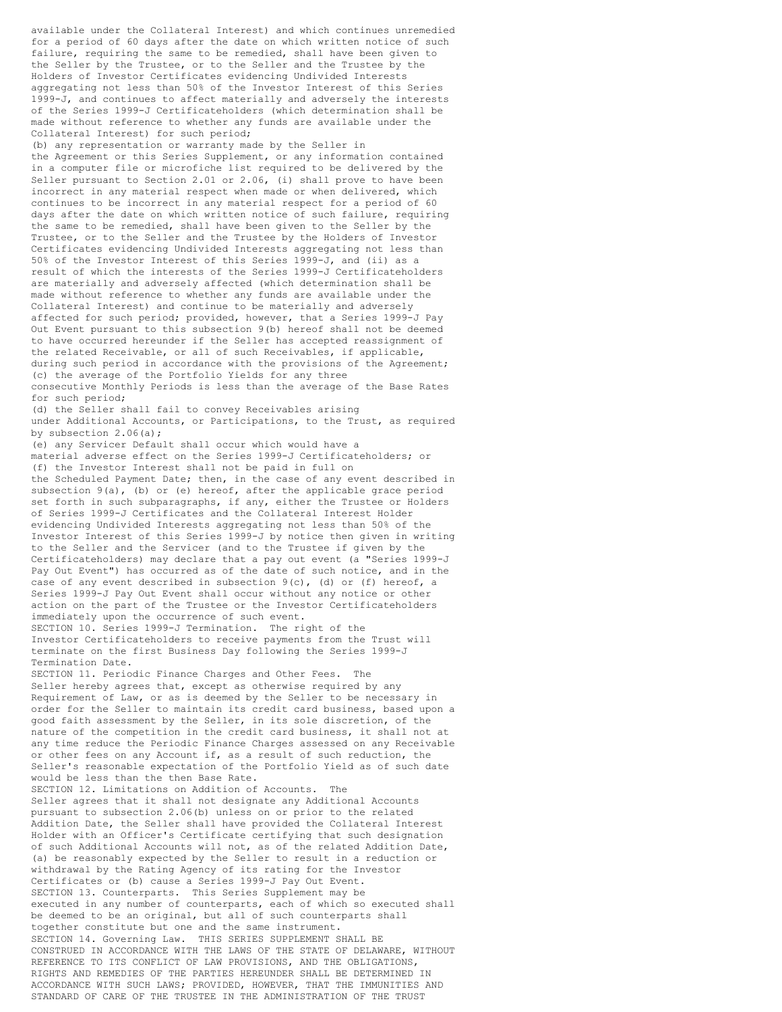available under the Collateral Interest) and which continues unremedied for a period of 60 days after the date on which written notice of such failure, requiring the same to be remedied, shall have been given to the Seller by the Trustee, or to the Seller and the Trustee by the Holders of Investor Certificates evidencing Undivided Interests aggregating not less than 50% of the Investor Interest of this Series 1999-J, and continues to affect materially and adversely the interests of the Series 1999-J Certificateholders (which determination shall be made without reference to whether any funds are available under the Collateral Interest) for such period;

(b) any representation or warranty made by the Seller in the Agreement or this Series Supplement, or any information contained in a computer file or microfiche list required to be delivered by the Seller pursuant to Section 2.01 or 2.06, (i) shall prove to have been incorrect in any material respect when made or when delivered, which continues to be incorrect in any material respect for a period of 60 days after the date on which written notice of such failure, requiring the same to be remedied, shall have been given to the Seller by the Trustee, or to the Seller and the Trustee by the Holders of Investor Certificates evidencing Undivided Interests aggregating not less than 50% of the Investor Interest of this Series 1999-J, and (ii) as a result of which the interests of the Series 1999-J Certificateholders are materially and adversely affected (which determination shall be made without reference to whether any funds are available under the Collateral Interest) and continue to be materially and adversely affected for such period; provided, however, that a Series 1999-J Pay Out Event pursuant to this subsection 9(b) hereof shall not be deemed to have occurred hereunder if the Seller has accepted reassignment of the related Receivable, or all of such Receivables, if applicable, during such period in accordance with the provisions of the Agreement; (c) the average of the Portfolio Yields for any three consecutive Monthly Periods is less than the average of the Base Rates for such period;

(d) the Seller shall fail to convey Receivables arising under Additional Accounts, or Participations, to the Trust, as required by subsection 2.06(a);

(e) any Servicer Default shall occur which would have a material adverse effect on the Series 1999-J Certificateholders; or (f) the Investor Interest shall not be paid in full on the Scheduled Payment Date; then, in the case of any event described in subsection  $9(a)$ , (b) or (e) hereof, after the applicable grace period set forth in such subparagraphs, if any, either the Trustee or Holders of Series 1999-J Certificates and the Collateral Interest Holder evidencing Undivided Interests aggregating not less than 50% of the Investor Interest of this Series 1999-J by notice then given in writing to the Seller and the Servicer (and to the Trustee if given by the Certificateholders) may declare that a pay out event (a "Series 1999-J Pay Out Event") has occurred as of the date of such notice, and in the case of any event described in subsection 9(c), (d) or (f) hereof, a Series 1999-J Pay Out Event shall occur without any notice or other action on the part of the Trustee or the Investor Certificateholders immediately upon the occurrence of such event. SECTION 10. Series 1999-J Termination. The right of the

Investor Certificateholders to receive payments from the Trust will terminate on the first Business Day following the Series 1999-J Termination Date.

SECTION 11. Periodic Finance Charges and Other Fees. The Seller hereby agrees that, except as otherwise required by any Requirement of Law, or as is deemed by the Seller to be necessary in order for the Seller to maintain its credit card business, based upon a good faith assessment by the Seller, in its sole discretion, of the nature of the competition in the credit card business, it shall not at any time reduce the Periodic Finance Charges assessed on any Receivable or other fees on any Account if, as a result of such reduction, the Seller's reasonable expectation of the Portfolio Yield as of such date would be less than the then Base Rate.

SECTION 12. Limitations on Addition of Accounts. The Seller agrees that it shall not designate any Additional Accounts pursuant to subsection 2.06(b) unless on or prior to the related Addition Date, the Seller shall have provided the Collateral Interest Holder with an Officer's Certificate certifying that such designation of such Additional Accounts will not, as of the related Addition Date, (a) be reasonably expected by the Seller to result in a reduction or withdrawal by the Rating Agency of its rating for the Investor Certificates or (b) cause a Series 1999-J Pay Out Event. SECTION 13. Counterparts. This Series Supplement may be executed in any number of counterparts, each of which so executed shall be deemed to be an original, but all of such counterparts shall together constitute but one and the same instrument. SECTION 14. Governing Law. THIS SERIES SUPPLEMENT SHALL BE CONSTRUED IN ACCORDANCE WITH THE LAWS OF THE STATE OF DELAWARE, WITHOUT REFERENCE TO ITS CONFLICT OF LAW PROVISIONS, AND THE OBLIGATIONS, RIGHTS AND REMEDIES OF THE PARTIES HEREUNDER SHALL BE DETERMINED IN ACCORDANCE WITH SUCH LAWS; PROVIDED, HOWEVER, THAT THE IMMUNITIES AND STANDARD OF CARE OF THE TRUSTEE IN THE ADMINISTRATION OF THE TRUST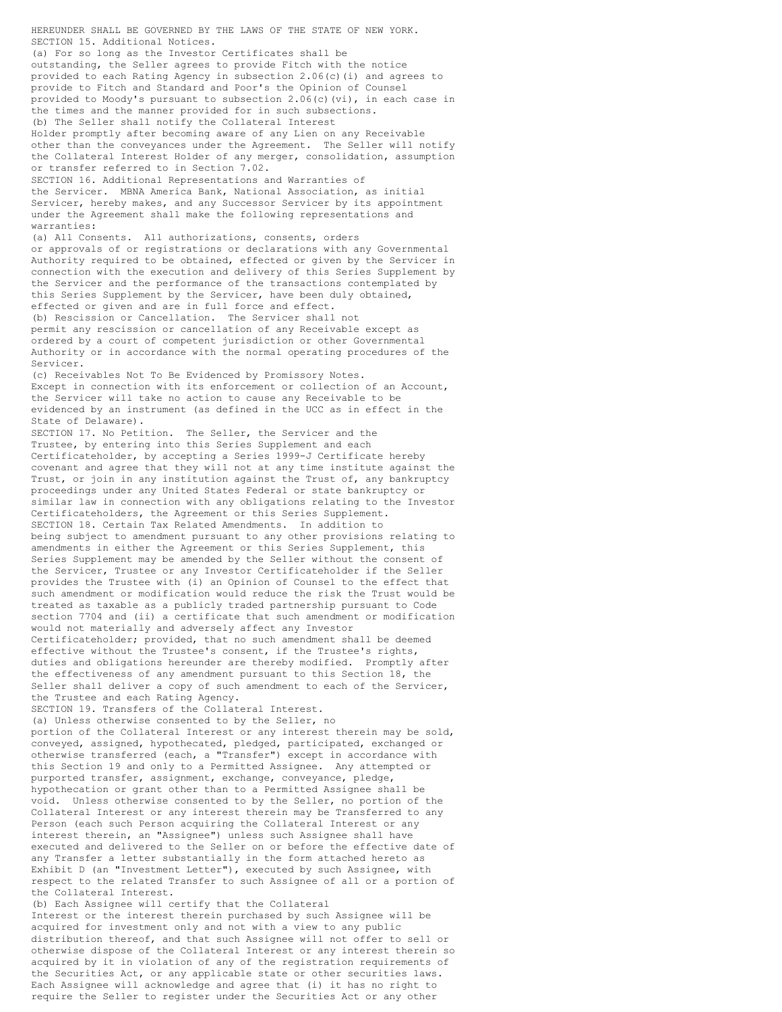HEREUNDER SHALL BE GOVERNED BY THE LAWS OF THE STATE OF NEW YORK. SECTION 15. Additional Notices. (a) For so long as the Investor Certificates shall be outstanding, the Seller agrees to provide Fitch with the notice provided to each Rating Agency in subsection 2.06(c)(i) and agrees to provide to Fitch and Standard and Poor's the Opinion of Counsel provided to Moody's pursuant to subsection 2.06(c)(vi), in each case in the times and the manner provided for in such subsections. (b) The Seller shall notify the Collateral Interest Holder promptly after becoming aware of any Lien on any Receivable other than the conveyances under the Agreement. The Seller will notify the Collateral Interest Holder of any merger, consolidation, assumption or transfer referred to in Section 7.02. SECTION 16. Additional Representations and Warranties of the Servicer. MBNA America Bank, National Association, as initial Servicer, hereby makes, and any Successor Servicer by its appointment under the Agreement shall make the following representations and warranties: (a) All Consents. All authorizations, consents, orders or approvals of or registrations or declarations with any Governmental Authority required to be obtained, effected or given by the Servicer in connection with the execution and delivery of this Series Supplement by the Servicer and the performance of the transactions contemplated by this Series Supplement by the Servicer, have been duly obtained, effected or given and are in full force and effect. (b) Rescission or Cancellation. The Servicer shall not permit any rescission or cancellation of any Receivable except as ordered by a court of competent jurisdiction or other Governmental Authority or in accordance with the normal operating procedures of the Servicer. (c) Receivables Not To Be Evidenced by Promissory Notes. Except in connection with its enforcement or collection of an Account, the Servicer will take no action to cause any Receivable to be evidenced by an instrument (as defined in the UCC as in effect in the State of Delaware). SECTION 17. No Petition. The Seller, the Servicer and the Trustee, by entering into this Series Supplement and each Certificateholder, by accepting a Series 1999-J Certificate hereby covenant and agree that they will not at any time institute against the Trust, or join in any institution against the Trust of, any bankruptcy proceedings under any United States Federal or state bankruptcy or similar law in connection with any obligations relating to the Investor Certificateholders, the Agreement or this Series Supplement. SECTION 18. Certain Tax Related Amendments. In addition to being subject to amendment pursuant to any other provisions relating to amendments in either the Agreement or this Series Supplement, this Series Supplement may be amended by the Seller without the consent of the Servicer, Trustee or any Investor Certificateholder if the Seller provides the Trustee with (i) an Opinion of Counsel to the effect that such amendment or modification would reduce the risk the Trust would be treated as taxable as a publicly traded partnership pursuant to Code section 7704 and (ii) a certificate that such amendment or modification would not materially and adversely affect any Investor Certificateholder; provided, that no such amendment shall be deemed effective without the Trustee's consent, if the Trustee's rights, duties and obligations hereunder are thereby modified. Promptly after the effectiveness of any amendment pursuant to this Section 18, the Seller shall deliver a copy of such amendment to each of the Servicer, the Trustee and each Rating Agency. SECTION 19. Transfers of the Collateral Interest. (a) Unless otherwise consented to by the Seller, no portion of the Collateral Interest or any interest therein may be sold, conveyed, assigned, hypothecated, pledged, participated, exchanged or otherwise transferred (each, a "Transfer") except in accordance with this Section 19 and only to a Permitted Assignee. Any attempted or purported transfer, assignment, exchange, conveyance, pledge, hypothecation or grant other than to a Permitted Assignee shall be void. Unless otherwise consented to by the Seller, no portion of the Collateral Interest or any interest therein may be Transferred to any Person (each such Person acquiring the Collateral Interest or any interest therein, an "Assignee") unless such Assignee shall have executed and delivered to the Seller on or before the effective date of any Transfer a letter substantially in the form attached hereto as Exhibit D (an "Investment Letter"), executed by such Assignee, with respect to the related Transfer to such Assignee of all or a portion of the Collateral Interest. (b) Each Assignee will certify that the Collateral

Interest or the interest therein purchased by such Assignee will be acquired for investment only and not with a view to any public distribution thereof, and that such Assignee will not offer to sell or otherwise dispose of the Collateral Interest or any interest therein so acquired by it in violation of any of the registration requirements of the Securities Act, or any applicable state or other securities laws. Each Assignee will acknowledge and agree that (i) it has no right to require the Seller to register under the Securities Act or any other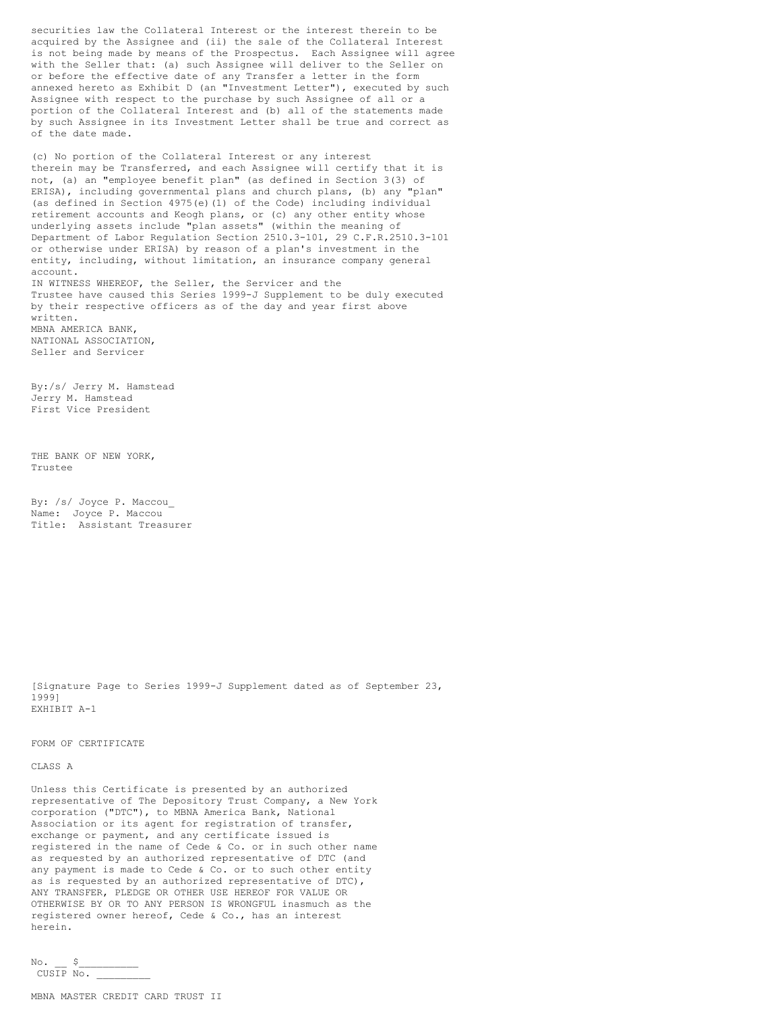securities law the Collateral Interest or the interest therein to be acquired by the Assignee and (ii) the sale of the Collateral Interest is not being made by means of the Prospectus. Each Assignee will agree with the Seller that: (a) such Assignee will deliver to the Seller on or before the effective date of any Transfer a letter in the form annexed hereto as Exhibit D (an "Investment Letter"), executed by such Assignee with respect to the purchase by such Assignee of all or a portion of the Collateral Interest and (b) all of the statements made by such Assignee in its Investment Letter shall be true and correct as of the date made.

(c) No portion of the Collateral Interest or any interest therein may be Transferred, and each Assignee will certify that it is not, (a) an "employee benefit plan" (as defined in Section 3(3) of ERISA), including governmental plans and church plans, (b) any "plan" (as defined in Section 4975(e)(1) of the Code) including individual retirement accounts and Keogh plans, or (c) any other entity whose underlying assets include "plan assets" (within the meaning of Department of Labor Regulation Section 2510.3-101, 29 C.F.R.2510.3-101 or otherwise under ERISA) by reason of a plan's investment in the entity, including, without limitation, an insurance company general account. IN WITNESS WHEREOF, the Seller, the Servicer and the

Trustee have caused this Series 1999-J Supplement to be duly executed by their respective officers as of the day and year first above written. MBNA AMERICA BANK,

NATIONAL ASSOCIATION, Seller and Servicer

By:/s/ Jerry M. Hamstead Jerry M. Hamstead First Vice President

THE BANK OF NEW YORK, Trustee

By: /s/ Joyce P. Maccou\_ Name: Joyce P. Maccou Title: Assistant Treasurer

[Signature Page to Series 1999-J Supplement dated as of September 23, 1999] EXHIBIT A-1

## FORM OF CERTIFICATE

CLASS A

Unless this Certificate is presented by an authorized representative of The Depository Trust Company, a New York corporation ("DTC"), to MBNA America Bank, National Association or its agent for registration of transfer, exchange or payment, and any certificate issued is registered in the name of Cede & Co. or in such other name as requested by an authorized representative of DTC (and any payment is made to Cede & Co. or to such other entity as is requested by an authorized representative of DTC), ANY TRANSFER, PLEDGE OR OTHER USE HEREOF FOR VALUE OR OTHERWISE BY OR TO ANY PERSON IS WRONGFUL inasmuch as the registered owner hereof, Cede & Co., has an interest herein.

 $No.$   $S$ CUSIP No. \_\_\_\_\_\_\_\_\_

MBNA MASTER CREDIT CARD TRUST II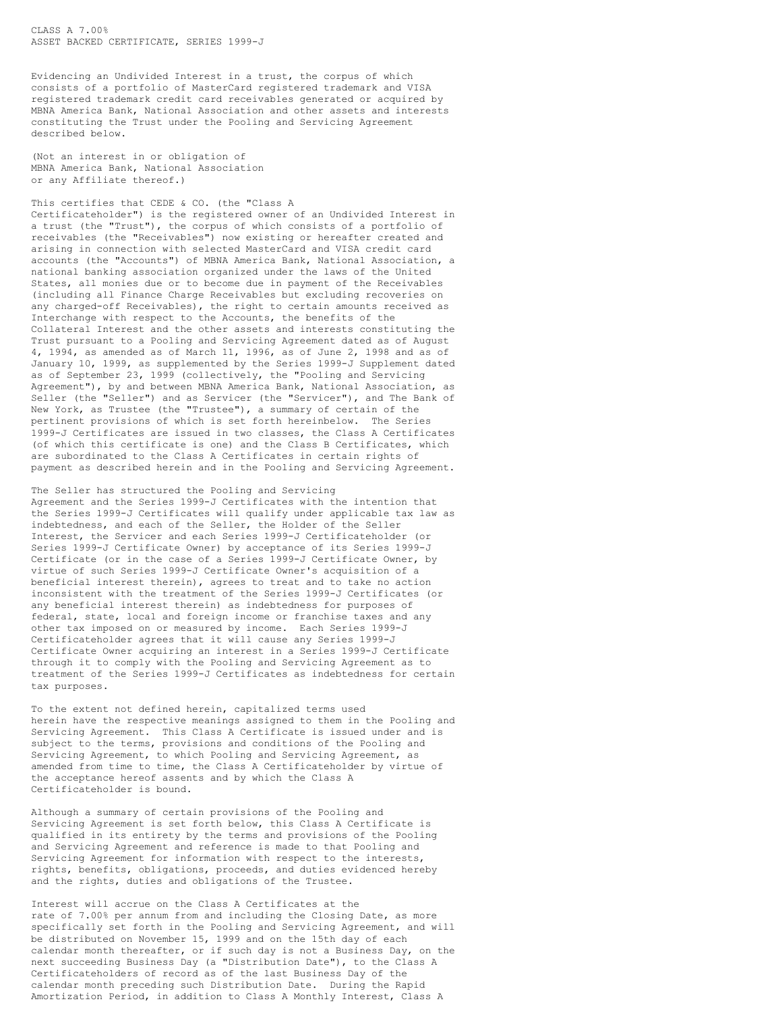CLASS A 7.00% ASSET BACKED CERTIFICATE, SERIES 1999-J

Evidencing an Undivided Interest in a trust, the corpus of which consists of a portfolio of MasterCard registered trademark and VISA registered trademark credit card receivables generated or acquired by MBNA America Bank, National Association and other assets and interests constituting the Trust under the Pooling and Servicing Agreement described below.

(Not an interest in or obligation of MBNA America Bank, National Association or any Affiliate thereof.)

This certifies that CEDE & CO. (the "Class A Certificateholder") is the registered owner of an Undivided Interest in a trust (the "Trust"), the corpus of which consists of a portfolio of receivables (the "Receivables") now existing or hereafter created and arising in connection with selected MasterCard and VISA credit card accounts (the "Accounts") of MBNA America Bank, National Association, a national banking association organized under the laws of the United States, all monies due or to become due in payment of the Receivables (including all Finance Charge Receivables but excluding recoveries on any charged-off Receivables), the right to certain amounts received as Interchange with respect to the Accounts, the benefits of the Collateral Interest and the other assets and interests constituting the Trust pursuant to a Pooling and Servicing Agreement dated as of August 4, 1994, as amended as of March 11, 1996, as of June 2, 1998 and as of January 10, 1999, as supplemented by the Series 1999-J Supplement dated as of September 23, 1999 (collectively, the "Pooling and Servicing Agreement"), by and between MBNA America Bank, National Association, as Seller (the "Seller") and as Servicer (the "Servicer"), and The Bank of New York, as Trustee (the "Trustee"), a summary of certain of the pertinent provisions of which is set forth hereinbelow. The Series 1999-J Certificates are issued in two classes, the Class A Certificates (of which this certificate is one) and the Class B Certificates, which are subordinated to the Class A Certificates in certain rights of payment as described herein and in the Pooling and Servicing Agreement.

The Seller has structured the Pooling and Servicing Agreement and the Series 1999-J Certificates with the intention that the Series 1999-J Certificates will qualify under applicable tax law as indebtedness, and each of the Seller, the Holder of the Seller Interest, the Servicer and each Series 1999-J Certificateholder (or Series 1999-J Certificate Owner) by acceptance of its Series 1999-J Certificate (or in the case of a Series 1999-J Certificate Owner, by virtue of such Series 1999-J Certificate Owner's acquisition of a beneficial interest therein), agrees to treat and to take no action inconsistent with the treatment of the Series 1999-J Certificates (or any beneficial interest therein) as indebtedness for purposes of federal, state, local and foreign income or franchise taxes and any other tax imposed on or measured by income. Each Series 1999-J Certificateholder agrees that it will cause any Series 1999-J Certificate Owner acquiring an interest in a Series 1999-J Certificate through it to comply with the Pooling and Servicing Agreement as to treatment of the Series 1999-J Certificates as indebtedness for certain tax purposes.

To the extent not defined herein, capitalized terms used herein have the respective meanings assigned to them in the Pooling and Servicing Agreement. This Class A Certificate is issued under and is subject to the terms, provisions and conditions of the Pooling and Servicing Agreement, to which Pooling and Servicing Agreement, as amended from time to time, the Class A Certificateholder by virtue of the acceptance hereof assents and by which the Class A Certificateholder is bound.

Although a summary of certain provisions of the Pooling and Servicing Agreement is set forth below, this Class A Certificate is qualified in its entirety by the terms and provisions of the Pooling and Servicing Agreement and reference is made to that Pooling and Servicing Agreement for information with respect to the interests, rights, benefits, obligations, proceeds, and duties evidenced hereby and the rights, duties and obligations of the Trustee.

Interest will accrue on the Class A Certificates at the rate of 7.00% per annum from and including the Closing Date, as more specifically set forth in the Pooling and Servicing Agreement, and will be distributed on November 15, 1999 and on the 15th day of each calendar month thereafter, or if such day is not a Business Day, on the next succeeding Business Day (a "Distribution Date"), to the Class A Certificateholders of record as of the last Business Day of the calendar month preceding such Distribution Date. During the Rapid Amortization Period, in addition to Class A Monthly Interest, Class A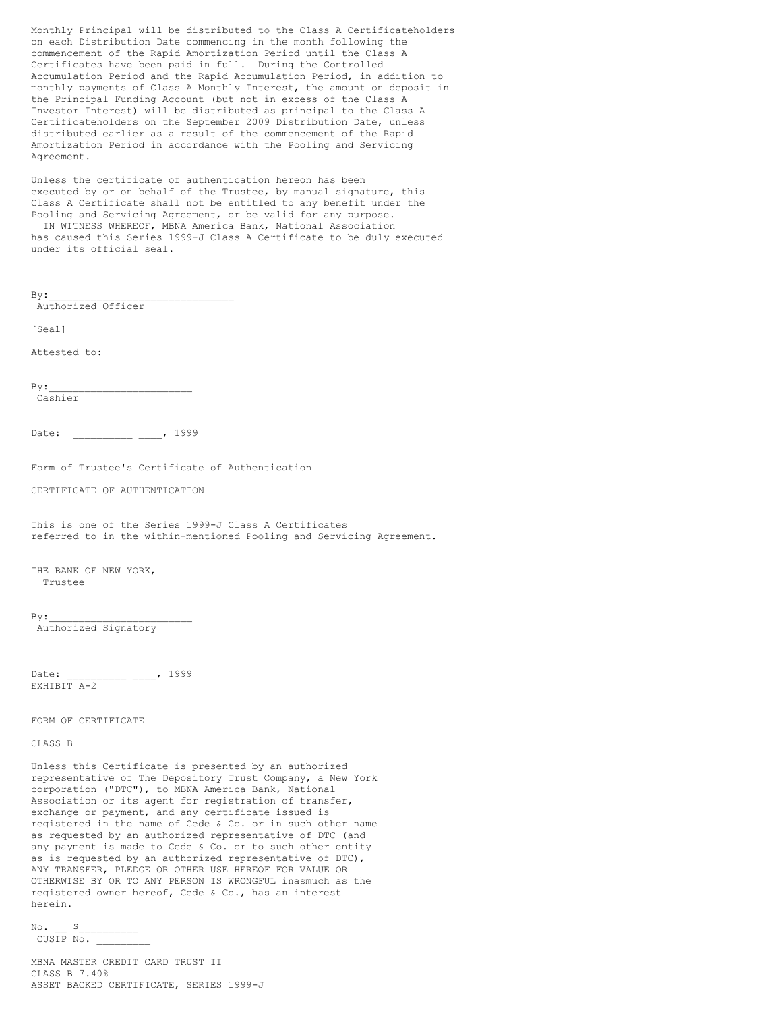Monthly Principal will be distributed to the Class A Certificateholders on each Distribution Date commencing in the month following the commencement of the Rapid Amortization Period until the Class A Certificates have been paid in full. During the Controlled Accumulation Period and the Rapid Accumulation Period, in addition to monthly payments of Class A Monthly Interest, the amount on deposit in the Principal Funding Account (but not in excess of the Class A Investor Interest) will be distributed as principal to the Class A Certificateholders on the September 2009 Distribution Date, unless distributed earlier as a result of the commencement of the Rapid Amortization Period in accordance with the Pooling and Servicing Agreement.

Unless the certificate of authentication hereon has been executed by or on behalf of the Trustee, by manual signature, this Class A Certificate shall not be entitled to any benefit under the Pooling and Servicing Agreement, or be valid for any purpose. IN WITNESS WHEREOF, MBNA America Bank, National Association

has caused this Series 1999-J Class A Certificate to be duly executed under its official seal.

 $By:$ 

Authorized Officer

[Seal]

Attested to:

 $By:$ Cashier

Date: \_\_\_\_\_\_\_\_\_\_ \_\_\_\_, 1999

Form of Trustee's Certificate of Authentication

CERTIFICATE OF AUTHENTICATION

This is one of the Series 1999-J Class A Certificates referred to in the within-mentioned Pooling and Servicing Agreement.

THE BANK OF NEW YORK, Trustee

 $By:$ 

Authorized Signatory

Date: \_\_\_\_\_\_\_\_\_ \_\_\_, 1999 EXHIBIT A-2

FORM OF CERTIFICATE

CLASS B

Unless this Certificate is presented by an authorized representative of The Depository Trust Company, a New York corporation ("DTC"), to MBNA America Bank, National Association or its agent for registration of transfer, exchange or payment, and any certificate issued is registered in the name of Cede & Co. or in such other name as requested by an authorized representative of DTC (and any payment is made to Cede & Co. or to such other entity as is requested by an authorized representative of DTC), ANY TRANSFER, PLEDGE OR OTHER USE HEREOF FOR VALUE OR OTHERWISE BY OR TO ANY PERSON IS WRONGFUL inasmuch as the registered owner hereof, Cede & Co., has an interest herein.

 $\text{No.} \quad \text{S}$ CUSIP No. \_\_\_\_\_\_\_\_\_

MBNA MASTER CREDIT CARD TRUST II CLASS B 7.40% ASSET BACKED CERTIFICATE, SERIES 1999-J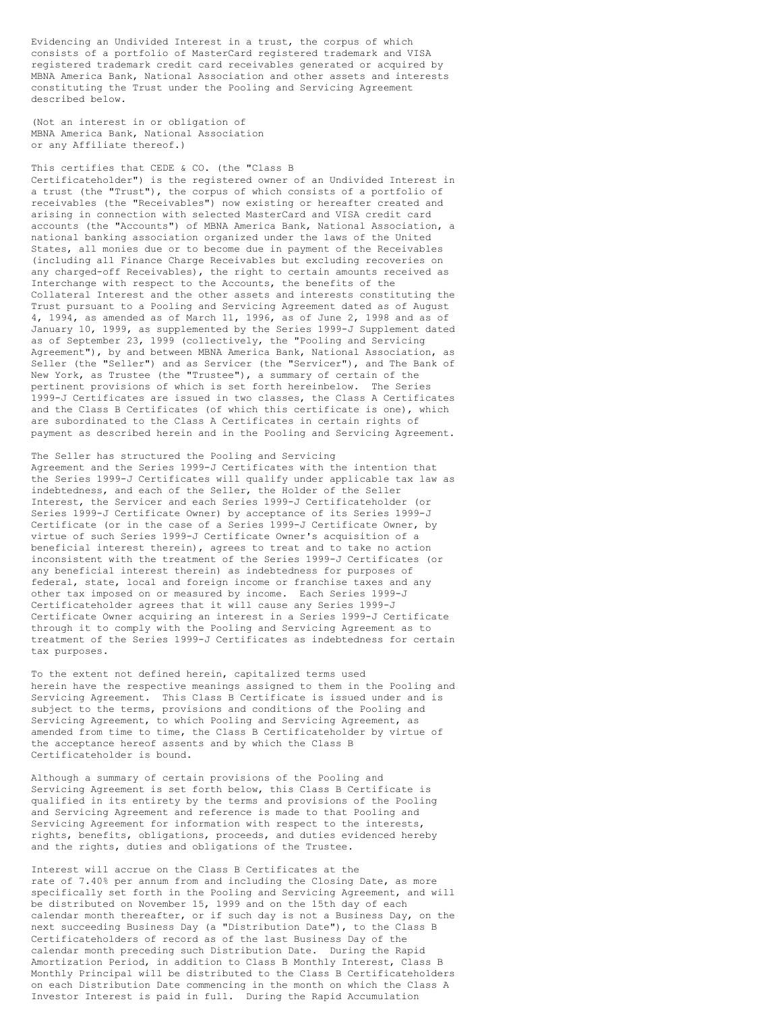Evidencing an Undivided Interest in a trust, the corpus of which consists of a portfolio of MasterCard registered trademark and VISA registered trademark credit card receivables generated or acquired by MBNA America Bank, National Association and other assets and interests constituting the Trust under the Pooling and Servicing Agreement described below.

(Not an interest in or obligation of MBNA America Bank, National Association or any Affiliate thereof.)

## This certifies that CEDE & CO. (the "Class B

Certificateholder") is the registered owner of an Undivided Interest in a trust (the "Trust"), the corpus of which consists of a portfolio of receivables (the "Receivables") now existing or hereafter created and arising in connection with selected MasterCard and VISA credit card accounts (the "Accounts") of MBNA America Bank, National Association, a national banking association organized under the laws of the United States, all monies due or to become due in payment of the Receivables (including all Finance Charge Receivables but excluding recoveries on any charged-off Receivables), the right to certain amounts received as Interchange with respect to the Accounts, the benefits of the Collateral Interest and the other assets and interests constituting the Trust pursuant to a Pooling and Servicing Agreement dated as of August 4, 1994, as amended as of March 11, 1996, as of June 2, 1998 and as of January 10, 1999, as supplemented by the Series 1999-J Supplement dated as of September 23, 1999 (collectively, the "Pooling and Servicing Agreement"), by and between MBNA America Bank, National Association, as Seller (the "Seller") and as Servicer (the "Servicer"), and The Bank of New York, as Trustee (the "Trustee"), a summary of certain of the pertinent provisions of which is set forth hereinbelow. The Series 1999-J Certificates are issued in two classes, the Class A Certificates and the Class B Certificates (of which this certificate is one), which are subordinated to the Class A Certificates in certain rights of payment as described herein and in the Pooling and Servicing Agreement.

The Seller has structured the Pooling and Servicing Agreement and the Series 1999-J Certificates with the intention that the Series 1999-J Certificates will qualify under applicable tax law as indebtedness, and each of the Seller, the Holder of the Seller Interest, the Servicer and each Series 1999-J Certificateholder (or Series 1999-J Certificate Owner) by acceptance of its Series 1999-J Certificate (or in the case of a Series 1999-J Certificate Owner, by virtue of such Series 1999-J Certificate Owner's acquisition of a beneficial interest therein), agrees to treat and to take no action inconsistent with the treatment of the Series 1999-J Certificates (or any beneficial interest therein) as indebtedness for purposes of federal, state, local and foreign income or franchise taxes and any other tax imposed on or measured by income. Each Series 1999-J Certificateholder agrees that it will cause any Series 1999-J Certificate Owner acquiring an interest in a Series 1999-J Certificate through it to comply with the Pooling and Servicing Agreement as to treatment of the Series 1999-J Certificates as indebtedness for certain tax purposes.

To the extent not defined herein, capitalized terms used herein have the respective meanings assigned to them in the Pooling and Servicing Agreement. This Class B Certificate is issued under and is subject to the terms, provisions and conditions of the Pooling and Servicing Agreement, to which Pooling and Servicing Agreement, as amended from time to time, the Class B Certificateholder by virtue of the acceptance hereof assents and by which the Class B Certificateholder is bound.

Although a summary of certain provisions of the Pooling and Servicing Agreement is set forth below, this Class B Certificate is qualified in its entirety by the terms and provisions of the Pooling and Servicing Agreement and reference is made to that Pooling and Servicing Agreement for information with respect to the interests, rights, benefits, obligations, proceeds, and duties evidenced hereby and the rights, duties and obligations of the Trustee.

Interest will accrue on the Class B Certificates at the rate of 7.40% per annum from and including the Closing Date, as more specifically set forth in the Pooling and Servicing Agreement, and will be distributed on November 15, 1999 and on the 15th day of each calendar month thereafter, or if such day is not a Business Day, on the next succeeding Business Day (a "Distribution Date"), to the Class B Certificateholders of record as of the last Business Day of the calendar month preceding such Distribution Date. During the Rapid Amortization Period, in addition to Class B Monthly Interest, Class B Monthly Principal will be distributed to the Class B Certificateholders on each Distribution Date commencing in the month on which the Class A Investor Interest is paid in full. During the Rapid Accumulation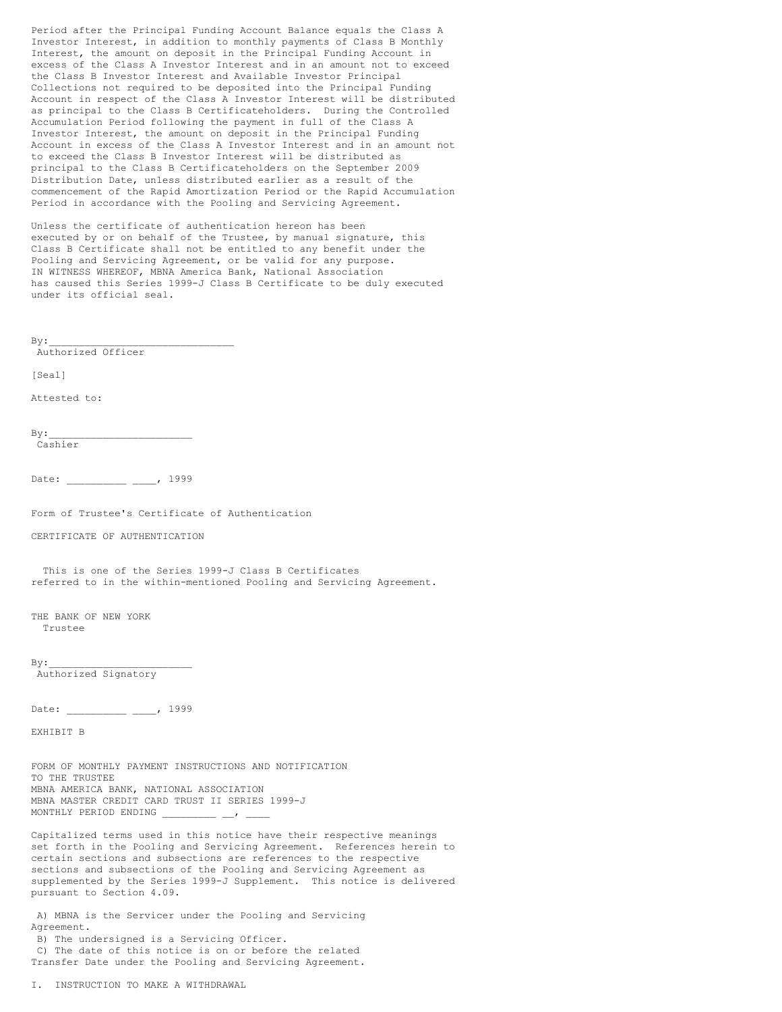Period after the Principal Funding Account Balance equals the Class A Investor Interest, in addition to monthly payments of Class B Monthly Interest, the amount on deposit in the Principal Funding Account in excess of the Class A Investor Interest and in an amount not to exceed the Class B Investor Interest and Available Investor Principal Collections not required to be deposited into the Principal Funding Account in respect of the Class A Investor Interest will be distributed as principal to the Class B Certificateholders. During the Controlled Accumulation Period following the payment in full of the Class A Investor Interest, the amount on deposit in the Principal Funding Account in excess of the Class A Investor Interest and in an amount not to exceed the Class B Investor Interest will be distributed as principal to the Class B Certificateholders on the September 2009 Distribution Date, unless distributed earlier as a result of the commencement of the Rapid Amortization Period or the Rapid Accumulation Period in accordance with the Pooling and Servicing Agreement.

Unless the certificate of authentication hereon has been executed by or on behalf of the Trustee, by manual signature, this Class B Certificate shall not be entitled to any benefit under the Pooling and Servicing Agreement, or be valid for any purpose. IN WITNESS WHEREOF, MBNA America Bank, National Association has caused this Series 1999-J Class B Certificate to be duly executed under its official seal.

 $By:$ Authorized Officer

[Seal]

Attested to:

 $By:$ Cashier

Date: \_\_\_\_\_\_\_\_\_\_ \_\_\_\_, 1999

Form of Trustee's Certificate of Authentication

CERTIFICATE OF AUTHENTICATION

This is one of the Series 1999-J Class B Certificates referred to in the within-mentioned Pooling and Servicing Agreement.

THE BANK OF NEW YORK Trustee

 $By:$ Authorized Signatory

Date: \_\_\_\_\_\_\_\_\_\_ \_\_\_, 1999

EXHIBIT B

FORM OF MONTHLY PAYMENT INSTRUCTIONS AND NOTIFICATION TO THE TRUSTEE MBNA AMERICA BANK, NATIONAL ASSOCIATION MBNA MASTER CREDIT CARD TRUST II SERIES 1999-J MONTHLY PERIOD ENDING

Capitalized terms used in this notice have their respective meanings set forth in the Pooling and Servicing Agreement. References herein to certain sections and subsections are references to the respective sections and subsections of the Pooling and Servicing Agreement as supplemented by the Series 1999-J Supplement. This notice is delivered pursuant to Section 4.09.

A) MBNA is the Servicer under the Pooling and Servicing Agreement.

B) The undersigned is a Servicing Officer. C) The date of this notice is on or before the related Transfer Date under the Pooling and Servicing Agreement.

I. INSTRUCTION TO MAKE A WITHDRAWAL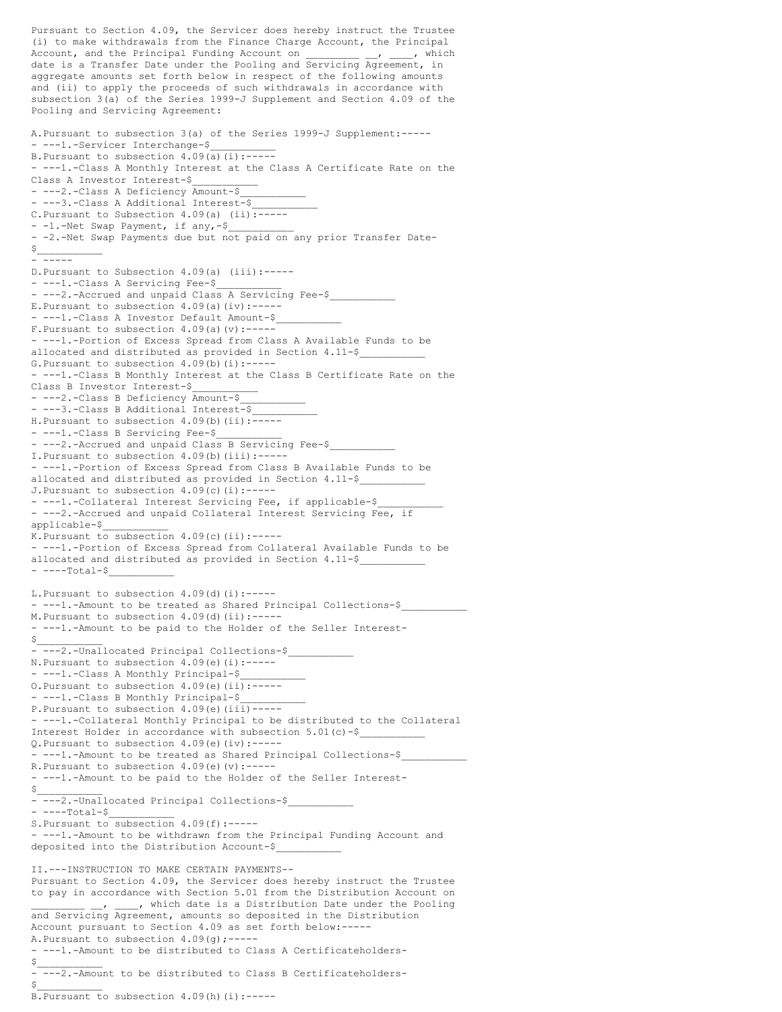Pursuant to Section 4.09, the Servicer does hereby instruct the Trustee (i) to make withdrawals from the Finance Charge Account, the Principal Account, and the Principal Funding Account on  $\qquad \qquad$ , which date is a Transfer Date under the Pooling and Servicing Agreement, in aggregate amounts set forth below in respect of the following amounts and (ii) to apply the proceeds of such withdrawals in accordance with subsection 3(a) of the Series 1999-J Supplement and Section 4.09 of the Pooling and Servicing Agreement: A.Pursuant to subsection 3(a) of the Series 1999-J Supplement:----- - ---1.-Servicer Interchange-\$ B. Pursuant to subsection  $4.09(a)(i):---$ - ---1.-Class A Monthly Interest at the Class A Certificate Rate on the Class A Investor Interest-\$\_\_\_\_\_\_\_\_\_\_\_ - ---2.-Class A Deficiency Amount-\$ ---3.-Class A Additional Interest-\$ C.Pursuant to Subsection 4.09(a) (ii):----- - -1.-Net Swap Payment, if any,-\$ - -2.-Net Swap Payments due but not paid on any prior Transfer Date- $\sharp$ - ----- D.Pursuant to Subsection 4.09(a) (iii):----- - ---1.-Class A Servicing Fee-\$ - ---2.-Accrued and unpaid Class A Servicing Fee-\$ E. Pursuant to subsection  $4.09(a)(iv):---$ - ---1.-Class A Investor Default Amount-\$ F. Pursuant to subsection  $4.09(a)(v)$ :------ ---1.-Portion of Excess Spread from Class A Available Funds to be allocated and distributed as provided in Section 4.11-\$ G. Pursuant to subsection  $4.09(b)$  (i):------ ---1.-Class B Monthly Interest at the Class B Certificate Rate on the Class B Investor Interest-\$\_\_\_\_\_\_\_\_\_\_\_ - ---2.-Class B Deficiency Amount-\$ - ---3.-Class B Additional Interest-\$ H. Pursuant to subsection  $4.09(b)$  (ii): $\overline{---}$ - ---1.-Class B Servicing Fee-\$ - ---2.-Accrued and unpaid Class B Servicing Fee-\$ I. Pursuant to subsection  $4.09(b)$  (iii):------ ---1.-Portion of Excess Spread from Class B Available Funds to be allocated and distributed as provided in Section 4.11-\$ J. Pursuant to subsection  $4.09(c)(i):---$ - ---1.-Collateral Interest Servicing Fee, if applicable-\$ - ---2.-Accrued and unpaid Collateral Interest Servicing Fee, if applicable-\$\_\_\_\_\_\_\_\_\_\_\_ K. Pursuant to subsection  $4.09(c)$  (ii):------ ---1.-Portion of Excess Spread from Collateral Available Funds to be allocated and distributed as provided in Section 4.11-\$ - ----Total-\$\_\_\_\_\_\_\_\_\_\_\_ L. Pursuant to subsection  $4.09$  (d)(i):------ ---1.-Amount to be treated as Shared Principal Collections-\$ M.Pursuant to subsection 4.09(d)(ii):----- - ---1.-Amount to be paid to the Holder of the Seller Interest-  $\sharp$ - ---2.-Unallocated Principal Collections-\$ N. Pursuant to subsection  $4.09(e)$  (i):--------1.-Class A Monthly Principal-\$ O.Pursuant to subsection 4.09(e)(ii):----- - ---1.-Class B Monthly Principal-\$\_\_\_\_\_\_\_\_\_\_\_ P. Pursuant to subsection  $4.09(e)$  (iii)------ ---1.-Collateral Monthly Principal to be distributed to the Collateral Interest Holder in accordance with subsection 5.01(c)-\$\_\_\_\_\_\_\_\_\_\_\_ Q.Pursuant to subsection 4.09(e)(iv):----- - ---1.-Amount to be treated as Shared Principal Collections-\$ R. Pursuant to subsection  $4.09(e)(v)$ :------ ---1.-Amount to be paid to the Holder of the Seller Interest-  $S_\perp$ - ---2.-Unallocated Principal Collections-\$  $---Total-S$ S. Pursuant to subsection  $4.09(f)$ :------ ---1.-Amount to be withdrawn from the Principal Funding Account and deposited into the Distribution Account-\$\_\_\_\_\_\_\_\_\_\_\_ II.---INSTRUCTION TO MAKE CERTAIN PAYMENTS-- Pursuant to Section 4.09, the Servicer does hereby instruct the Trustee to pay in accordance with Section 5.01 from the Distribution Account on \_, \_\_\_\_, which date is a Distribution Date under the Pooling and Servicing Agreement, amounts so deposited in the Distribution Account pursuant to Section 4.09 as set forth below:----- A. Pursuant to subsection  $4.09(q)$ ;------ ---1.-Amount to be distributed to Class A Certificateholders-  $\sharp$ - ---2.-Amount to be distributed to Class B Certificateholders-  $\sharp$ 

B. Pursuant to subsection 4.09(h)(i):-----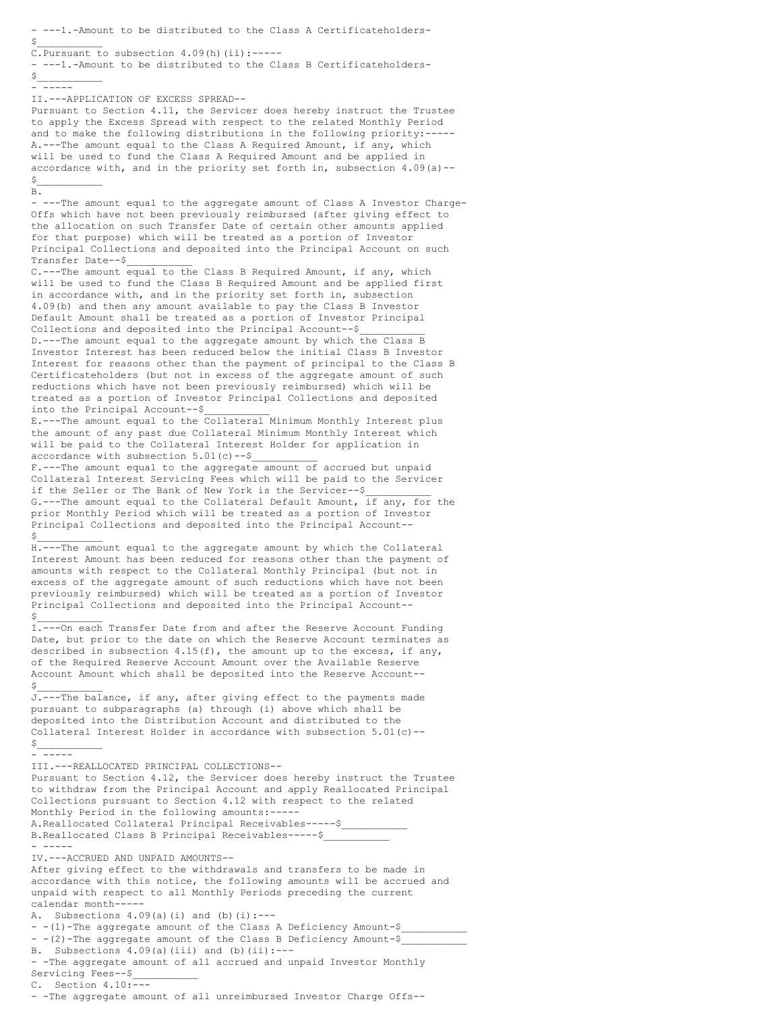- ---1.-Amount to be distributed to the Class A Certificateholders-  $\sharp$ C. Pursuant to subsection  $4.09(h)$  (ii):------ ---1.-Amount to be distributed to the Class B Certificateholders-  $\sharp$ - ----- II.---APPLICATION OF EXCESS SPREAD-- Pursuant to Section 4.11, the Servicer does hereby instruct the Trustee to apply the Excess Spread with respect to the related Monthly Period and to make the following distributions in the following priority:----- A.---The amount equal to the Class A Required Amount, if any, which will be used to fund the Class A Required Amount and be applied in accordance with, and in the priority set forth in, subsection  $4.09(a)$  -- $\sharp$ B. - ---The amount equal to the aggregate amount of Class A Investor Charge-Offs which have not been previously reimbursed (after giving effect to the allocation on such Transfer Date of certain other amounts applied for that purpose) which will be treated as a portion of Investor Principal Collections and deposited into the Principal Account on such Transfer Date--\$\_\_\_\_\_\_\_\_\_\_\_ C.---The amount equal to the Class B Required Amount, if any, which will be used to fund the Class B Required Amount and be applied first in accordance with, and in the priority set forth in, subsection 4.09(b) and then any amount available to pay the Class B Investor Default Amount shall be treated as a portion of Investor Principal Collections and deposited into the Principal Account--\$ D.---The amount equal to the aggregate amount by which the Class B Investor Interest has been reduced below the initial Class B Investor Interest for reasons other than the payment of principal to the Class B Certificateholders (but not in excess of the aggregate amount of such reductions which have not been previously reimbursed) which will be treated as a portion of Investor Principal Collections and deposited into the Principal Account--\$\_\_\_\_\_\_\_\_\_\_\_ E.---The amount equal to the Collateral Minimum Monthly Interest plus the amount of any past due Collateral Minimum Monthly Interest which will be paid to the Collateral Interest Holder for application in accordance with subsection  $5.01(c)$  --\$ F.---The amount equal to the aggregate amount of accrued but unpaid Collateral Interest Servicing Fees which will be paid to the Servicer if the Seller or The Bank of New York is the Servicer--\$ G.---The amount equal to the Collateral Default Amount, if any, for the prior Monthly Period which will be treated as a portion of Investor Principal Collections and deposited into the Principal Account--  $\sharp$ H.---The amount equal to the aggregate amount by which the Collateral Interest Amount has been reduced for reasons other than the payment of amounts with respect to the Collateral Monthly Principal (but not in excess of the aggregate amount of such reductions which have not been previously reimbursed) which will be treated as a portion of Investor Principal Collections and deposited into the Principal Account--  $\sharp$ I.---On each Transfer Date from and after the Reserve Account Funding Date, but prior to the date on which the Reserve Account terminates as described in subsection  $4.15(f)$ , the amount up to the excess, if any, of the Required Reserve Account Amount over the Available Reserve Account Amount which shall be deposited into the Reserve Account--  $\sharp$ J.---The balance, if any, after giving effect to the payments made pursuant to subparagraphs (a) through (i) above which shall be deposited into the Distribution Account and distributed to the Collateral Interest Holder in accordance with subsection  $5.01(c)$  -- $S_{\perp}$ - ----- III.---REALLOCATED PRINCIPAL COLLECTIONS-- Pursuant to Section 4.12, the Servicer does hereby instruct the Trustee to withdraw from the Principal Account and apply Reallocated Principal Collections pursuant to Section 4.12 with respect to the related Monthly Period in the following amounts:----- A.Reallocated Collateral Principal Receivables-----\$\_\_\_\_\_\_\_\_\_\_\_ B.Reallocated Class B Principal Receivables-----\$ - ----- IV.---ACCRUED AND UNPAID AMOUNTS-- After giving effect to the withdrawals and transfers to be made in accordance with this notice, the following amounts will be accrued and unpaid with respect to all Monthly Periods preceding the current calendar month----- A. Subsections  $4.09(a)(i)$  and  $(b)(i):---$ - -(1)-The aggregate amount of the Class A Deficiency Amount-\$ - -(2)-The aggregate amount of the Class B Deficiency Amount-\$ B. Subsections  $4.09(a)(iii)$  and  $(b)(ii):---$ - -The aggregate amount of all accrued and unpaid Investor Monthly Servicing Fees--\$ C. Section 4.10:--- - -The aggregate amount of all unreimbursed Investor Charge Offs--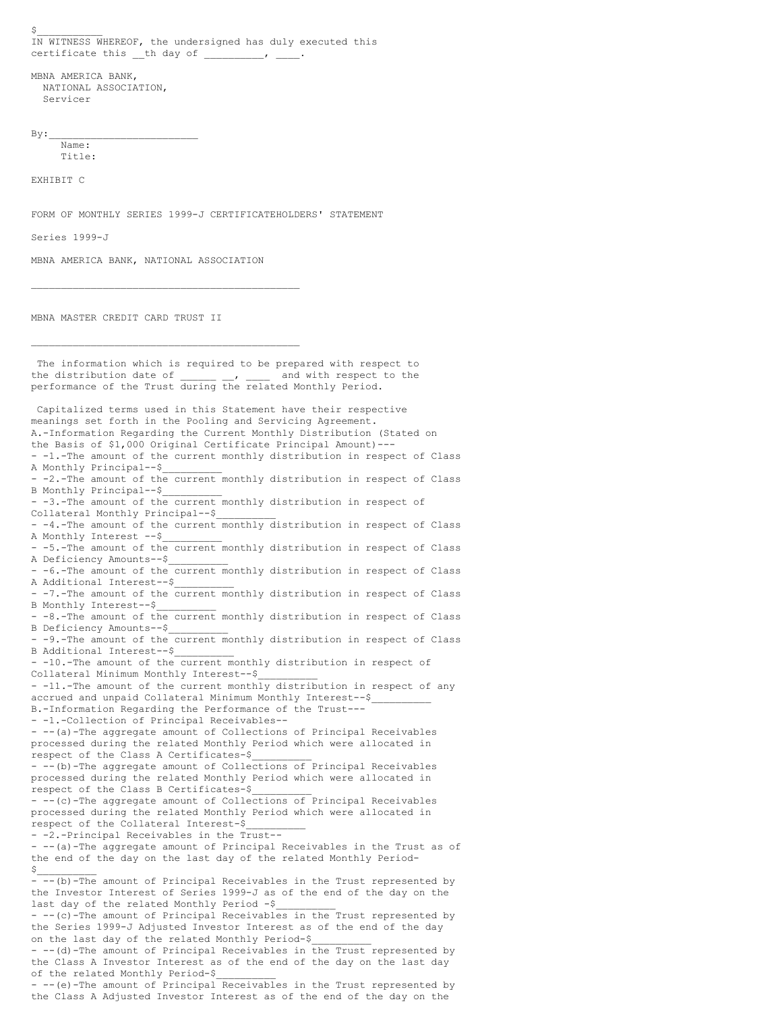$\sharp$ IN WITNESS WHEREOF, the undersigned has duly executed this certificate this \_\_th day of \_\_

MBNA AMERICA BANK, NATIONAL ASSOCIATION, Servicer

 $By:$ 

Name: Title:

EXHIBIT C

FORM OF MONTHLY SERIES 1999-J CERTIFICATEHOLDERS' STATEMENT

Series 1999-J

MBNA AMERICA BANK, NATIONAL ASSOCIATION

\_\_\_\_\_\_\_\_\_\_\_\_\_\_\_\_\_\_\_\_\_\_\_\_\_\_\_\_\_\_\_\_\_\_\_\_\_\_\_\_\_\_\_\_\_

MBNA MASTER CREDIT CARD TRUST II

\_\_\_\_\_\_\_\_\_\_\_\_\_\_\_\_\_\_\_\_\_\_\_\_\_\_\_\_\_\_\_\_\_\_\_\_\_\_\_\_\_\_\_\_\_ The information which is required to be prepared with respect to the distribution date of  $\qquad \qquad , \qquad \qquad$  and with respect to the performance of the Trust during the related Monthly Period. Capitalized terms used in this Statement have their respective meanings set forth in the Pooling and Servicing Agreement. A.-Information Regarding the Current Monthly Distribution (Stated on the Basis of \$1,000 Original Certificate Principal Amount)--- - -1.-The amount of the current monthly distribution in respect of Class A Monthly Principal--\$\_\_\_\_\_\_\_\_\_\_ - -2.-The amount of the current monthly distribution in respect of Class B Monthly Principal--\$\_\_\_\_\_\_\_\_\_\_ - -3.-The amount of the current monthly distribution in respect of Collateral Monthly Principal--\$\_\_\_\_\_\_\_\_\_\_ -4.-The amount of the current monthly distribution in respect of Class A Monthly Interest --\$\_\_\_\_\_\_\_\_\_\_ - -5.-The amount of the current monthly distribution in respect of Class A Deficiency Amounts--\$ - -6.-The amount of the current monthly distribution in respect of Class A Additional Interest--\$\_\_\_\_\_\_\_\_\_\_ - -7.-The amount of the current monthly distribution in respect of Class B Monthly Interest--\$ - -8.-The amount of the current monthly distribution in respect of Class B Deficiency Amounts--\$\_\_\_\_\_\_\_\_\_\_ - -9.-The amount of the current monthly distribution in respect of Class B Additional Interest--\$\_\_\_\_\_\_\_\_\_\_ - -10.-The amount of the current monthly distribution in respect of Collateral Minimum Monthly Interest--\$ - -11.-The amount of the current monthly distribution in respect of any accrued and unpaid Collateral Minimum Monthly Interest--\$ B.-Information Regarding the Performance of the Trust--- - -1.-Collection of Principal Receivables-- - --(a)-The aggregate amount of Collections of Principal Receivables processed during the related Monthly Period which were allocated in respect of the Class A Certificates-\$\_\_\_\_\_\_\_\_\_\_ - -- (b)-The aggregate amount of Collections of Principal Receivables processed during the related Monthly Period which were allocated in respect of the Class B Certificates-\$\_\_\_\_\_\_\_\_\_\_ - -- (c)-The aggregate amount of Collections of Principal Receivables processed during the related Monthly Period which were allocated in respect of the Collateral Interest-\$\_\_\_\_\_\_\_\_\_\_ - -2.-Principal Receivables in the Trust-- - --(a)-The aggregate amount of Principal Receivables in the Trust as of the end of the day on the last day of the related Monthly Period-  $$$ - --(b)-The amount of Principal Receivables in the Trust represented by the Investor Interest of Series 1999-J as of the end of the day on the last day of the related Monthly Period -\$ - --(c)-The amount of Principal Receivables in the Trust represented by the Series 1999-J Adjusted Investor Interest as of the end of the day on the last day of the related Monthly Period-\$ - -- (d)-The amount of Principal Receivables in the Trust represented by the Class A Investor Interest as of the end of the day on the last day of the related Monthly Period-\$\_\_\_\_\_\_\_\_\_\_ - --(e)-The amount of Principal Receivables in the Trust represented by the Class A Adjusted Investor Interest as of the end of the day on the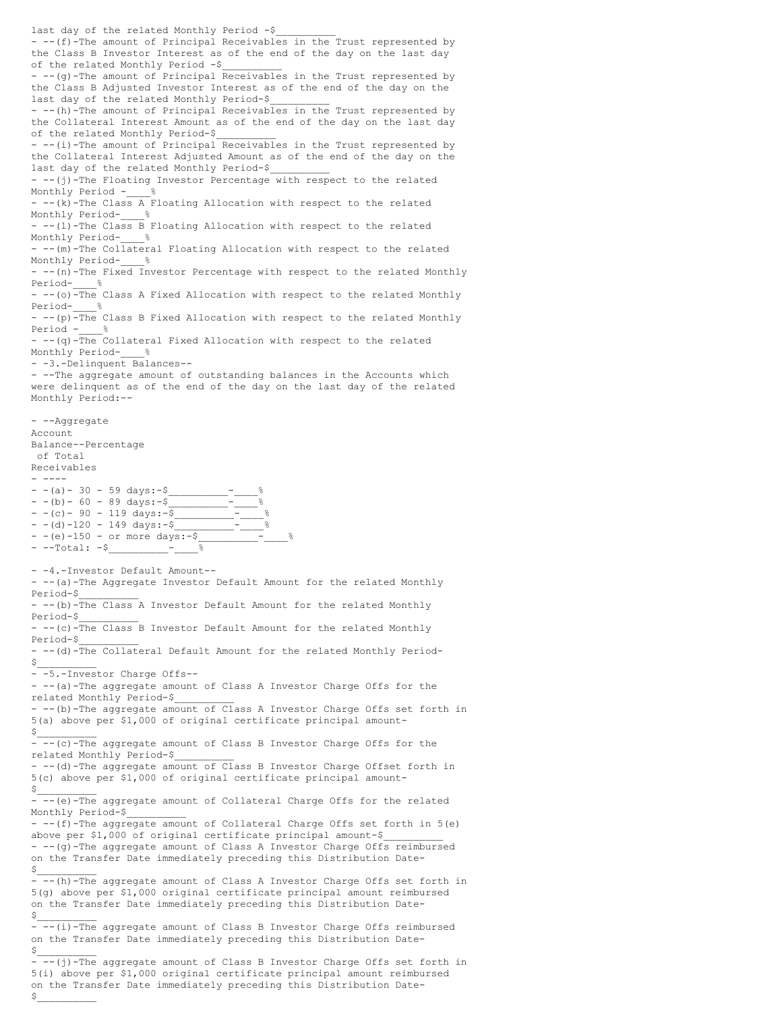last day of the related Monthly Period -\$ - --(f)-The amount of Principal Receivables in the Trust represented by the Class B Investor Interest as of the end of the day on the last day of the related Monthly Period -\$ - -- (g)-The amount of Principal Receivables in the Trust represented by the Class B Adjusted Investor Interest as of the end of the day on the last day of the related Monthly Period-\$ - --(h)-The amount of Principal Receivables in the Trust represented by the Collateral Interest Amount as of the end of the day on the last day of the related Monthly Period-\$\_\_\_\_\_\_\_\_\_\_ - --(i)-The amount of Principal Receivables in the Trust represented by the Collateral Interest Adjusted Amount as of the end of the day on the last day of the related Monthly Period-\$ - --(j)-The Floating Investor Percentage with respect to the related Monthly Period - %  $--(k)$ -The Class A Floating Allocation with respect to the related Monthly Period-- --(1)-The Class B Floating Allocation with respect to the related Monthly Period- % - --(m)-The Collateral Floating Allocation with respect to the related Monthly Period- % - --(n)-The Fixed Investor Percentage with respect to the related Monthly Period-\_\_\_\_% - --(o)<sup>-The</sup> Class A Fixed Allocation with respect to the related Monthly Period- %  $-$  --(p) $\overline{\text{The}}$  Class B Fixed Allocation with respect to the related Monthly Period - %  $-$  --(q)-The Collateral Fixed Allocation with respect to the related Monthly Period-- -3.-Delinquent Balances-- - --The aggregate amount of outstanding balances in the Accounts which were delinquent as of the end of the day on the last day of the related Monthly Period:-- - --Aggregate Account Balance--Percentage of Total Receivables - ----  $- - (a) - 30 - 59 \text{ days:} - $$  $- - (b) - 60 - 89 \text{ days}$ : -\$  $- - (c) - 90 - 119 \text{ days:} - \overline{\$}$  $-$  (d)  $-120$   $-$  149 days: $-$ \$  $-$  -(e)-150 - or more days:-\$ - --Total: -\$\_\_\_\_\_\_\_\_\_\_-\_\_\_\_% - -4.-Investor Default Amount-- - -- (a)-The Aggregate Investor Default Amount for the related Monthly Period-\$\_\_\_\_\_\_\_\_\_\_ - --(b)-The Class A Investor Default Amount for the related Monthly Period-\$\_\_\_\_\_\_\_\_\_\_ - --(c)-The Class B Investor Default Amount for the related Monthly Period-\$\_\_\_\_\_\_\_\_\_\_ - --(d)-The Collateral Default Amount for the related Monthly Period-  $$$ - -5.-Investor Charge Offs-- - -- (a)-The aggregate amount of Class A Investor Charge Offs for the related Monthly Period-\$\_\_\_\_\_\_\_\_\_\_ - --(b)-The aggregate amount of Class A Investor Charge Offs set forth in 5(a) above per \$1,000 of original certificate principal amount-  $$$ - --(c)-The aggregate amount of Class B Investor Charge Offs for the related Monthly Period-\$\_\_\_\_\_\_\_\_\_\_ - -- (d)-The aggregate amount of Class B Investor Charge Offset forth in 5(c) above per \$1,000 of original certificate principal amount-  $\mathsf{s}_-$ - --(e)-The aggregate amount of Collateral Charge Offs for the related Monthly Period-\$\_\_\_\_\_\_\_\_\_\_  $- -(-f)$ -The aggregate amount of Collateral Charge Offs set forth in 5(e) above per \$1,000 of original certificate principal amount-\$\_\_\_\_\_\_\_\_\_\_ - --(g)-The aggregate amount of Class A Investor Charge Offs reimbursed on the Transfer Date immediately preceding this Distribution Date-  $$$  $-\frac{(-1)^n}{-1}$  -The aggregate amount of Class A Investor Charge Offs set forth in 5(g) above per \$1,000 original certificate principal amount reimbursed on the Transfer Date immediately preceding this Distribution Date-  $$$ -  $-(-i)$ -The aggregate amount of Class B Investor Charge Offs reimbursed on the Transfer Date immediately preceding this Distribution Date-  $$$  $-\frac{(-1)^{n}}{n}$  aggregate amount of Class B Investor Charge Offs set forth in 5(i) above per \$1,000 original certificate principal amount reimbursed on the Transfer Date immediately preceding this Distribution Date-  $S_\perp$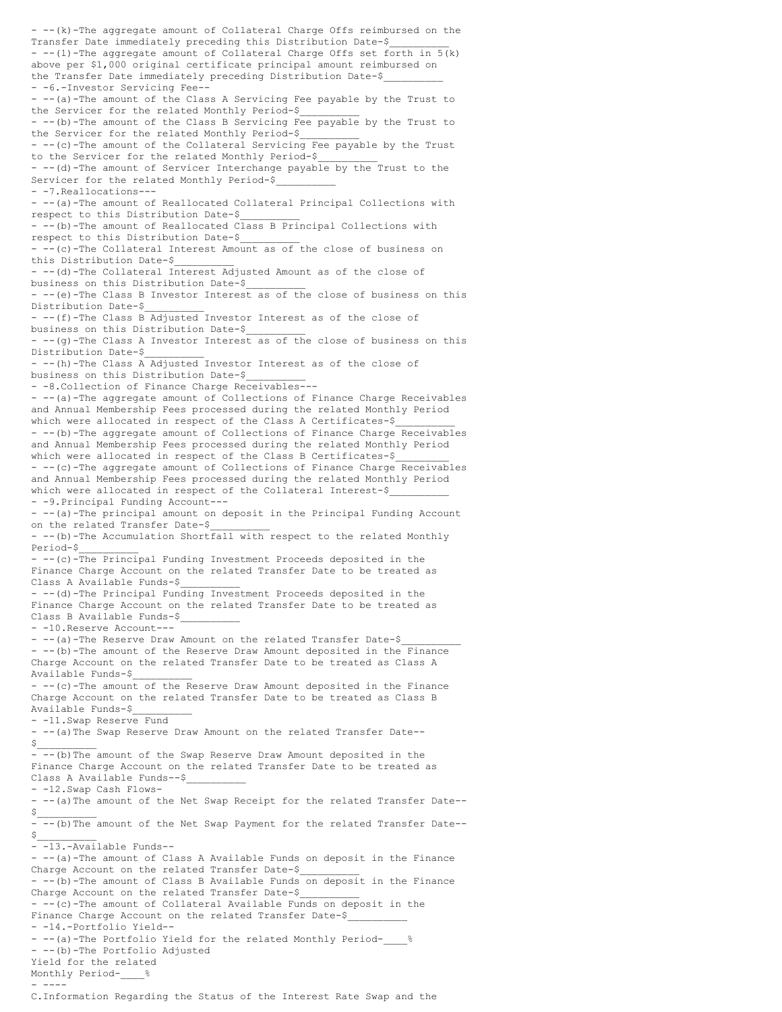- --(k)-The aggregate amount of Collateral Charge Offs reimbursed on the Transfer Date immediately preceding this Distribution Date-\$  $--(1)$ -The aggregate amount of Collateral Charge Offs set forth in  $5(k)$ above per \$1,000 original certificate principal amount reimbursed on the Transfer Date immediately preceding Distribution Date-\$ - -6.-Investor Servicing Fee-- - --(a)-The amount of the Class A Servicing Fee payable by the Trust to the Servicer for the related Monthly Period-\$\_\_\_\_\_\_\_\_\_\_ - --(b)-The amount of the Class B Servicing Fee payable by the Trust to the Servicer for the related Monthly Period-\$\_\_\_\_\_\_\_\_\_\_  $-$  --(c)-The amount of the Collateral Servicing Fee payable by the Trust to the Servicer for the related Monthly Period-\$\_\_\_\_\_\_\_\_\_\_ - -- (d)-The amount of Servicer Interchange payable by the Trust to the Servicer for the related Monthly Period-\$ - -7.Reallocations--- - --(a)-The amount of Reallocated Collateral Principal Collections with respect to this Distribution Date-\$\_\_\_\_\_\_\_\_\_\_ - --(b)-The amount of Reallocated Class B Principal Collections with respect to this Distribution Date-\$\_\_\_\_\_\_\_\_\_\_ - --(c)-The Collateral Interest Amount as of the close of business on this Distribution Date-\$\_\_\_\_\_\_\_\_\_\_ - --(d)-The Collateral Interest Adjusted Amount as of the close of business on this Distribution Date-\$\_\_\_\_\_\_\_\_\_\_ - --(e)-The Class B Investor Interest as of the close of business on this Distribution Date-\$\_\_\_\_\_\_\_\_\_\_ - --(f)-The Class B Adjusted Investor Interest as of the close of business on this Distribution Date-\$\_\_\_\_\_\_\_\_\_\_ - --(g)-The Class A Investor Interest as of the close of business on this Distribution Date-\$  $--(h)$ -The Class A Adjusted Investor Interest as of the close of business on this Distribution Date-\$\_\_\_\_\_\_\_\_\_\_ - -8.Collection of Finance Charge Receivables--- - --(a)-The aggregate amount of Collections of Finance Charge Receivables and Annual Membership Fees processed during the related Monthly Period which were allocated in respect of the Class A Certificates-\$ - --(b)-The aggregate amount of Collections of Finance Charge Receivables and Annual Membership Fees processed during the related Monthly Period which were allocated in respect of the Class B Certificates-\$ - --(c)-The aggregate amount of Collections of Finance Charge Receivables and Annual Membership Fees processed during the related Monthly Period which were allocated in respect of the Collateral Interest-\$ - -9.Principal Funding Account--- - --(a)-The principal amount on deposit in the Principal Funding Account on the related Transfer Date-\$  $-$  --(b)-The Accumulation Short $\widehat{\text{fall}}$  with respect to the related Monthly Period-\$\_\_\_\_\_\_\_\_\_\_ - --(c)-The Principal Funding Investment Proceeds deposited in the Finance Charge Account on the related Transfer Date to be treated as Class A Available Funds-\$\_\_\_\_\_\_\_\_\_\_  $--(d)$ -The Principal Funding Investment Proceeds deposited in the Finance Charge Account on the related Transfer Date to be treated as Class B Available Funds-\$ - -10.Reserve Account--- - -- (a)-The Reserve Draw Amount on the related Transfer Date-\$ - --(b)-The amount of the Reserve Draw Amount deposited in the Finance Charge Account on the related Transfer Date to be treated as Class A Available Funds-\$\_\_\_\_\_\_\_\_\_\_ - --(c)-The amount of the Reserve Draw Amount deposited in the Finance Charge Account on the related Transfer Date to be treated as Class B Available Funds-\$\_\_\_\_\_\_\_\_\_\_ - -11.Swap Reserve Fund - --(a)The Swap Reserve Draw Amount on the related Transfer Date--  $\hat{\mathcal{Z}}$ - --(b)The amount of the Swap Reserve Draw Amount deposited in the Finance Charge Account on the related Transfer Date to be treated as Class A Available Funds--\$\_\_\_\_\_\_\_\_\_\_ - -12.Swap Cash Flows- - --(a)The amount of the Net Swap Receipt for the related Transfer Date--  $\boldsymbol{\zeta}$ - --(b)The amount of the Net Swap Payment for the related Transfer Date--  $\zeta$ - -13.-Available Funds-- - --(a)-The amount of Class A Available Funds on deposit in the Finance Charge Account on the related Transfer Date-\$ - --(b)-The amount of Class B Available Funds on deposit in the Finance Charge Account on the related Transfer Date-\$  $--(c)$ -The amount of Collateral Available Funds on deposit in the Finance Charge Account on the related Transfer Date-\$ - -14.-Portfolio Yield-- - --(a)-The Portfolio Yield for the related Monthly Period-- --(b)-The Portfolio Adjusted Yield for the related Monthly Period-\_\_\_\_% - ---- C.Information Regarding the Status of the Interest Rate Swap and the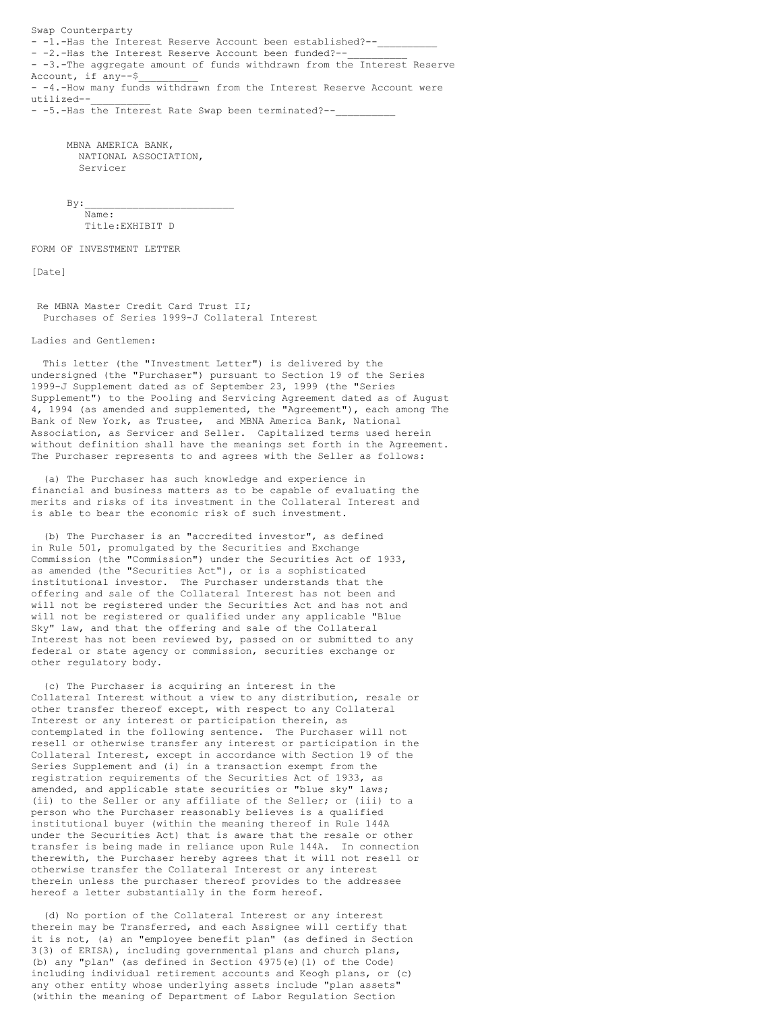Swap Counterparty - -1.-Has the Interest Reserve Account been established?--- -2.-Has the Interest Reserve Account been funded?--- -3.-The aggregate amount of funds withdrawn from the Interest Reserve Account, if any--\$  $-4$ .-How many funds withdrawn from the Interest Reserve Account were utilized--\_\_\_\_\_\_\_\_\_\_

- -5.-Has the Interest Rate Swap been terminated?--

MBNA AMERICA BANK, NATIONAL ASSOCIATION, Servicer

 $By:$ Name: Title:EXHIBIT D

FORM OF INVESTMENT LETTER

[Date]

Re MBNA Master Credit Card Trust II; Purchases of Series 1999-J Collateral Interest

Ladies and Gentlemen:

This letter (the "Investment Letter") is delivered by the undersigned (the "Purchaser") pursuant to Section 19 of the Series 1999-J Supplement dated as of September 23, 1999 (the "Series Supplement") to the Pooling and Servicing Agreement dated as of August 4, 1994 (as amended and supplemented, the "Agreement"), each among The Bank of New York, as Trustee, and MBNA America Bank, National Association, as Servicer and Seller. Capitalized terms used herein without definition shall have the meanings set forth in the Agreement. The Purchaser represents to and agrees with the Seller as follows:

(a) The Purchaser has such knowledge and experience in financial and business matters as to be capable of evaluating the merits and risks of its investment in the Collateral Interest and is able to bear the economic risk of such investment.

(b) The Purchaser is an "accredited investor", as defined in Rule 501, promulgated by the Securities and Exchange Commission (the "Commission") under the Securities Act of 1933, as amended (the "Securities Act"), or is a sophisticated institutional investor. The Purchaser understands that the offering and sale of the Collateral Interest has not been and will not be registered under the Securities Act and has not and will not be registered or qualified under any applicable "Blue Sky" law, and that the offering and sale of the Collateral Interest has not been reviewed by, passed on or submitted to any federal or state agency or commission, securities exchange or other regulatory body.

(c) The Purchaser is acquiring an interest in the Collateral Interest without a view to any distribution, resale or other transfer thereof except, with respect to any Collateral Interest or any interest or participation therein, as contemplated in the following sentence. The Purchaser will not resell or otherwise transfer any interest or participation in the Collateral Interest, except in accordance with Section 19 of the Series Supplement and (i) in a transaction exempt from the registration requirements of the Securities Act of 1933, as amended, and applicable state securities or "blue sky" laws; (ii) to the Seller or any affiliate of the Seller; or (iii) to a person who the Purchaser reasonably believes is a qualified institutional buyer (within the meaning thereof in Rule 144A under the Securities Act) that is aware that the resale or other transfer is being made in reliance upon Rule 144A. In connection therewith, the Purchaser hereby agrees that it will not resell or otherwise transfer the Collateral Interest or any interest therein unless the purchaser thereof provides to the addressee hereof a letter substantially in the form hereof.

(d) No portion of the Collateral Interest or any interest therein may be Transferred, and each Assignee will certify that it is not, (a) an "employee benefit plan" (as defined in Section 3(3) of ERISA), including governmental plans and church plans, (b) any "plan" (as defined in Section 4975(e)(1) of the Code) including individual retirement accounts and Keogh plans, or (c) any other entity whose underlying assets include "plan assets" (within the meaning of Department of Labor Regulation Section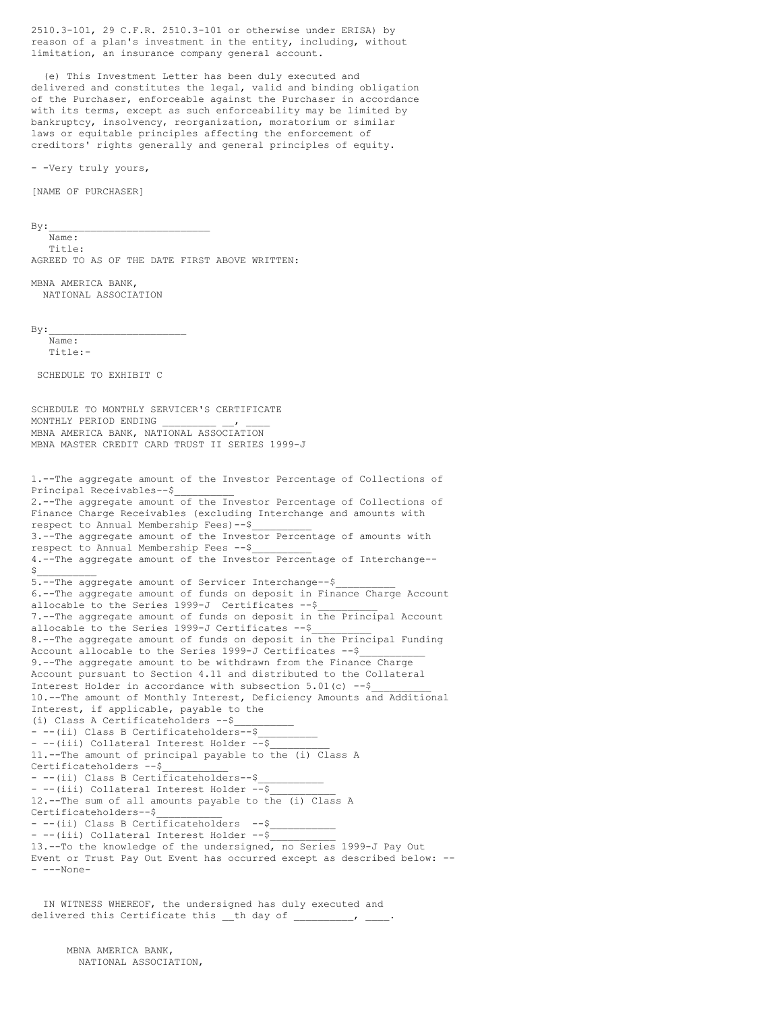2510.3-101, 29 C.F.R. 2510.3-101 or otherwise under ERISA) by reason of a plan's investment in the entity, including, without limitation, an insurance company general account.

(e) This Investment Letter has been duly executed and delivered and constitutes the legal, valid and binding obligation of the Purchaser, enforceable against the Purchaser in accordance with its terms, except as such enforceability may be limited by bankruptcy, insolvency, reorganization, moratorium or similar laws or equitable principles affecting the enforcement of creditors' rights generally and general principles of equity.

- -Very truly yours,

[NAME OF PURCHASER]

 $By:$ 

Name: Title: AGREED TO AS OF THE DATE FIRST ABOVE WRITTEN:

MBNA AMERICA BANK, NATIONAL ASSOCIATION

 $By:$ 

Name:  $Tif1e:-$ 

SCHEDULE TO EXHIBIT C

SCHEDULE TO MONTHLY SERVICER'S CERTIFICATE MONTHLY PERIOD ENDING MBNA AMERICA BANK, NATIONAL ASSOCIATION MBNA MASTER CREDIT CARD TRUST II SERIES 1999-J

1.--The aggregate amount of the Investor Percentage of Collections of Principal Receivables--\$\_\_\_\_\_\_\_\_\_\_ 2.--The aggregate amount of the Investor Percentage of Collections of Finance Charge Receivables (excluding Interchange and amounts with respect to Annual Membership Fees)--\$\_\_\_\_\_\_\_\_\_\_ 3.--The aggregate amount of the Investor Percentage of amounts with respect to Annual Membership Fees --\$ 4.--The aggregate amount of the Investor Percentage of Interchange--  $$$ 5.--The aggregate amount of Servicer Interchange--\$\_\_\_\_\_\_\_\_\_\_ 6.--The aggregate amount of funds on deposit in Finance Charge Account allocable to the Series 1999-J Certificates --\$ 7.--The aggregate amount of funds on deposit in the Principal Account allocable to the Series 1999-J Certificates --\$\_\_\_\_\_\_\_\_\_\_ 8.--The aggregate amount of funds on deposit in the Principal Funding Account allocable to the Series 1999-J Certificates --\$\_\_\_\_\_\_\_\_\_\_\_ 9.--The aggregate amount to be withdrawn from the Finance Charge Account pursuant to Section 4.11 and distributed to the Collateral Interest Holder in accordance with subsection  $5.01(c)$  --\$ 10.--The amount of Monthly Interest, Deficiency Amounts and Additional Interest, if applicable, payable to the (i) Class A Certificateholders --\$\_\_\_\_\_\_\_\_\_\_ - --(ii) Class B Certificateholders--\$ - --(iii) Collateral Interest Holder --\$ 11.--The amount of principal payable to the (i) Class A Certificateholders --\$\_\_\_\_\_\_\_\_\_\_\_ - --(ii) Class B Certificateholders--\$ - --(iii) Collateral Interest Holder --\$ 12.--The sum of all amounts payable to the (i) Class A Certificateholders--\$\_\_\_\_\_\_\_\_\_\_\_ - --(ii) Class B Certificateholders --\$ - --(iii) Collateral Interest Holder --\$ 13.--To the knowledge of the undersigned, no Series 1999-J Pay Out Event or Trust Pay Out Event has occurred except as described below: --  $--<sub>None</sub>$ 

IN WITNESS WHEREOF, the undersigned has duly executed and delivered this Certificate this \_\_th day of \_\_\_\_\_\_\_\_\_, \_\_

MBNA AMERICA BANK, NATIONAL ASSOCIATION,